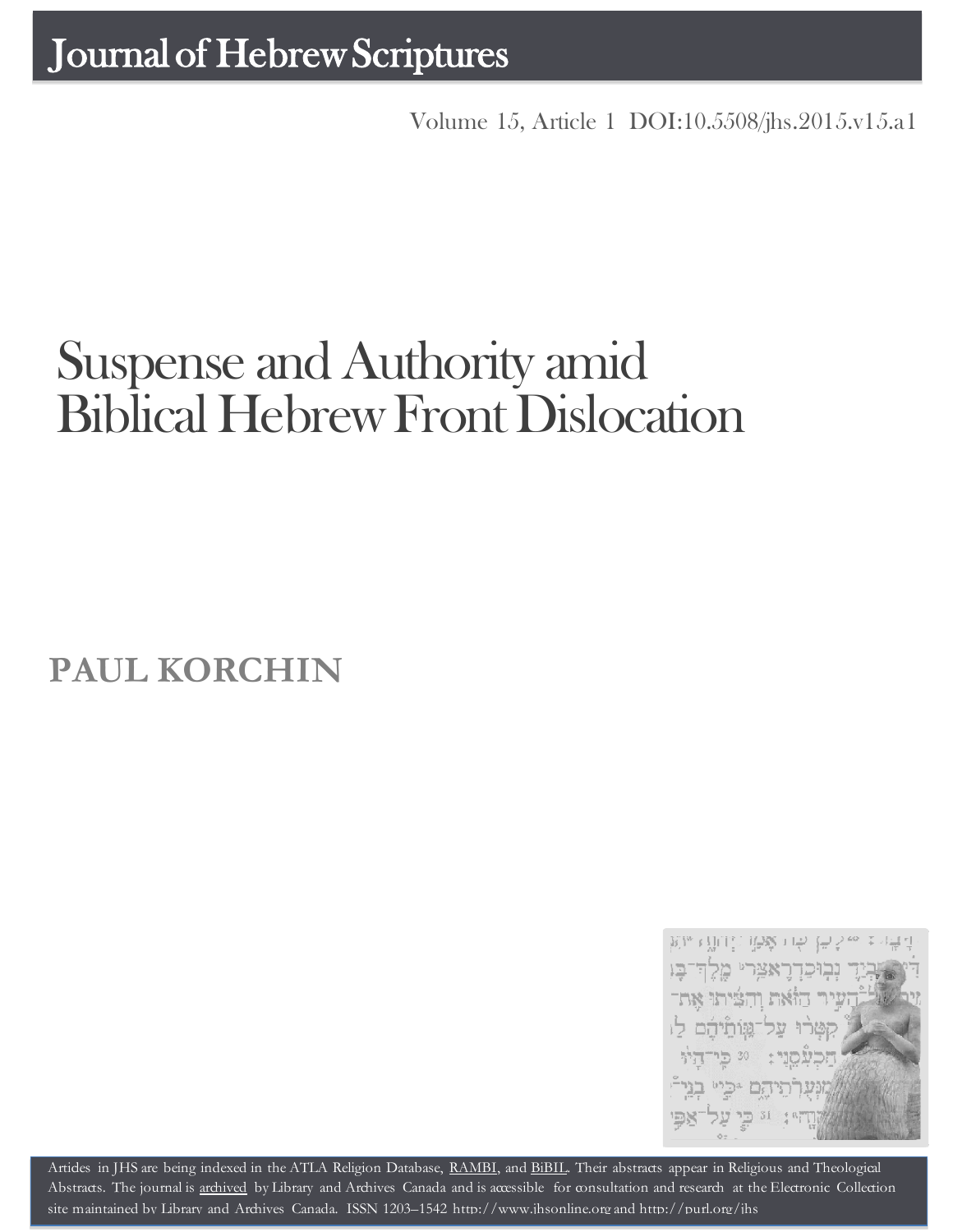Volume 15, Article 1 [DOI:10.5508/jhs.2015.v15.a1](http://dx.doi.org/10.5508/jhs.2015.v15.a1)

# Suspense and Authority amid Biblical Hebrew Front Dislocation

**PAUL KORCHIN**



Artides in JHS are being indexed in the ATLA Religion Database, [RAMBI,](http://jnul.huji.ac.il/rambi/) and [BiBIL.](http://bibil.net/) Their abstracts appear in Religious and Theological Abstracts. The journal is [archived](http://epe.lac-bac.gc.ca/100/201/300/journal_hebrew/index.html) by Library and Archives Canada and is accessible for consultation and research at the Electronic Collection site maintained by [Library and Archives Canada.](http://collectionscanada.ca/electroniccollection/003008-200-e.html) ISSN 1203–1542 [http://www.jhsonline.org](http://www.jhsonline.org/) and<http://purl.org/jhs>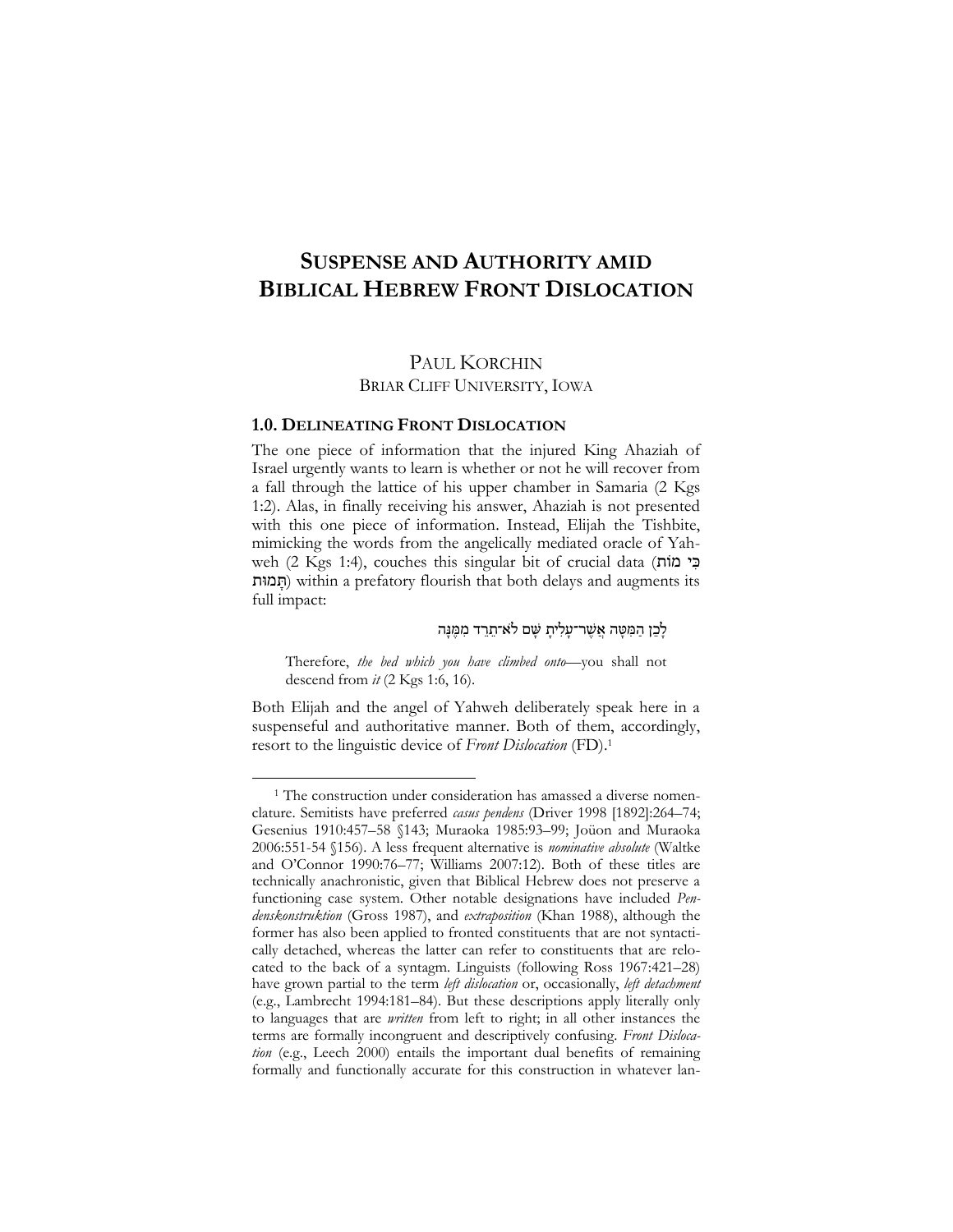# **SUSPENSE AND AUTHORITY AMID BIBLICAL HEBREW FRONT DISLOCATION**

## PAUL KORCHIN

BRIAR CLIFF UNIVERSITY, IOWA

#### **1.0. DELINEATING FRONT DISLOCATION**

 $\overline{a}$ 

The one piece of information that the injured King Ahaziah of Israel urgently wants to learn is whether or not he will recover from a fall through the lattice of his upper chamber in Samaria (2 Kgs 1:2). Alas, in finally receiving his answer, Ahaziah is not presented with this one piece of information. Instead, Elijah the Tishbite, mimicking the words from the angelically mediated oracle of Yahweh (2 Kgs 1:4), couches this singular bit of crucial data (בי מוֹת ותּמ ָּת (within a prefatory flourish that both delays and augments its full impact:

לָבֶן הַמְּטָּה אֲשֶׁר־עַלְיתַ שֵׁם לֹא־תֲרֵד מִמֵּנַּה

Therefore, *the bed which you have climbed onto*—you shall not descend from *it* (2 Kgs 1:6, 16).

Both Elijah and the angel of Yahweh deliberately speak here in a suspenseful and authoritative manner. Both of them, accordingly, resort to the linguistic device of *Front Dislocation* (FD).<sup>1</sup>

<sup>&</sup>lt;sup>1</sup> The construction under consideration has amassed a diverse nomenclature. Semitists have preferred *casus pendens* (Driver 1998 [1892]:264–74; Gesenius 1910:457–58 §143; Muraoka 1985:93–99; Joüon and Muraoka 2006:551-54 §156). A less frequent alternative is *nominative absolute* (Waltke and O'Connor 1990:76–77; Williams 2007:12). Both of these titles are technically anachronistic, given that Biblical Hebrew does not preserve a functioning case system. Other notable designations have included *Pendenskonstruktion* (Gross 1987), and *extraposition* (Khan 1988), although the former has also been applied to fronted constituents that are not syntactically detached, whereas the latter can refer to constituents that are relocated to the back of a syntagm. Linguists (following Ross 1967:421–28) have grown partial to the term *left dislocation* or, occasionally, *left detachment*  (e.g., Lambrecht 1994:181–84). But these descriptions apply literally only to languages that are *written* from left to right; in all other instances the terms are formally incongruent and descriptively confusing. *Front Dislocation* (e.g., Leech 2000) entails the important dual benefits of remaining formally and functionally accurate for this construction in whatever lan-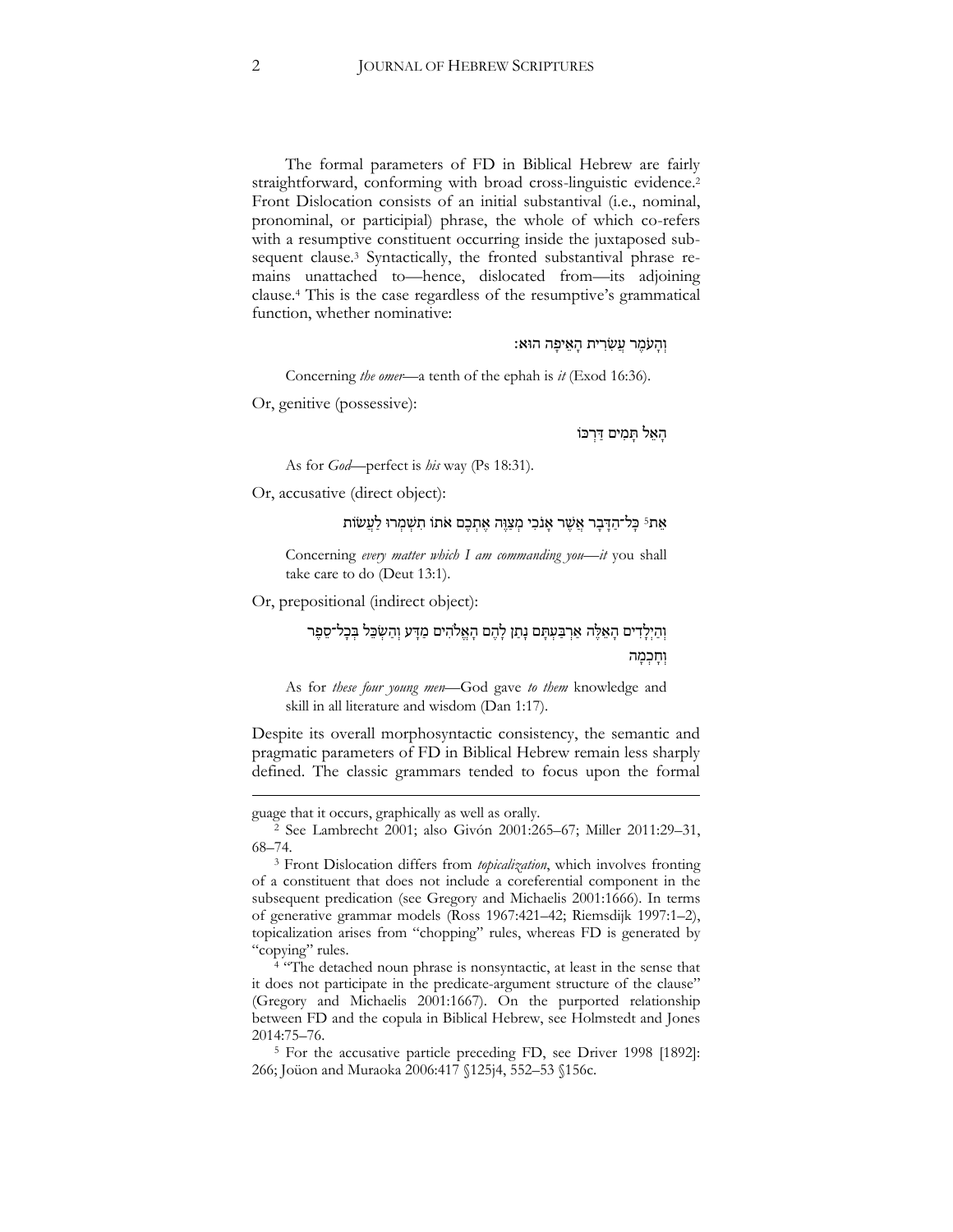The formal parameters of FD in Biblical Hebrew are fairly straightforward, conforming with broad cross-linguistic evidence.<sup>2</sup> Front Dislocation consists of an initial substantival (i.e., nominal, pronominal, or participial) phrase, the whole of which co-refers with a resumptive constituent occurring inside the juxtaposed subsequent clause.<sup>3</sup> Syntactically, the fronted substantival phrase remains unattached to—hence, dislocated from—its adjoining clause.<sup>4</sup> This is the case regardless of the resumptive's grammatical function, whether nominative:

וּהעִמר עשׂרית האיפה הוּא:

Concerning *the omer*—a tenth of the ephah is *it* (Exod 16:36).

Or, genitive (possessive):

הָאֵל תַּמִים דַּרְכּוֹ

As for *God*—perfect is *his* way (Ps 18:31).

Or, accusative (direct object):

## אֵת<sup>5</sup> כָּל־הַדָּבָר אֲשֶׁר אָנֹכִי מִצַּוֵּה אֶתְבֶם אֹתוֹ תִשְׁמִרוּ לַעֲשׂוֹת

Concerning *every matter which I am commanding you—it* you shall take care to do (Deut 13:1).

Or, prepositional (indirect object):

וְהַיִלַדִים הַאֲלֵּה אַרִבַּעְתָּם נָתַן לָהֶם הָאֱלֹהִים מַדָּע וְהַשְׂבֵל בִּכָל־סֵפֵּר וְחָכְמָה

As for *these four young men*—God gave *to them* knowledge and skill in all literature and wisdom (Dan 1:17).

Despite its overall morphosyntactic consistency, the semantic and pragmatic parameters of FD in Biblical Hebrew remain less sharply defined. The classic grammars tended to focus upon the formal

<u>.</u>

<sup>4 "The</sup> detached noun phrase is nonsyntactic, at least in the sense that it does not participate in the predicate-argument structure of the clause" (Gregory and Michaelis 2001:1667). On the purported relationship between FD and the copula in Biblical Hebrew, see Holmstedt and Jones 2014:75–76.

<sup>5</sup> For the accusative particle preceding FD, see Driver 1998 [1892]: 266; Joüon and Muraoka 2006:417 §125j4, 552–53 §156c.

guage that it occurs, graphically as well as orally.

<sup>2</sup> See Lambrecht 2001; also Givón 2001:265–67; Miller 2011:29–31, 68–74.

<sup>3</sup> Front Dislocation differs from *topicalization*, which involves fronting of a constituent that does not include a coreferential component in the subsequent predication (see Gregory and Michaelis 2001:1666). In terms of generative grammar models (Ross 1967:421–42; Riemsdijk 1997:1–2), topicalization arises from "chopping" rules, whereas FD is generated by "copying" rules.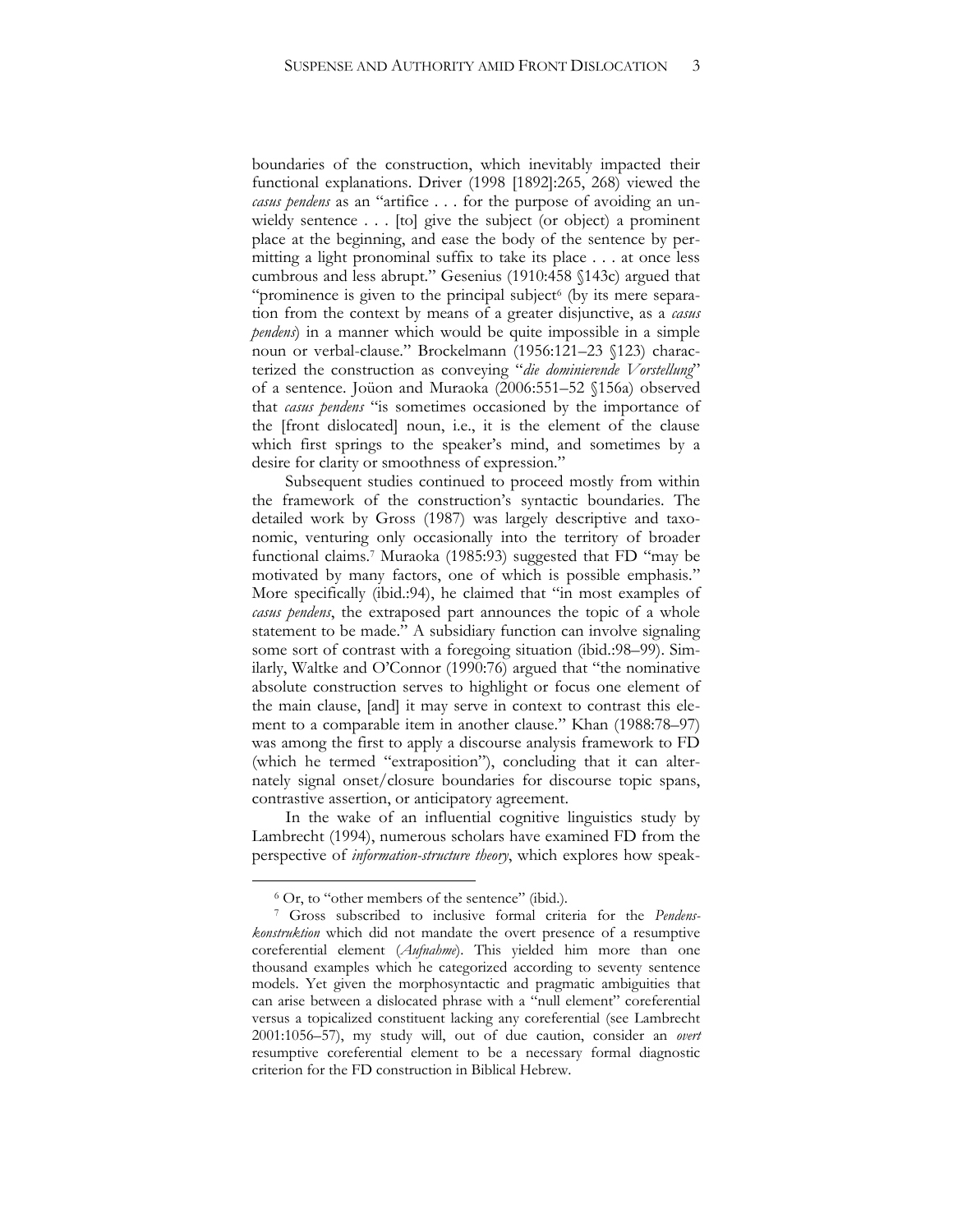boundaries of the construction, which inevitably impacted their functional explanations. Driver (1998 [1892]:265, 268) viewed the *casus pendens* as an "artifice . . . for the purpose of avoiding an unwieldy sentence . . . [to] give the subject (or object) a prominent place at the beginning, and ease the body of the sentence by permitting a light pronominal suffix to take its place . . . at once less cumbrous and less abrupt." Gesenius (1910:458 §143c) argued that "prominence is given to the principal subject<sup>6</sup> (by its mere separation from the context by means of a greater disjunctive, as a *casus pendens*) in a manner which would be quite impossible in a simple noun or verbal-clause." Brockelmann (1956:121–23 §123) characterized the construction as conveying "*die dominierende Vorstellung*" of a sentence. Joüon and Muraoka (2006:551–52 §156a) observed that *casus pendens* "is sometimes occasioned by the importance of the [front dislocated] noun, i.e., it is the element of the clause which first springs to the speaker's mind, and sometimes by a desire for clarity or smoothness of expression."

Subsequent studies continued to proceed mostly from within the framework of the construction's syntactic boundaries. The detailed work by Gross (1987) was largely descriptive and taxonomic, venturing only occasionally into the territory of broader functional claims.<sup>7</sup> Muraoka (1985:93) suggested that FD "may be motivated by many factors, one of which is possible emphasis." More specifically (ibid.:94), he claimed that "in most examples of *casus pendens*, the extraposed part announces the topic of a whole statement to be made." A subsidiary function can involve signaling some sort of contrast with a foregoing situation (ibid.:98–99). Similarly, Waltke and O'Connor (1990:76) argued that "the nominative absolute construction serves to highlight or focus one element of the main clause, [and] it may serve in context to contrast this element to a comparable item in another clause." Khan (1988:78–97) was among the first to apply a discourse analysis framework to FD (which he termed "extraposition"), concluding that it can alternately signal onset/closure boundaries for discourse topic spans, contrastive assertion, or anticipatory agreement.

In the wake of an influential cognitive linguistics study by Lambrecht (1994), numerous scholars have examined FD from the perspective of *information-structure theory*, which explores how speak-

<sup>6</sup> Or, to "other members of the sentence" (ibid.).

<sup>7</sup> Gross subscribed to inclusive formal criteria for the *Pendenskonstruktion* which did not mandate the overt presence of a resumptive coreferential element (*Aufnahme*). This yielded him more than one thousand examples which he categorized according to seventy sentence models. Yet given the morphosyntactic and pragmatic ambiguities that can arise between a dislocated phrase with a "null element" coreferential versus a topicalized constituent lacking any coreferential (see Lambrecht 2001:1056–57), my study will, out of due caution, consider an *overt*  resumptive coreferential element to be a necessary formal diagnostic criterion for the FD construction in Biblical Hebrew.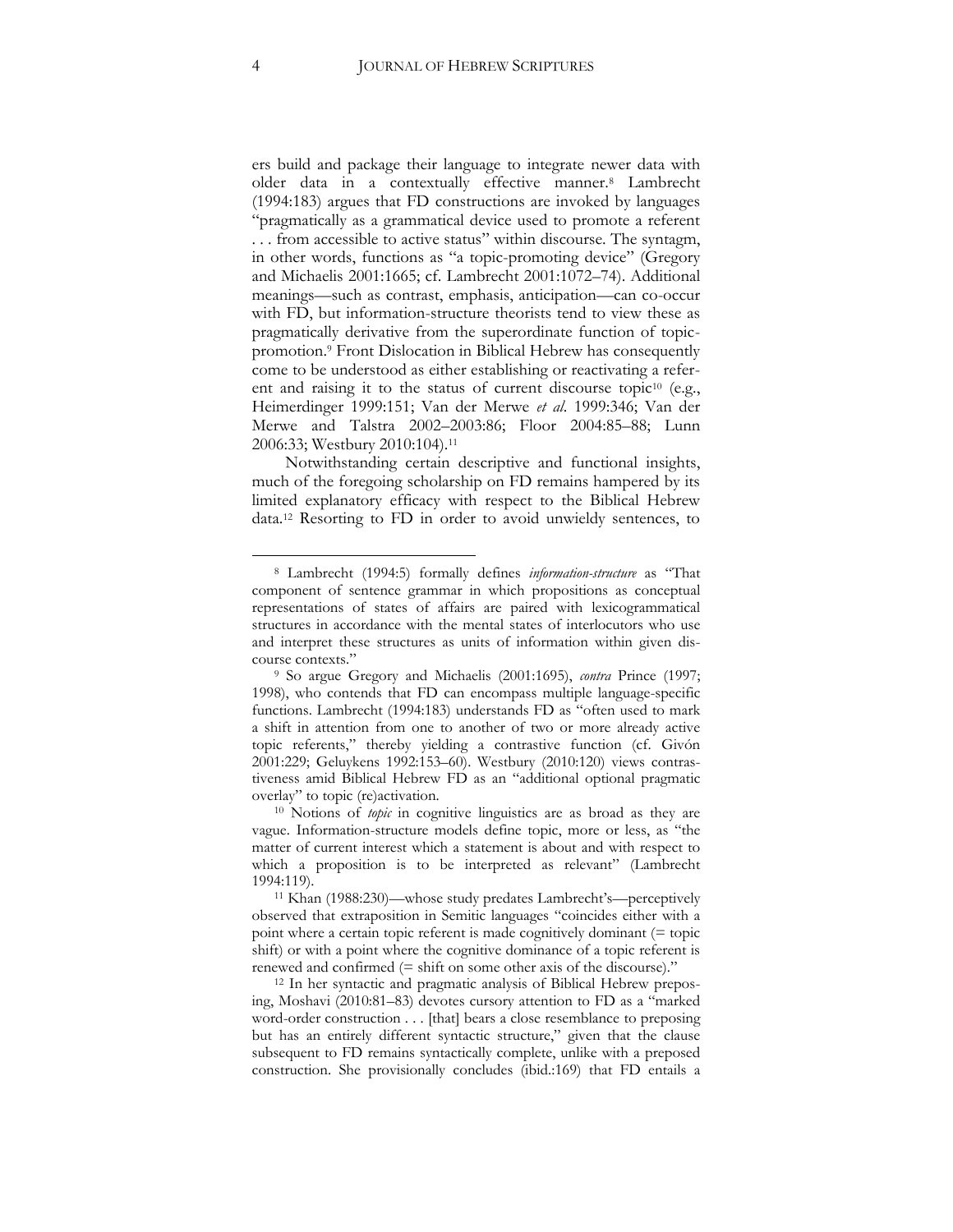ers build and package their language to integrate newer data with older data in a contextually effective manner.<sup>8</sup> Lambrecht (1994:183) argues that FD constructions are invoked by languages "pragmatically as a grammatical device used to promote a referent . . . from accessible to active status" within discourse. The syntagm, in other words, functions as "a topic-promoting device" (Gregory and Michaelis 2001:1665; cf. Lambrecht 2001:1072–74). Additional meanings—such as contrast, emphasis, anticipation—can co-occur with FD, but information-structure theorists tend to view these as pragmatically derivative from the superordinate function of topicpromotion.<sup>9</sup> Front Dislocation in Biblical Hebrew has consequently come to be understood as either establishing or reactivating a referent and raising it to the status of current discourse topic<sup>10</sup> (e.g., Heimerdinger 1999:151; Van der Merwe *et al*. 1999:346; Van der Merwe and Talstra 2002–2003:86; Floor 2004:85–88; Lunn 2006:33; Westbury 2010:104).<sup>11</sup>

Notwithstanding certain descriptive and functional insights, much of the foregoing scholarship on FD remains hampered by its limited explanatory efficacy with respect to the Biblical Hebrew data.<sup>12</sup> Resorting to FD in order to avoid unwieldy sentences, to

<sup>8</sup> Lambrecht (1994:5) formally defines *information-structure* as "That component of sentence grammar in which propositions as conceptual representations of states of affairs are paired with lexicogrammatical structures in accordance with the mental states of interlocutors who use and interpret these structures as units of information within given discourse contexts."

<sup>9</sup> So argue Gregory and Michaelis (2001:1695), *contra* Prince (1997; 1998), who contends that FD can encompass multiple language-specific functions. Lambrecht (1994:183) understands FD as "often used to mark a shift in attention from one to another of two or more already active topic referents," thereby yielding a contrastive function (cf. Givón 2001:229; Geluykens 1992:153–60). Westbury (2010:120) views contrastiveness amid Biblical Hebrew FD as an "additional optional pragmatic overlay" to topic (re)activation.

<sup>10</sup> Notions of *topic* in cognitive linguistics are as broad as they are vague. Information-structure models define topic, more or less, as "the matter of current interest which a statement is about and with respect to which a proposition is to be interpreted as relevant" (Lambrecht 1994:119).

<sup>11</sup> Khan (1988:230)—whose study predates Lambrecht's—perceptively observed that extraposition in Semitic languages "coincides either with a point where a certain topic referent is made cognitively dominant (= topic shift) or with a point where the cognitive dominance of a topic referent is renewed and confirmed (= shift on some other axis of the discourse)."

<sup>12</sup> In her syntactic and pragmatic analysis of Biblical Hebrew preposing, Moshavi (2010:81–83) devotes cursory attention to FD as a "marked word-order construction . . . [that] bears a close resemblance to preposing but has an entirely different syntactic structure," given that the clause subsequent to FD remains syntactically complete, unlike with a preposed construction. She provisionally concludes (ibid.:169) that FD entails a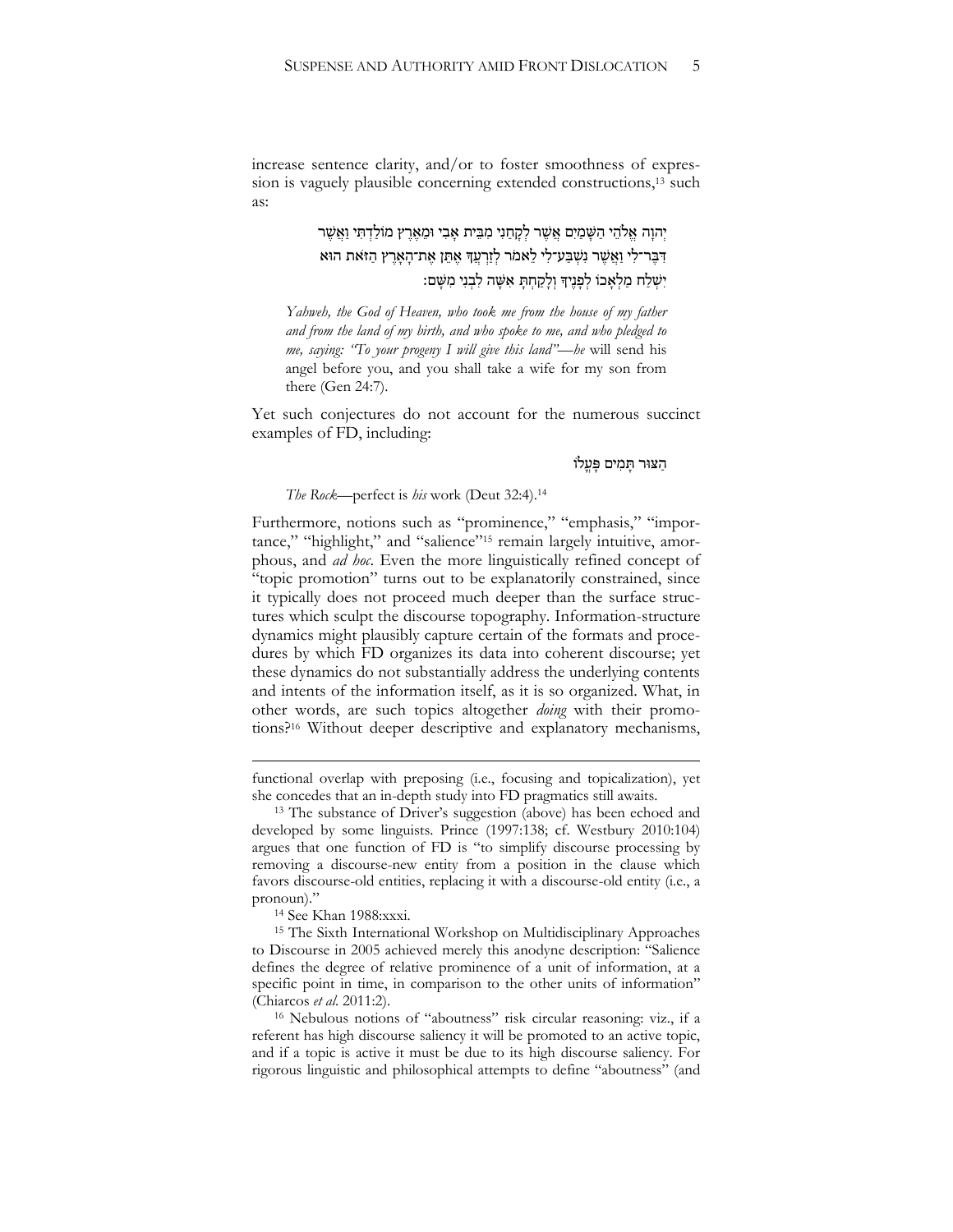increase sentence clarity, and/or to foster smoothness of expression is vaguely plausible concerning extended constructions, <sup>13</sup> such as:

> יְהוַה אֱלֹהֵי הַשַּׁמַיִם אֲשֶׁר לְקָחַנִי מִבֵּית אַבִי וּמֵאֶרֵץ מוֹלַדְתִּי וַאֲשֶׁר דִּבְּר־לִי וַאֲשֶׁר נִשְׁבַּע־לִי לֵאמֹר לְזַרְעֵדְּ אֵתֵן אֶת־הָאָרֶץ הַזֹּאת הוּא יִשְׁלַח מַלְאָֽכוֹ לְפָנֶיִךְ וְלָקַחְתָּ אִשָּׁה לִבְנִי מִשָּׁם:

*Yahweh, the God of Heaven, who took me from the house of my father and from the land of my birth, and who spoke to me, and who pledged to me, saying: "To your progeny I will give this land"—he* will send his angel before you, and you shall take a wife for my son from there (Gen 24:7).

Yet such conjectures do not account for the numerous succinct examples of FD, including:

הַ ּצּור תָּ מִּ ים פָּ עֳ לֹו

#### *The Rock*—perfect is *his* work (Deut 32:4).<sup>14</sup>

Furthermore, notions such as "prominence," "emphasis," "importance," "highlight," and "salience"<sup>15</sup> remain largely intuitive, amorphous, and *ad hoc*. Even the more linguistically refined concept of "topic promotion" turns out to be explanatorily constrained, since it typically does not proceed much deeper than the surface structures which sculpt the discourse topography. Information-structure dynamics might plausibly capture certain of the formats and procedures by which FD organizes its data into coherent discourse; yet these dynamics do not substantially address the underlying contents and intents of the information itself, as it is so organized. What, in other words, are such topics altogether *doing* with their promotions?<sup>16</sup> Without deeper descriptive and explanatory mechanisms,

1

functional overlap with preposing (i.e., focusing and topicalization), yet she concedes that an in-depth study into FD pragmatics still awaits.

<sup>&</sup>lt;sup>13</sup> The substance of Driver's suggestion (above) has been echoed and developed by some linguists. Prince (1997:138; cf. Westbury 2010:104) argues that one function of FD is "to simplify discourse processing by removing a discourse-new entity from a position in the clause which favors discourse-old entities, replacing it with a discourse-old entity (i.e., a pronoun)."

<sup>14</sup> See Khan 1988:xxxi.

<sup>15</sup> The Sixth International Workshop on Multidisciplinary Approaches to Discourse in 2005 achieved merely this anodyne description: "Salience defines the degree of relative prominence of a unit of information, at a specific point in time, in comparison to the other units of information" (Chiarcos *et al*. 2011:2).

<sup>16</sup> Nebulous notions of "aboutness" risk circular reasoning: viz., if a referent has high discourse saliency it will be promoted to an active topic, and if a topic is active it must be due to its high discourse saliency. For rigorous linguistic and philosophical attempts to define "aboutness" (and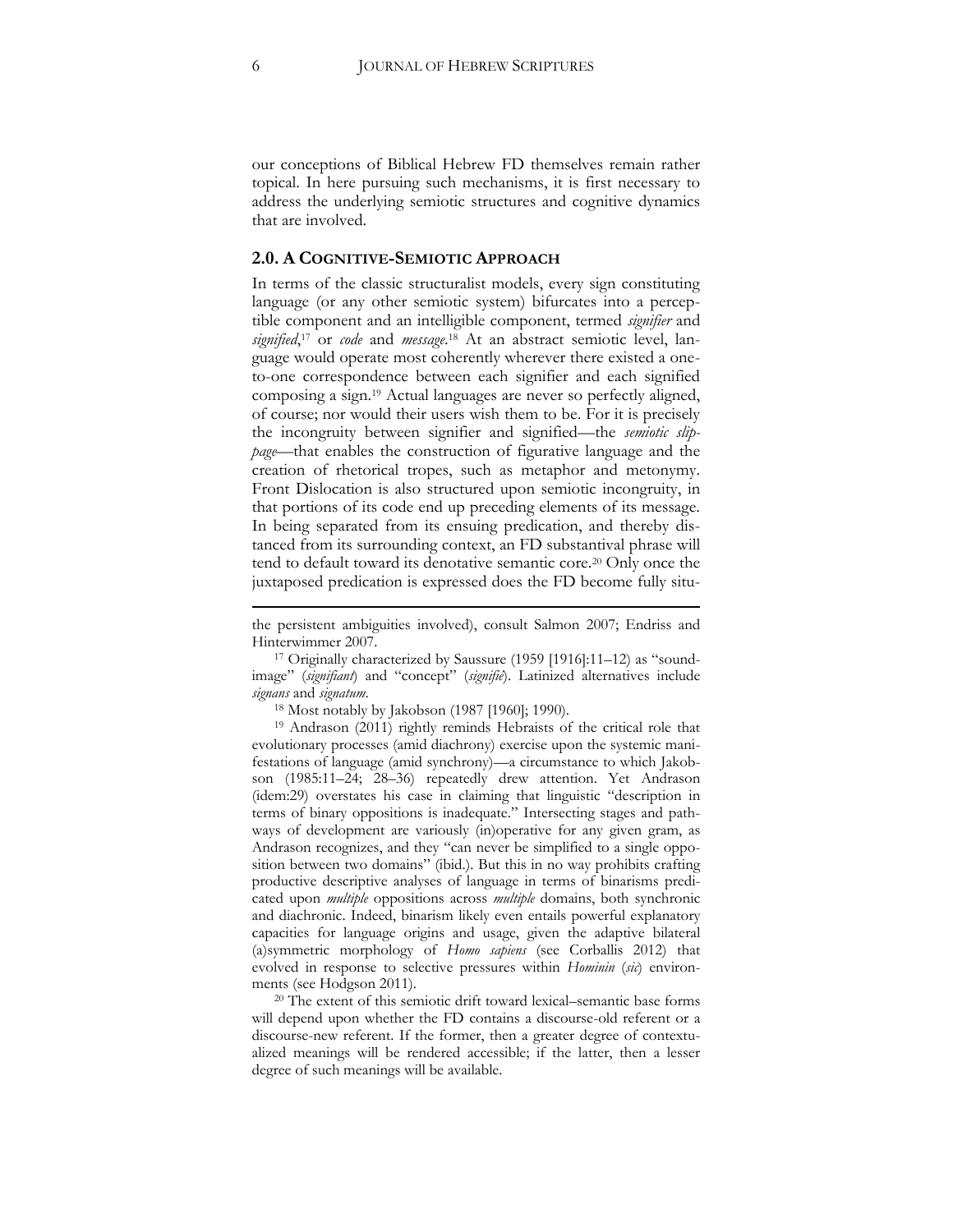our conceptions of Biblical Hebrew FD themselves remain rather topical. In here pursuing such mechanisms, it is first necessary to address the underlying semiotic structures and cognitive dynamics that are involved.

## **2.0. A COGNITIVE-SEMIOTIC APPROACH**

In terms of the classic structuralist models, every sign constituting language (or any other semiotic system) bifurcates into a perceptible component and an intelligible component, termed *signifier* and *signified*, <sup>17</sup> or *code* and *message*. <sup>18</sup> At an abstract semiotic level, language would operate most coherently wherever there existed a oneto-one correspondence between each signifier and each signified composing a sign.<sup>19</sup> Actual languages are never so perfectly aligned, of course; nor would their users wish them to be. For it is precisely the incongruity between signifier and signified—the *semiotic slippage*—that enables the construction of figurative language and the creation of rhetorical tropes, such as metaphor and metonymy. Front Dislocation is also structured upon semiotic incongruity, in that portions of its code end up preceding elements of its message. In being separated from its ensuing predication, and thereby distanced from its surrounding context, an FD substantival phrase will tend to default toward its denotative semantic core.<sup>20</sup> Only once the juxtaposed predication is expressed does the FD become fully situ-

<sup>18</sup> Most notably by Jakobson (1987 [1960]; 1990).

<sup>19</sup> Andrason (2011) rightly reminds Hebraists of the critical role that evolutionary processes (amid diachrony) exercise upon the systemic manifestations of language (amid synchrony)—a circumstance to which Jakobson (1985:11–24; 28–36) repeatedly drew attention. Yet Andrason (idem:29) overstates his case in claiming that linguistic "description in terms of binary oppositions is inadequate." Intersecting stages and pathways of development are variously (in)operative for any given gram, as Andrason recognizes, and they "can never be simplified to a single opposition between two domains" (ibid.). But this in no way prohibits crafting productive descriptive analyses of language in terms of binarisms predicated upon *multiple* oppositions across *multiple* domains, both synchronic and diachronic. Indeed, binarism likely even entails powerful explanatory capacities for language origins and usage, given the adaptive bilateral (a)symmetric morphology of *Homo sapiens* (see Corballis 2012) that evolved in response to selective pressures within *Hominin* (*sic*) environments (see Hodgson 2011).

<sup>20</sup> The extent of this semiotic drift toward lexical–semantic base forms will depend upon whether the FD contains a discourse-old referent or a discourse-new referent. If the former, then a greater degree of contextualized meanings will be rendered accessible; if the latter, then a lesser degree of such meanings will be available.

1

the persistent ambiguities involved), consult Salmon 2007; Endriss and Hinterwimmer 2007.

<sup>17</sup> Originally characterized by Saussure (1959 [1916]:11–12) as "soundimage" (*signifiant*) and "concept" (*signifié*). Latinized alternatives include *signans* and *signatum*.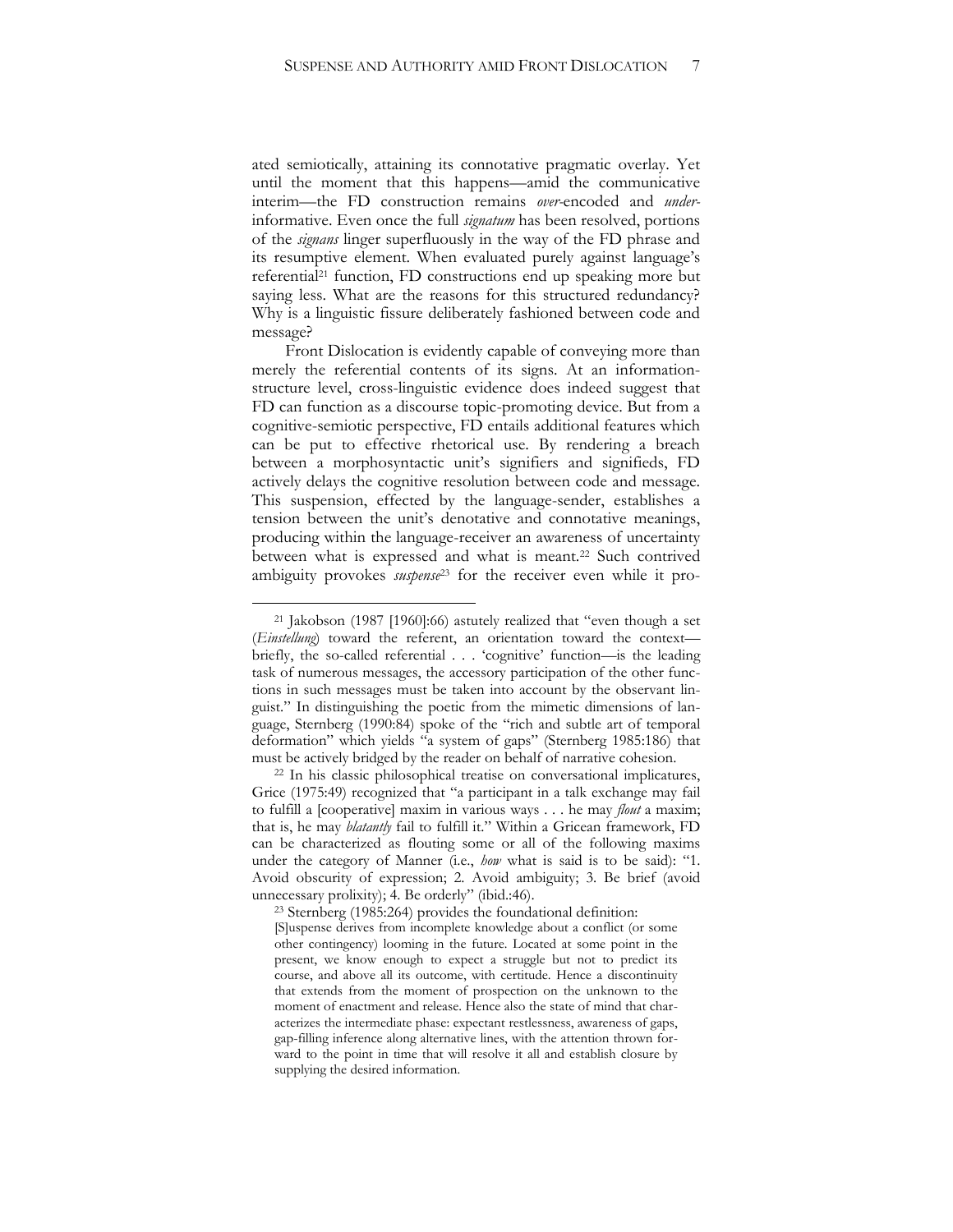ated semiotically, attaining its connotative pragmatic overlay. Yet until the moment that this happens—amid the communicative interim—the FD construction remains *over-*encoded and *under*informative. Even once the full *signatum* has been resolved, portions of the *signans* linger superfluously in the way of the FD phrase and its resumptive element. When evaluated purely against language's referential<sup>21</sup> function, FD constructions end up speaking more but saying less. What are the reasons for this structured redundancy? Why is a linguistic fissure deliberately fashioned between code and message?

Front Dislocation is evidently capable of conveying more than merely the referential contents of its signs. At an informationstructure level, cross-linguistic evidence does indeed suggest that FD can function as a discourse topic-promoting device. But from a cognitive-semiotic perspective, FD entails additional features which can be put to effective rhetorical use. By rendering a breach between a morphosyntactic unit's signifiers and signifieds, FD actively delays the cognitive resolution between code and message. This suspension, effected by the language-sender, establishes a tension between the unit's denotative and connotative meanings, producing within the language-receiver an awareness of uncertainty between what is expressed and what is meant.<sup>22</sup> Such contrived ambiguity provokes *suspense*<sup>23</sup> for the receiver even while it pro-

<sup>21</sup> Jakobson (1987 [1960]:66) astutely realized that "even though a set (*Einstellung*) toward the referent, an orientation toward the context briefly, the so-called referential . . . 'cognitive' function—is the leading task of numerous messages, the accessory participation of the other functions in such messages must be taken into account by the observant linguist." In distinguishing the poetic from the mimetic dimensions of language, Sternberg (1990:84) spoke of the "rich and subtle art of temporal deformation" which yields "a system of gaps" (Sternberg 1985:186) that must be actively bridged by the reader on behalf of narrative cohesion.

<sup>22</sup> In his classic philosophical treatise on conversational implicatures, Grice (1975:49) recognized that "a participant in a talk exchange may fail to fulfill a [cooperative] maxim in various ways . . . he may *flout* a maxim; that is, he may *blatantly* fail to fulfill it." Within a Gricean framework, FD can be characterized as flouting some or all of the following maxims under the category of Manner (i.e., *how* what is said is to be said): "1. Avoid obscurity of expression; 2. Avoid ambiguity; 3. Be brief (avoid unnecessary prolixity); 4. Be orderly" (ibid.:46).

<sup>23</sup> Sternberg (1985:264) provides the foundational definition: [S]uspense derives from incomplete knowledge about a conflict (or some other contingency) looming in the future. Located at some point in the present, we know enough to expect a struggle but not to predict its course, and above all its outcome, with certitude. Hence a discontinuity that extends from the moment of prospection on the unknown to the moment of enactment and release. Hence also the state of mind that characterizes the intermediate phase: expectant restlessness, awareness of gaps, gap-filling inference along alternative lines, with the attention thrown forward to the point in time that will resolve it all and establish closure by supplying the desired information.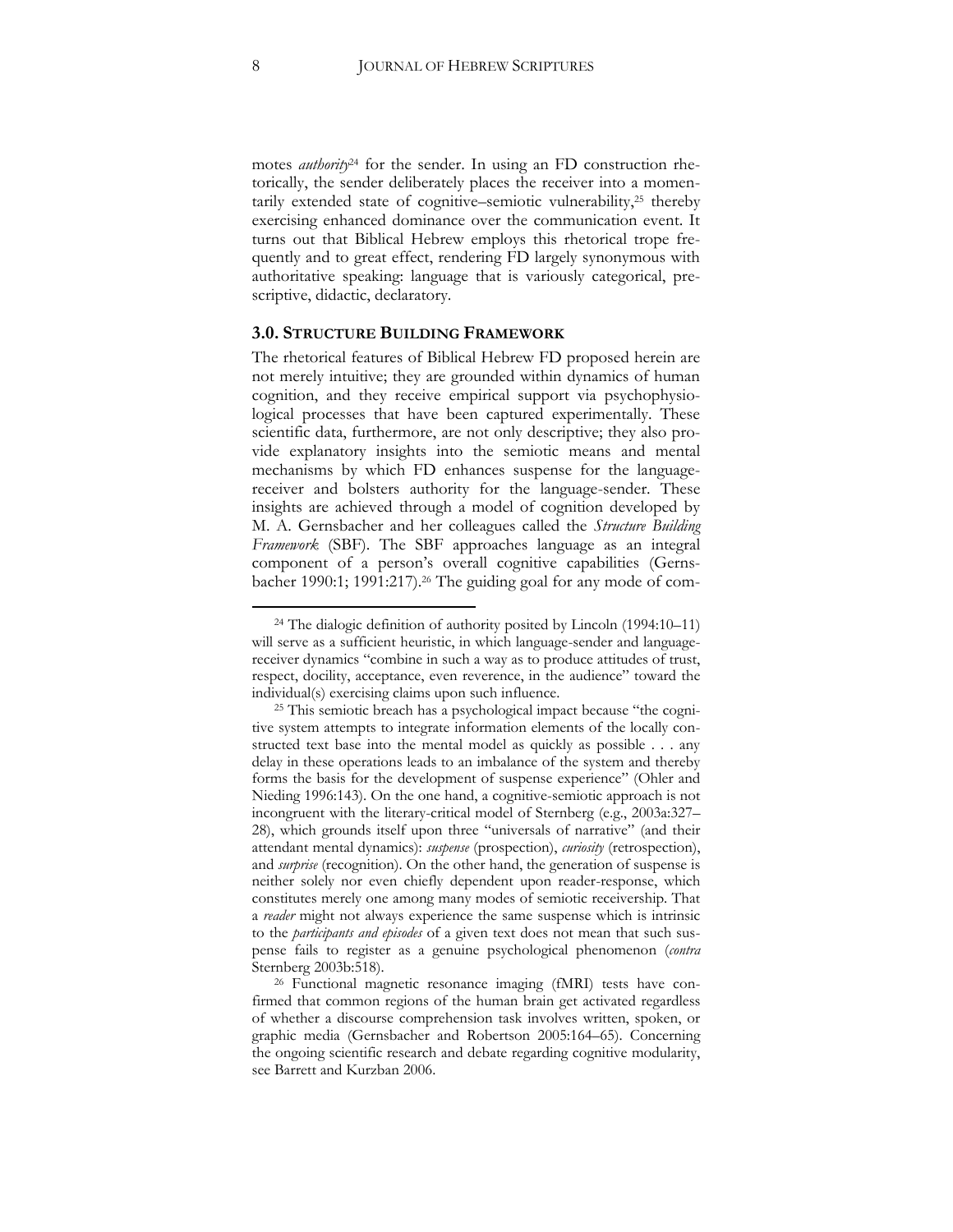motes *authority*<sup>24</sup> for the sender. In using an FD construction rhetorically, the sender deliberately places the receiver into a momentarily extended state of cognitive–semiotic vulnerability,<sup>25</sup> thereby exercising enhanced dominance over the communication event. It turns out that Biblical Hebrew employs this rhetorical trope frequently and to great effect, rendering FD largely synonymous with authoritative speaking: language that is variously categorical, prescriptive, didactic, declaratory.

#### **3.0. STRUCTURE BUILDING FRAMEWORK**

The rhetorical features of Biblical Hebrew FD proposed herein are not merely intuitive; they are grounded within dynamics of human cognition, and they receive empirical support via psychophysiological processes that have been captured experimentally. These scientific data, furthermore, are not only descriptive; they also provide explanatory insights into the semiotic means and mental mechanisms by which FD enhances suspense for the languagereceiver and bolsters authority for the language-sender. These insights are achieved through a model of cognition developed by M. A. Gernsbacher and her colleagues called the *Structure Building Framework* (SBF). The SBF approaches language as an integral component of a person's overall cognitive capabilities (Gernsbacher 1990:1; 1991:217).<sup>26</sup> The guiding goal for any mode of com-

<sup>24</sup> The dialogic definition of authority posited by Lincoln (1994:10–11) will serve as a sufficient heuristic, in which language-sender and languagereceiver dynamics "combine in such a way as to produce attitudes of trust, respect, docility, acceptance, even reverence, in the audience" toward the individual(s) exercising claims upon such influence.

<sup>&</sup>lt;sup>25</sup> This semiotic breach has a psychological impact because "the cognitive system attempts to integrate information elements of the locally constructed text base into the mental model as quickly as possible . . . any delay in these operations leads to an imbalance of the system and thereby forms the basis for the development of suspense experience" (Ohler and Nieding 1996:143). On the one hand, a cognitive-semiotic approach is not incongruent with the literary-critical model of Sternberg (e.g., 2003a:327– 28), which grounds itself upon three "universals of narrative" (and their attendant mental dynamics): *suspense* (prospection), *curiosity* (retrospection), and *surprise* (recognition). On the other hand, the generation of suspense is neither solely nor even chiefly dependent upon reader-response, which constitutes merely one among many modes of semiotic receivership. That a *reader* might not always experience the same suspense which is intrinsic to the *participants and episodes* of a given text does not mean that such suspense fails to register as a genuine psychological phenomenon (*contra*  Sternberg 2003b:518).

<sup>26</sup> Functional magnetic resonance imaging (fMRI) tests have confirmed that common regions of the human brain get activated regardless of whether a discourse comprehension task involves written, spoken, or graphic media (Gernsbacher and Robertson 2005:164–65). Concerning the ongoing scientific research and debate regarding cognitive modularity, see Barrett and Kurzban 2006.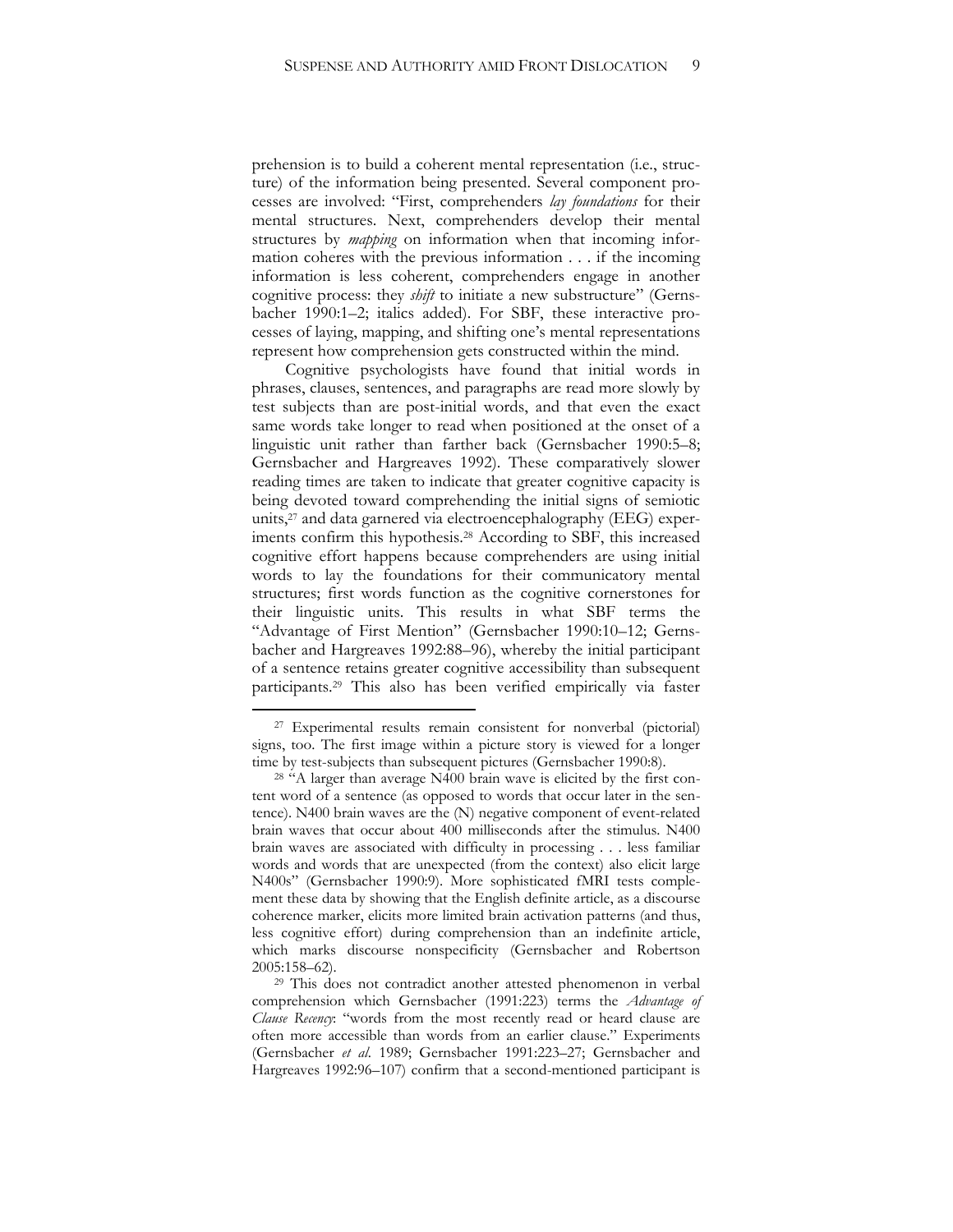prehension is to build a coherent mental representation (i.e., structure) of the information being presented. Several component processes are involved: "First, comprehenders *lay foundations* for their mental structures. Next, comprehenders develop their mental structures by *mapping* on information when that incoming information coheres with the previous information . . . if the incoming information is less coherent, comprehenders engage in another cognitive process: they *shift* to initiate a new substructure" (Gernsbacher 1990:1–2; italics added). For SBF, these interactive processes of laying, mapping, and shifting one's mental representations represent how comprehension gets constructed within the mind.

Cognitive psychologists have found that initial words in phrases, clauses, sentences, and paragraphs are read more slowly by test subjects than are post-initial words, and that even the exact same words take longer to read when positioned at the onset of a linguistic unit rather than farther back (Gernsbacher 1990:5–8; Gernsbacher and Hargreaves 1992). These comparatively slower reading times are taken to indicate that greater cognitive capacity is being devoted toward comprehending the initial signs of semiotic units,<sup>27</sup> and data garnered via electroencephalography (EEG) experiments confirm this hypothesis.<sup>28</sup> According to SBF, this increased cognitive effort happens because comprehenders are using initial words to lay the foundations for their communicatory mental structures; first words function as the cognitive cornerstones for their linguistic units. This results in what SBF terms the "Advantage of First Mention" (Gernsbacher 1990:10–12; Gernsbacher and Hargreaves 1992:88–96), whereby the initial participant of a sentence retains greater cognitive accessibility than subsequent participants.<sup>29</sup> This also has been verified empirically via faster

<sup>27</sup> Experimental results remain consistent for nonverbal (pictorial) signs, too. The first image within a picture story is viewed for a longer time by test-subjects than subsequent pictures (Gernsbacher 1990:8).

<sup>&</sup>lt;sup>28</sup> "A larger than average N400 brain wave is elicited by the first content word of a sentence (as opposed to words that occur later in the sentence). N400 brain waves are the (N) negative component of event-related brain waves that occur about 400 milliseconds after the stimulus. N400 brain waves are associated with difficulty in processing . . . less familiar words and words that are unexpected (from the context) also elicit large N400s" (Gernsbacher 1990:9). More sophisticated fMRI tests complement these data by showing that the English definite article, as a discourse coherence marker, elicits more limited brain activation patterns (and thus, less cognitive effort) during comprehension than an indefinite article, which marks discourse nonspecificity (Gernsbacher and Robertson 2005:158–62).

<sup>29</sup> This does not contradict another attested phenomenon in verbal comprehension which Gernsbacher (1991:223) terms the *Advantage of Clause Recency*: "words from the most recently read or heard clause are often more accessible than words from an earlier clause." Experiments (Gernsbacher *et al*. 1989; Gernsbacher 1991:223–27; Gernsbacher and Hargreaves 1992:96–107) confirm that a second-mentioned participant is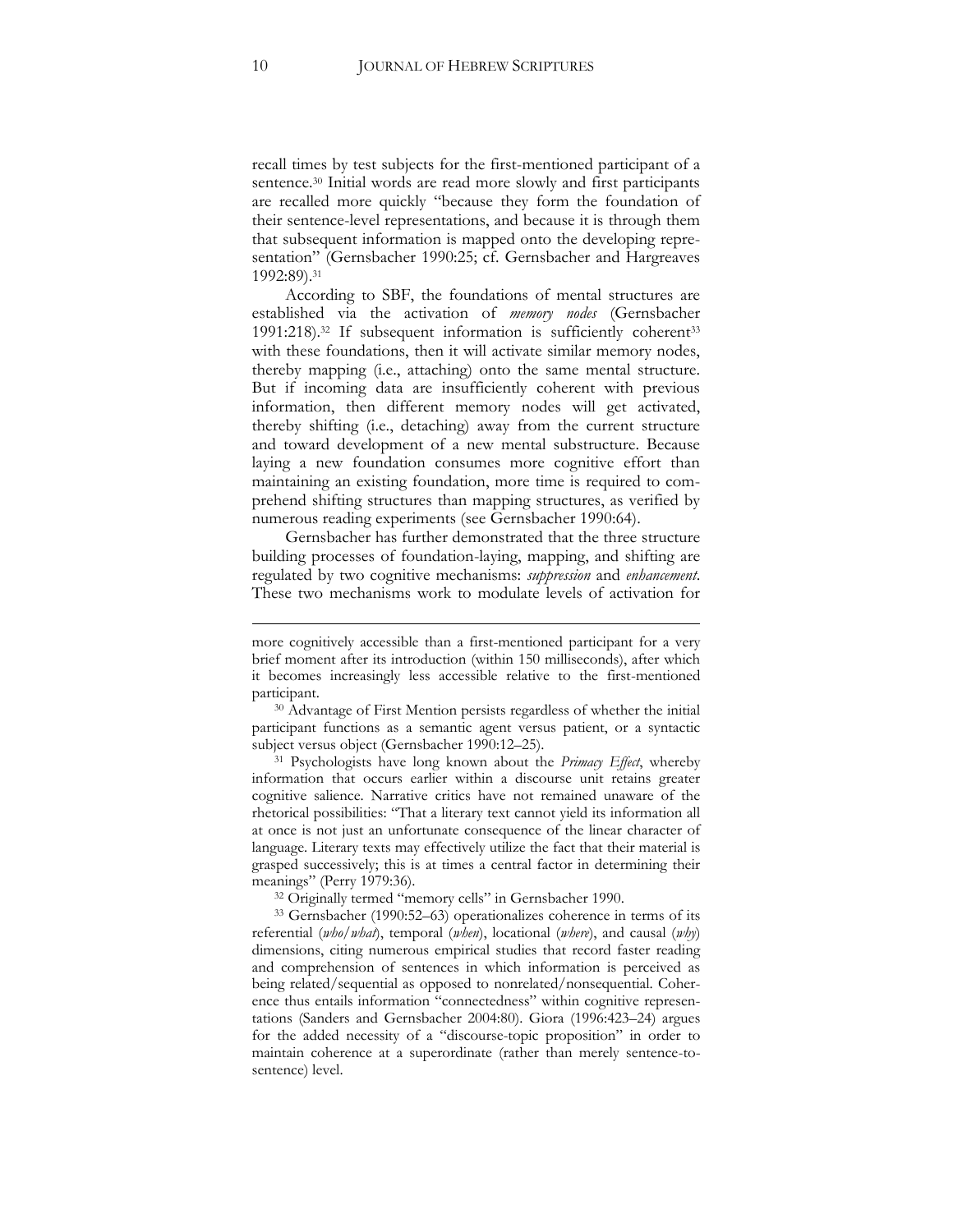recall times by test subjects for the first-mentioned participant of a sentence.<sup>30</sup> Initial words are read more slowly and first participants are recalled more quickly "because they form the foundation of their sentence-level representations, and because it is through them that subsequent information is mapped onto the developing representation" (Gernsbacher 1990:25; cf. Gernsbacher and Hargreaves 1992:89).<sup>31</sup>

According to SBF, the foundations of mental structures are established via the activation of *memory nodes* (Gernsbacher 1991:218).<sup>32</sup> If subsequent information is sufficiently coherent<sup>33</sup> with these foundations, then it will activate similar memory nodes, thereby mapping (i.e., attaching) onto the same mental structure. But if incoming data are insufficiently coherent with previous information, then different memory nodes will get activated, thereby shifting (i.e., detaching) away from the current structure and toward development of a new mental substructure. Because laying a new foundation consumes more cognitive effort than maintaining an existing foundation, more time is required to comprehend shifting structures than mapping structures, as verified by numerous reading experiments (see Gernsbacher 1990:64).

Gernsbacher has further demonstrated that the three structure building processes of foundation-laying, mapping, and shifting are regulated by two cognitive mechanisms: *suppression* and *enhancement*. These two mechanisms work to modulate levels of activation for

1

more cognitively accessible than a first-mentioned participant for a very brief moment after its introduction (within 150 milliseconds), after which it becomes increasingly less accessible relative to the first-mentioned participant.

<sup>30</sup> Advantage of First Mention persists regardless of whether the initial participant functions as a semantic agent versus patient, or a syntactic subject versus object (Gernsbacher 1990:12–25).

<sup>31</sup> Psychologists have long known about the *Primacy Effect*, whereby information that occurs earlier within a discourse unit retains greater cognitive salience. Narrative critics have not remained unaware of the rhetorical possibilities: "That a literary text cannot yield its information all at once is not just an unfortunate consequence of the linear character of language. Literary texts may effectively utilize the fact that their material is grasped successively; this is at times a central factor in determining their meanings" (Perry 1979:36).

<sup>32</sup> Originally termed "memory cells" in Gernsbacher 1990.

<sup>33</sup> Gernsbacher (1990:52–63) operationalizes coherence in terms of its referential (*who/what*), temporal (*when*), locational (*where*), and causal (*why*) dimensions, citing numerous empirical studies that record faster reading and comprehension of sentences in which information is perceived as being related/sequential as opposed to nonrelated/nonsequential. Coherence thus entails information "connectedness" within cognitive representations (Sanders and Gernsbacher 2004:80). Giora (1996:423–24) argues for the added necessity of a "discourse-topic proposition" in order to maintain coherence at a superordinate (rather than merely sentence-tosentence) level.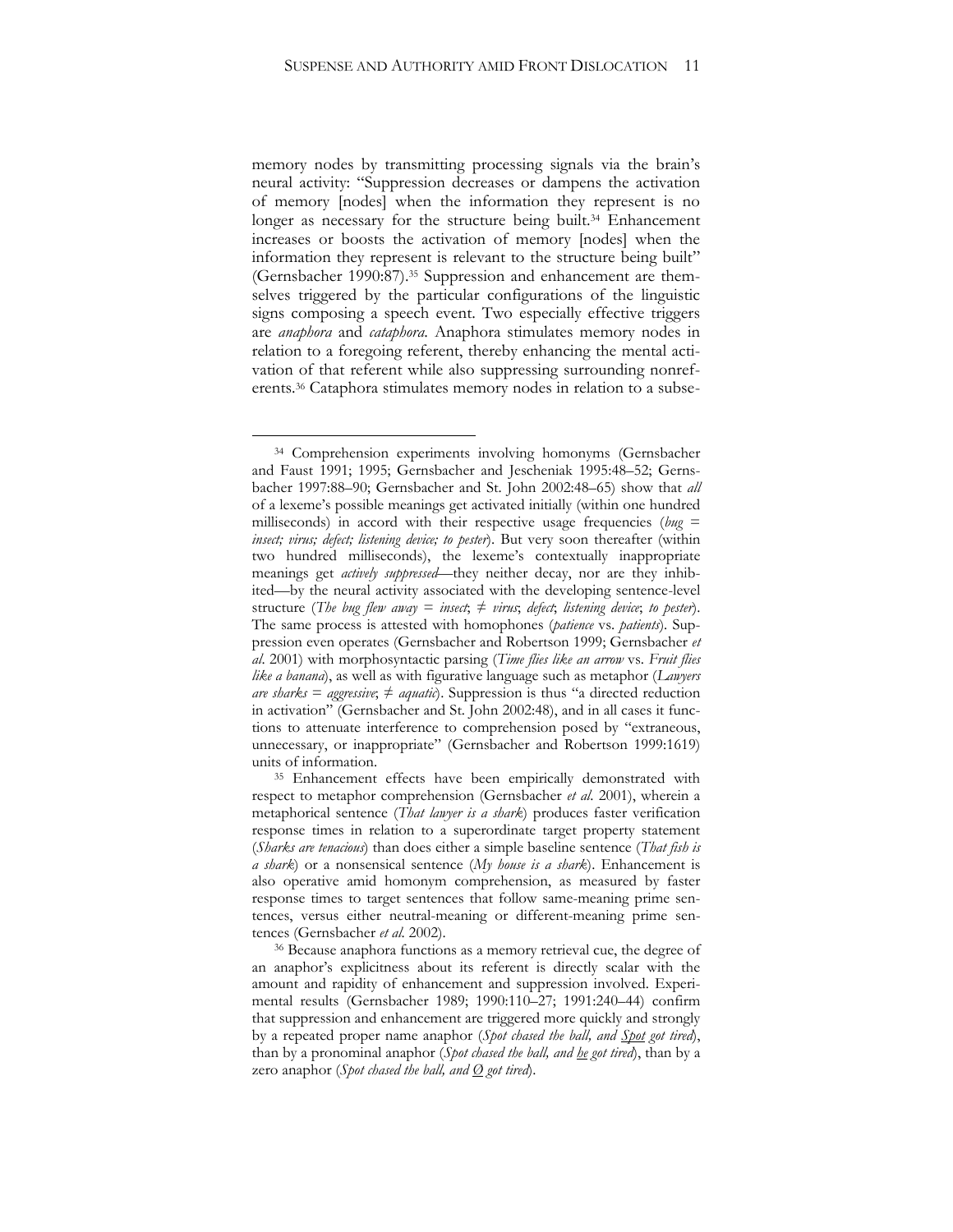memory nodes by transmitting processing signals via the brain's neural activity: "Suppression decreases or dampens the activation of memory [nodes] when the information they represent is no longer as necessary for the structure being built.<sup>34</sup> Enhancement increases or boosts the activation of memory [nodes] when the information they represent is relevant to the structure being built" (Gernsbacher 1990:87).<sup>35</sup> Suppression and enhancement are themselves triggered by the particular configurations of the linguistic signs composing a speech event. Two especially effective triggers are *anaphora* and *cataphora*. Anaphora stimulates memory nodes in relation to a foregoing referent, thereby enhancing the mental activation of that referent while also suppressing surrounding nonreferents.<sup>36</sup> Cataphora stimulates memory nodes in relation to a subse-

<sup>34</sup> Comprehension experiments involving homonyms (Gernsbacher and Faust 1991; 1995; Gernsbacher and Jescheniak 1995:48–52; Gernsbacher 1997:88–90; Gernsbacher and St. John 2002:48–65) show that *all*  of a lexeme's possible meanings get activated initially (within one hundred milliseconds) in accord with their respective usage frequencies (*bug* = *insect; virus; defect; listening device; to pester*). But very soon thereafter (within two hundred milliseconds), the lexeme's contextually inappropriate meanings get *actively suppressed*—they neither decay, nor are they inhibited—by the neural activity associated with the developing sentence-level structure (*The bug flew away* = *insect*;  $\neq$  *virus*; *defect*; *listening device*; *to pester*). The same process is attested with homophones (*patience* vs. *patients*). Suppression even operates (Gernsbacher and Robertson 1999; Gernsbacher *et al*. 2001) with morphosyntactic parsing (*Time flies like an arrow* vs. *Fruit flies like a banana*), as well as with figurative language such as metaphor (*Lawyers are sharks = aggressive*;  $\neq$  *aquatic*). Suppression is thus "a directed reduction in activation" (Gernsbacher and St. John 2002:48), and in all cases it functions to attenuate interference to comprehension posed by "extraneous, unnecessary, or inappropriate" (Gernsbacher and Robertson 1999:1619) units of information.

<sup>&</sup>lt;sup>35</sup> Enhancement effects have been empirically demonstrated with respect to metaphor comprehension (Gernsbacher *et al*. 2001), wherein a metaphorical sentence (*That lawyer is a shark*) produces faster verification response times in relation to a superordinate target property statement (*Sharks are tenacious*) than does either a simple baseline sentence (*That fish is a shark*) or a nonsensical sentence (*My house is a shark*). Enhancement is also operative amid homonym comprehension, as measured by faster response times to target sentences that follow same-meaning prime sentences, versus either neutral-meaning or different-meaning prime sentences (Gernsbacher *et al*. 2002).

<sup>36</sup> Because anaphora functions as a memory retrieval cue, the degree of an anaphor's explicitness about its referent is directly scalar with the amount and rapidity of enhancement and suppression involved. Experimental results (Gernsbacher 1989; 1990:110–27; 1991:240–44) confirm that suppression and enhancement are triggered more quickly and strongly by a repeated proper name anaphor (*Spot chased the ball, and Spot got tired*), than by a pronominal anaphor (*Spot chased the ball, and he got tired*), than by a zero anaphor (*Spot chased the ball, and Ø got tired*).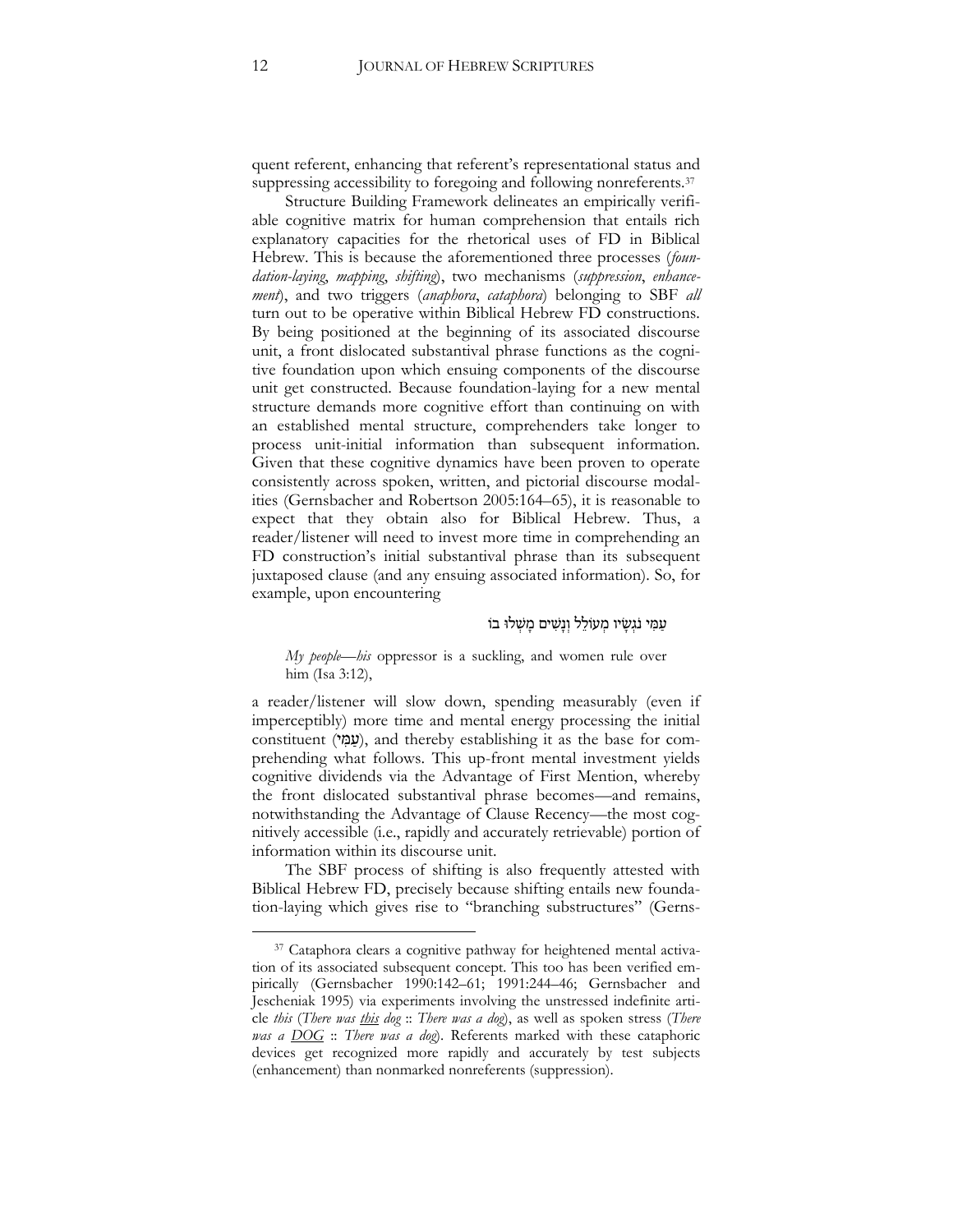quent referent, enhancing that referent's representational status and suppressing accessibility to foregoing and following nonreferents.<sup>37</sup>

Structure Building Framework delineates an empirically verifiable cognitive matrix for human comprehension that entails rich explanatory capacities for the rhetorical uses of FD in Biblical Hebrew. This is because the aforementioned three processes (*foundation-laying*, *mapping*, *shifting*), two mechanisms (*suppression*, *enhancement*), and two triggers (*anaphora*, *cataphora*) belonging to SBF *all* turn out to be operative within Biblical Hebrew FD constructions. By being positioned at the beginning of its associated discourse unit, a front dislocated substantival phrase functions as the cognitive foundation upon which ensuing components of the discourse unit get constructed. Because foundation-laying for a new mental structure demands more cognitive effort than continuing on with an established mental structure, comprehenders take longer to process unit-initial information than subsequent information. Given that these cognitive dynamics have been proven to operate consistently across spoken, written, and pictorial discourse modalities (Gernsbacher and Robertson 2005:164–65), it is reasonable to expect that they obtain also for Biblical Hebrew. Thus, a reader/listener will need to invest more time in comprehending an FD construction's initial substantival phrase than its subsequent juxtaposed clause (and any ensuing associated information). So, for example, upon encountering

#### עַמִּי נֹגְשַׂיו מְעוֹלֵל וְנַשִּׁים מַשְׁלוּ בוֹ

#### *My people*—*his* oppressor is a suckling, and women rule over him (Isa 3:12),

a reader/listener will slow down, spending measurably (even if imperceptibly) more time and mental energy processing the initial constituent (עָמָי), and thereby establishing it as the base for comprehending what follows. This up-front mental investment yields cognitive dividends via the Advantage of First Mention, whereby the front dislocated substantival phrase becomes—and remains, notwithstanding the Advantage of Clause Recency—the most cognitively accessible (i.e., rapidly and accurately retrievable) portion of information within its discourse unit.

The SBF process of shifting is also frequently attested with Biblical Hebrew FD, precisely because shifting entails new foundation-laying which gives rise to "branching substructures" (Gerns-

<sup>&</sup>lt;sup>37</sup> Cataphora clears a cognitive pathway for heightened mental activation of its associated subsequent concept. This too has been verified empirically (Gernsbacher 1990:142–61; 1991:244–46; Gernsbacher and Jescheniak 1995) via experiments involving the unstressed indefinite article *this* (*There was this dog* :: *There was a dog*), as well as spoken stress (*There was a DOG* :: *There was a dog*). Referents marked with these cataphoric devices get recognized more rapidly and accurately by test subjects (enhancement) than nonmarked nonreferents (suppression).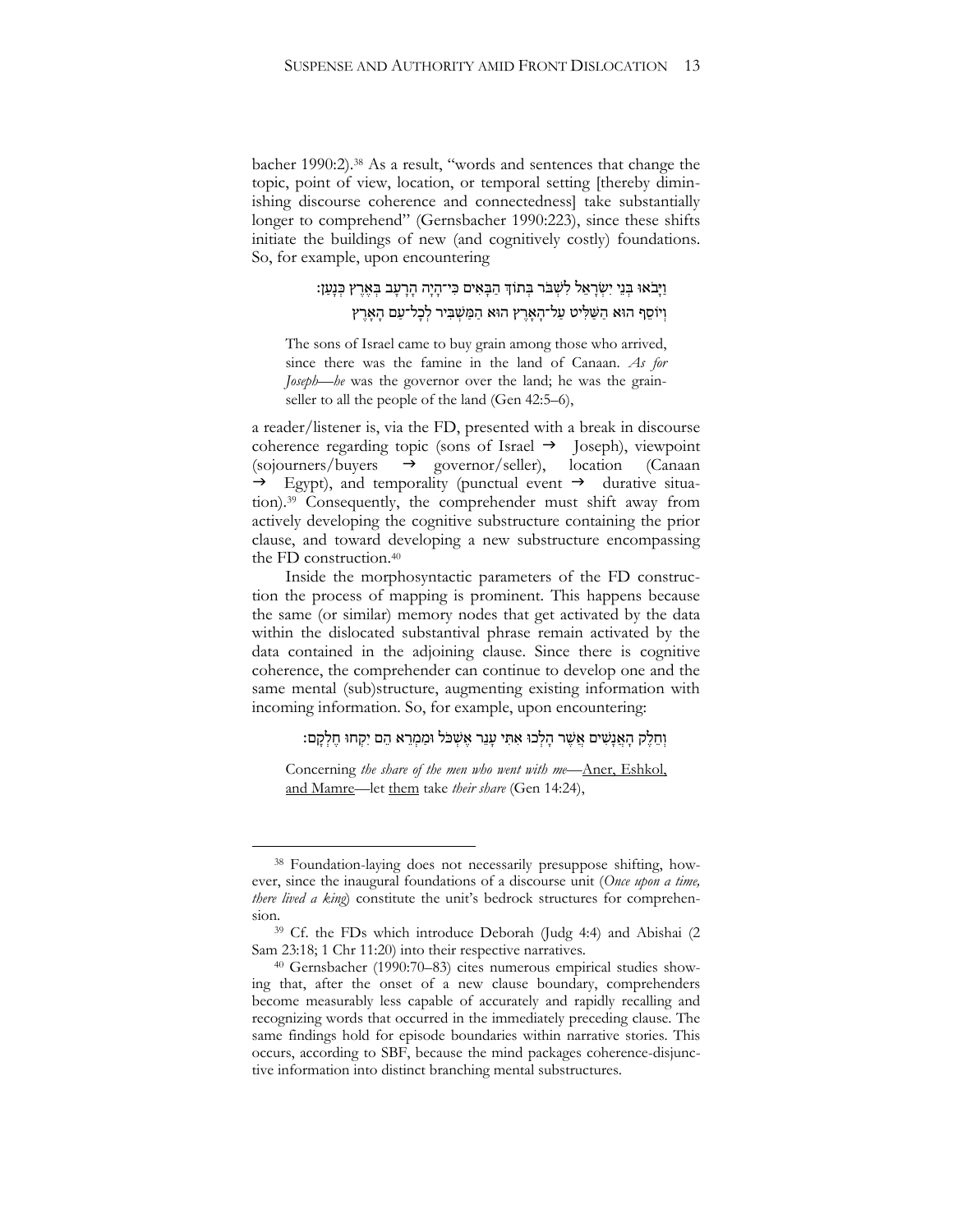bacher 1990:2).<sup>38</sup> As a result, "words and sentences that change the topic, point of view, location, or temporal setting [thereby diminishing discourse coherence and connectedness] take substantially longer to comprehend" (Gernsbacher 1990:223), since these shifts initiate the buildings of new (and cognitively costly) foundations. So, for example, upon encountering

# וַיָּבֹאוּ בִּנֵי יִשְׂרָאֵל לִשְׁבֹּר בְּתוֹךְ הַבְּאִים כִּי־הָיָה הָרָעָב בְּאֶרֶץ כְּנָעַן: וְיֹוֹסֵף הוּא הַשַּׁלִּיט עַל־הַאָרֵץ הוּא הַמַּשְׁבִּיר לְכָל־עַם הָאָרֵץ

The sons of Israel came to buy grain among those who arrived, since there was the famine in the land of Canaan. *As for Joseph—he* was the governor over the land; he was the grainseller to all the people of the land (Gen 42:5–6),

a reader/listener is, via the FD, presented with a break in discourse coherence regarding topic (sons of Israel  $\rightarrow$  Joseph), viewpoint  $\langle \text{sojournals/buyers} \rightarrow \text{governor/seller} \rangle$ , location (Canaan  $\rightarrow$  Egypt), and temporality (punctual event  $\rightarrow$  durative situation).<sup>39</sup> Consequently, the comprehender must shift away from actively developing the cognitive substructure containing the prior clause, and toward developing a new substructure encompassing the FD construction.<sup>40</sup>

Inside the morphosyntactic parameters of the FD construction the process of mapping is prominent. This happens because the same (or similar) memory nodes that get activated by the data within the dislocated substantival phrase remain activated by the data contained in the adjoining clause. Since there is cognitive coherence, the comprehender can continue to develop one and the same mental (sub)structure, augmenting existing information with incoming information. So, for example, upon encountering:

## וְחֵלֶק הָאֲנָשִׁים אֲשֶׁר הָלְכוּ אִתְּי עָנֵר אֵשְׁכֹּל וּמַמְרֵא הֵם יִקְחוּ חֵלְקָם:

Concerning *the share of the men who went with me*—Aner, Eshkol, and Mamre—let them take *their share* (Gen 14:24),

<sup>38</sup> Foundation-laying does not necessarily presuppose shifting, however, since the inaugural foundations of a discourse unit (*Once upon a time, there lived a king*) constitute the unit's bedrock structures for comprehension.

<sup>39</sup> Cf. the FDs which introduce Deborah (Judg 4:4) and Abishai (2 Sam 23:18; 1 Chr 11:20) into their respective narratives.

<sup>40</sup> Gernsbacher (1990:70–83) cites numerous empirical studies showing that, after the onset of a new clause boundary, comprehenders become measurably less capable of accurately and rapidly recalling and recognizing words that occurred in the immediately preceding clause. The same findings hold for episode boundaries within narrative stories. This occurs, according to SBF, because the mind packages coherence-disjunctive information into distinct branching mental substructures.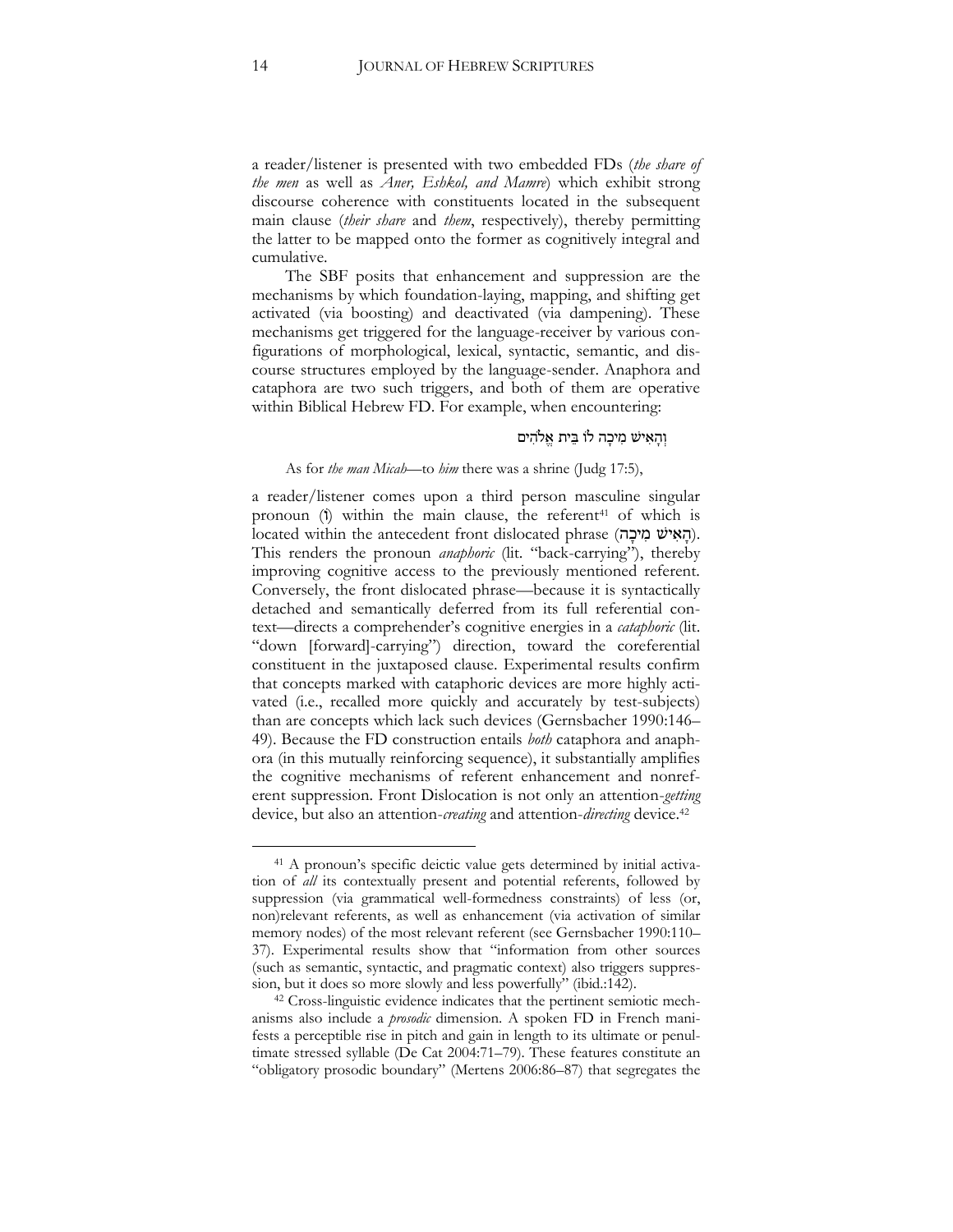a reader/listener is presented with two embedded FDs (*the share of the men* as well as *Aner, Eshkol, and Mamre*) which exhibit strong discourse coherence with constituents located in the subsequent main clause (*their share* and *them*, respectively), thereby permitting the latter to be mapped onto the former as cognitively integral and cumulative.

The SBF posits that enhancement and suppression are the mechanisms by which foundation-laying, mapping, and shifting get activated (via boosting) and deactivated (via dampening). These mechanisms get triggered for the language-receiver by various configurations of morphological, lexical, syntactic, semantic, and discourse structures employed by the language-sender. Anaphora and cataphora are two such triggers, and both of them are operative within Biblical Hebrew FD. For example, when encountering:

## וְהָאִישׁ מִיכָה לו בֵית אֱלֹהִים

#### As for *the man Micah*—to *him* there was a shrine (Judg 17:5),

a reader/listener comes upon a third person masculine singular pronoun (i) within the main clause, the referent<sup>41</sup> of which is located within the antecedent front dislocated phrase (הָאִישׁ מְיכָה). This renders the pronoun *anaphoric* (lit. "back-carrying"), thereby improving cognitive access to the previously mentioned referent. Conversely, the front dislocated phrase—because it is syntactically detached and semantically deferred from its full referential context—directs a comprehender's cognitive energies in a *cataphoric* (lit. "down [forward]-carrying") direction, toward the coreferential constituent in the juxtaposed clause. Experimental results confirm that concepts marked with cataphoric devices are more highly activated (i.e., recalled more quickly and accurately by test-subjects) than are concepts which lack such devices (Gernsbacher 1990:146– 49). Because the FD construction entails *both* cataphora and anaphora (in this mutually reinforcing sequence), it substantially amplifies the cognitive mechanisms of referent enhancement and nonreferent suppression. Front Dislocation is not only an attention-*getting*  device, but also an attention-*creating* and attention-*directing* device.<sup>42</sup>

<sup>41</sup> A pronoun's specific deictic value gets determined by initial activation of *all* its contextually present and potential referents, followed by suppression (via grammatical well-formedness constraints) of less (or, non)relevant referents, as well as enhancement (via activation of similar memory nodes) of the most relevant referent (see Gernsbacher 1990:110– 37). Experimental results show that "information from other sources (such as semantic, syntactic, and pragmatic context) also triggers suppression, but it does so more slowly and less powerfully" (ibid.:142).

<sup>42</sup> Cross-linguistic evidence indicates that the pertinent semiotic mechanisms also include a *prosodic* dimension. A spoken FD in French manifests a perceptible rise in pitch and gain in length to its ultimate or penultimate stressed syllable (De Cat 2004:71–79). These features constitute an "obligatory prosodic boundary" (Mertens 2006:86–87) that segregates the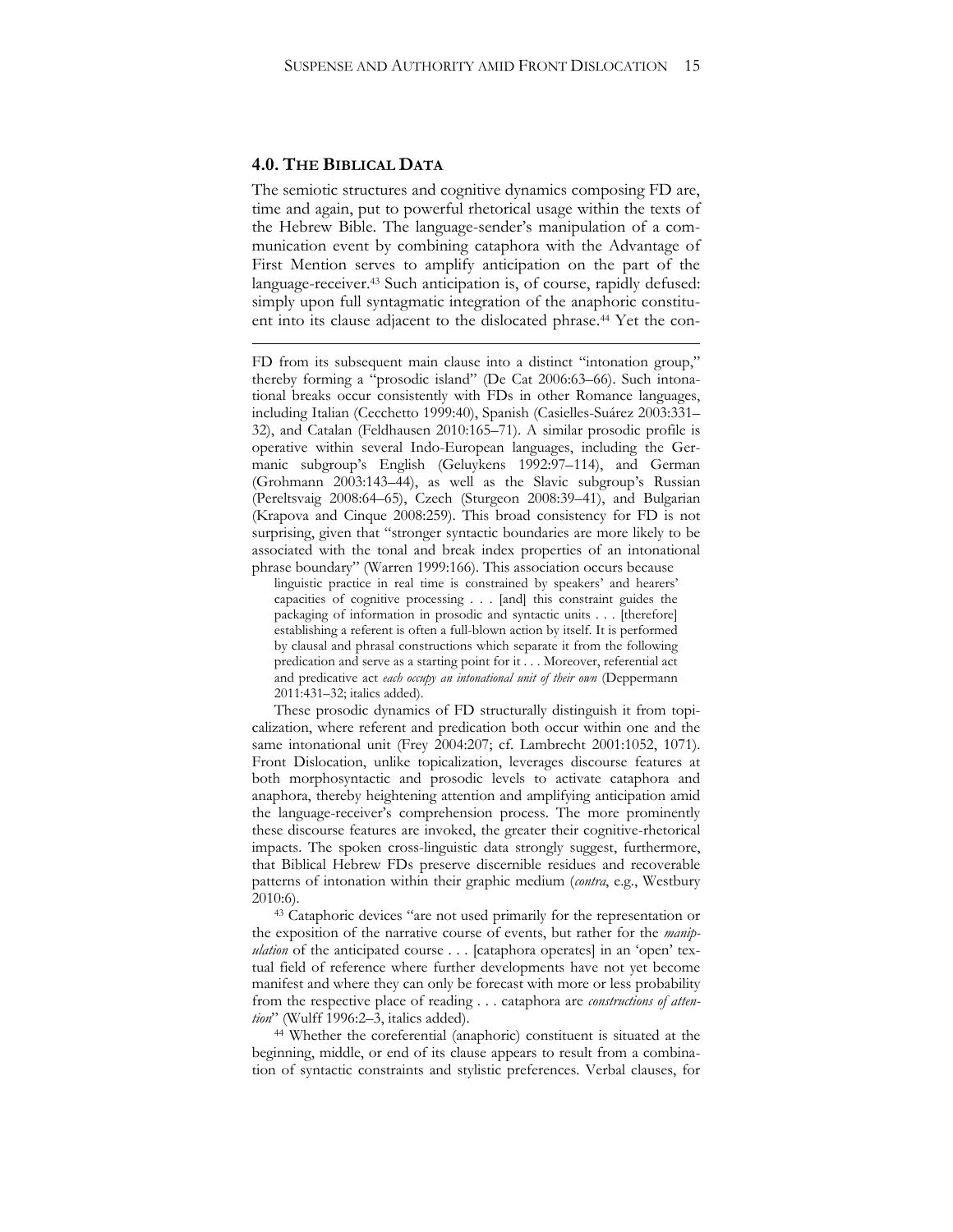#### **4.0. THE BIBLICAL DATA**

1

The semiotic structures and cognitive dynamics composing FD are, time and again, put to powerful rhetorical usage within the texts of the Hebrew Bible. The language-sender's manipulation of a communication event by combining cataphora with the Advantage of First Mention serves to amplify anticipation on the part of the language-receiver.<sup>43</sup> Such anticipation is, of course, rapidly defused: simply upon full syntagmatic integration of the anaphoric constituent into its clause adjacent to the dislocated phrase.<sup>44</sup> Yet the con-

FD from its subsequent main clause into a distinct "intonation group," thereby forming a "prosodic island" (De Cat 2006:63–66). Such intonational breaks occur consistently with FDs in other Romance languages, including Italian (Cecchetto 1999:40), Spanish (Casielles-Suárez 2003:331– 32), and Catalan (Feldhausen 2010:165–71). A similar prosodic profile is operative within several Indo-European languages, including the Germanic subgroup's English (Geluykens 1992:97–114), and German (Grohmann 2003:143–44), as well as the Slavic subgroup's Russian (Pereltsvaig 2008:64–65), Czech (Sturgeon 2008:39–41), and Bulgarian (Krapova and Cinque 2008:259). This broad consistency for FD is not surprising, given that "stronger syntactic boundaries are more likely to be associated with the tonal and break index properties of an intonational phrase boundary" (Warren 1999:166). This association occurs because

linguistic practice in real time is constrained by speakers' and hearers' capacities of cognitive processing . . . [and] this constraint guides the packaging of information in prosodic and syntactic units . . . [therefore] establishing a referent is often a full-blown action by itself. It is performed by clausal and phrasal constructions which separate it from the following predication and serve as a starting point for it . . . Moreover, referential act and predicative act *each occupy an intonational unit of their own* (Deppermann 2011:431–32; italics added).

These prosodic dynamics of FD structurally distinguish it from topicalization, where referent and predication both occur within one and the same intonational unit (Frey 2004:207; cf. Lambrecht 2001:1052, 1071). Front Dislocation, unlike topicalization, leverages discourse features at both morphosyntactic and prosodic levels to activate cataphora and anaphora, thereby heightening attention and amplifying anticipation amid the language-receiver's comprehension process. The more prominently these discourse features are invoked, the greater their cognitive-rhetorical impacts. The spoken cross-linguistic data strongly suggest, furthermore, that Biblical Hebrew FDs preserve discernible residues and recoverable patterns of intonation within their graphic medium (*contra*, e.g., Westbury 2010:6).

<sup>43</sup> Cataphoric devices "are not used primarily for the representation or the exposition of the narrative course of events, but rather for the *manipulation* of the anticipated course . . . [cataphora operates] in an 'open' textual field of reference where further developments have not yet become manifest and where they can only be forecast with more or less probability from the respective place of reading . . . cataphora are *constructions of attention*" (Wulff 1996:2–3, italics added).

<sup>44</sup> Whether the coreferential (anaphoric) constituent is situated at the beginning, middle, or end of its clause appears to result from a combination of syntactic constraints and stylistic preferences. Verbal clauses, for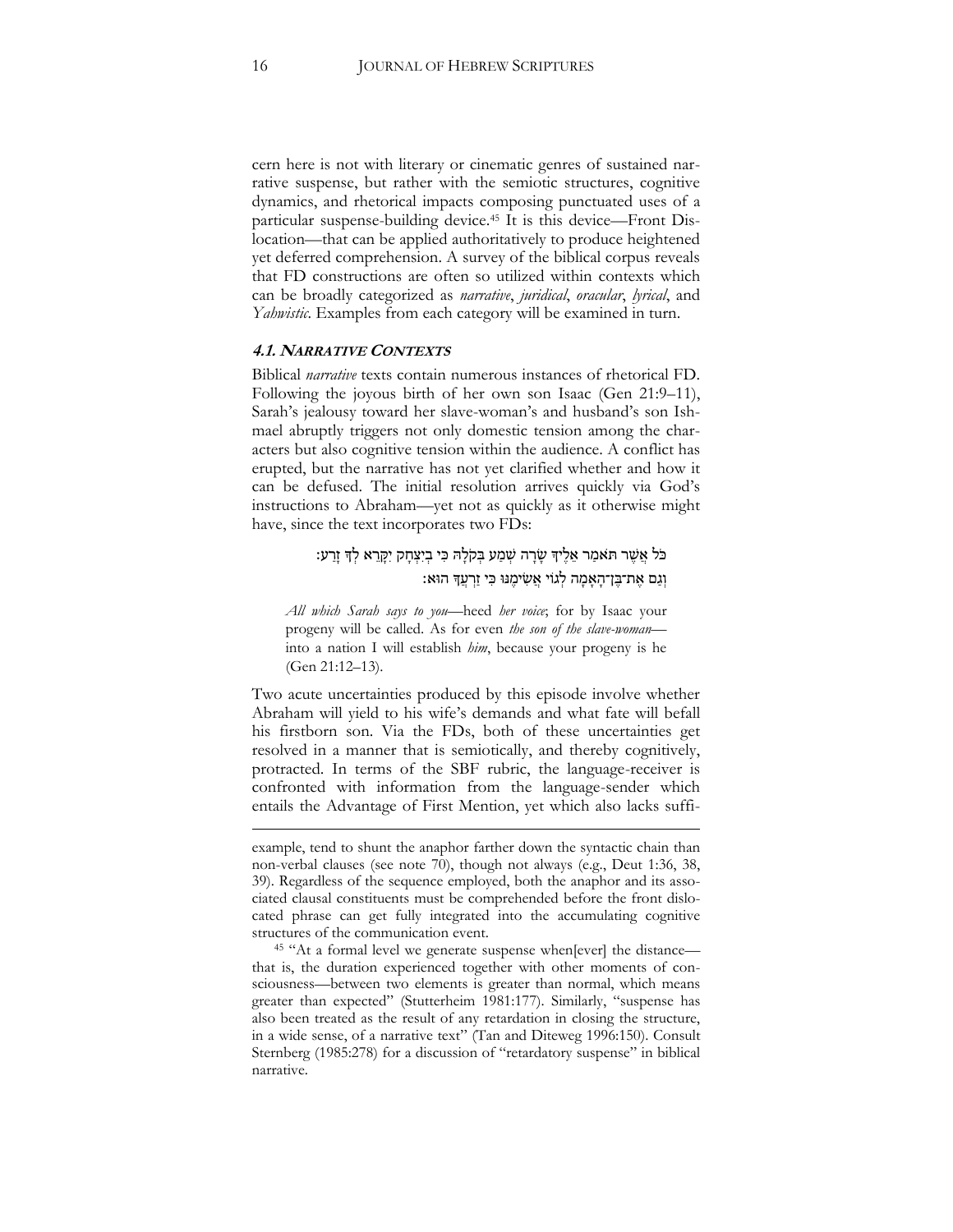cern here is not with literary or cinematic genres of sustained narrative suspense, but rather with the semiotic structures, cognitive dynamics, and rhetorical impacts composing punctuated uses of a particular suspense-building device.<sup>45</sup> It is this device—Front Dislocation—that can be applied authoritatively to produce heightened yet deferred comprehension. A survey of the biblical corpus reveals that FD constructions are often so utilized within contexts which can be broadly categorized as *narrative*, *juridical*, *oracular*, *lyrical*, and *Yahwistic*. Examples from each category will be examined in turn.

## **4.1. NARRATIVE CONTEXTS**

Biblical *narrative* texts contain numerous instances of rhetorical FD. Following the joyous birth of her own son Isaac (Gen 21:9–11), Sarah's jealousy toward her slave-woman's and husband's son Ishmael abruptly triggers not only domestic tension among the characters but also cognitive tension within the audience. A conflict has erupted, but the narrative has not yet clarified whether and how it can be defused. The initial resolution arrives quickly via God's instructions to Abraham—yet not as quickly as it otherwise might have, since the text incorporates two FDs:

# כֹל אֲ שֶׁ ר ת ֹאמַ ר אֵ לֶׁ יָך שָּ רָּ ה שְ מַ ע בְ קֹלָּ ּה כִּ י בְ יִּצְ חָּ ק יִּקָּ רֵ א לְ ָך זָּ רַ ע׃ וְגָם אֶת־בֵּן־הָאָמָה לְגוֹי אֵשִׂימֵנּוּ כִּי זַרְעֵךְ הוּא:

*All which Sarah says to you*—heed *her voice*; for by Isaac your progeny will be called. As for even *the son of the slave-woman* into a nation I will establish *him*, because your progeny is he (Gen 21:12–13).

Two acute uncertainties produced by this episode involve whether Abraham will yield to his wife's demands and what fate will befall his firstborn son. Via the FDs, both of these uncertainties get resolved in a manner that is semiotically, and thereby cognitively, protracted. In terms of the SBF rubric, the language-receiver is confronted with information from the language-sender which entails the Advantage of First Mention, yet which also lacks suffi-

1

example, tend to shunt the anaphor farther down the syntactic chain than non-verbal clauses (see note 70), though not always (e.g., Deut 1:36, 38, 39). Regardless of the sequence employed, both the anaphor and its associated clausal constituents must be comprehended before the front dislocated phrase can get fully integrated into the accumulating cognitive structures of the communication event.

<sup>45</sup> "At a formal level we generate suspense when[ever] the distance that is, the duration experienced together with other moments of consciousness—between two elements is greater than normal, which means greater than expected" (Stutterheim 1981:177). Similarly, "suspense has also been treated as the result of any retardation in closing the structure, in a wide sense, of a narrative text" (Tan and Diteweg 1996:150). Consult Sternberg (1985:278) for a discussion of "retardatory suspense" in biblical narrative.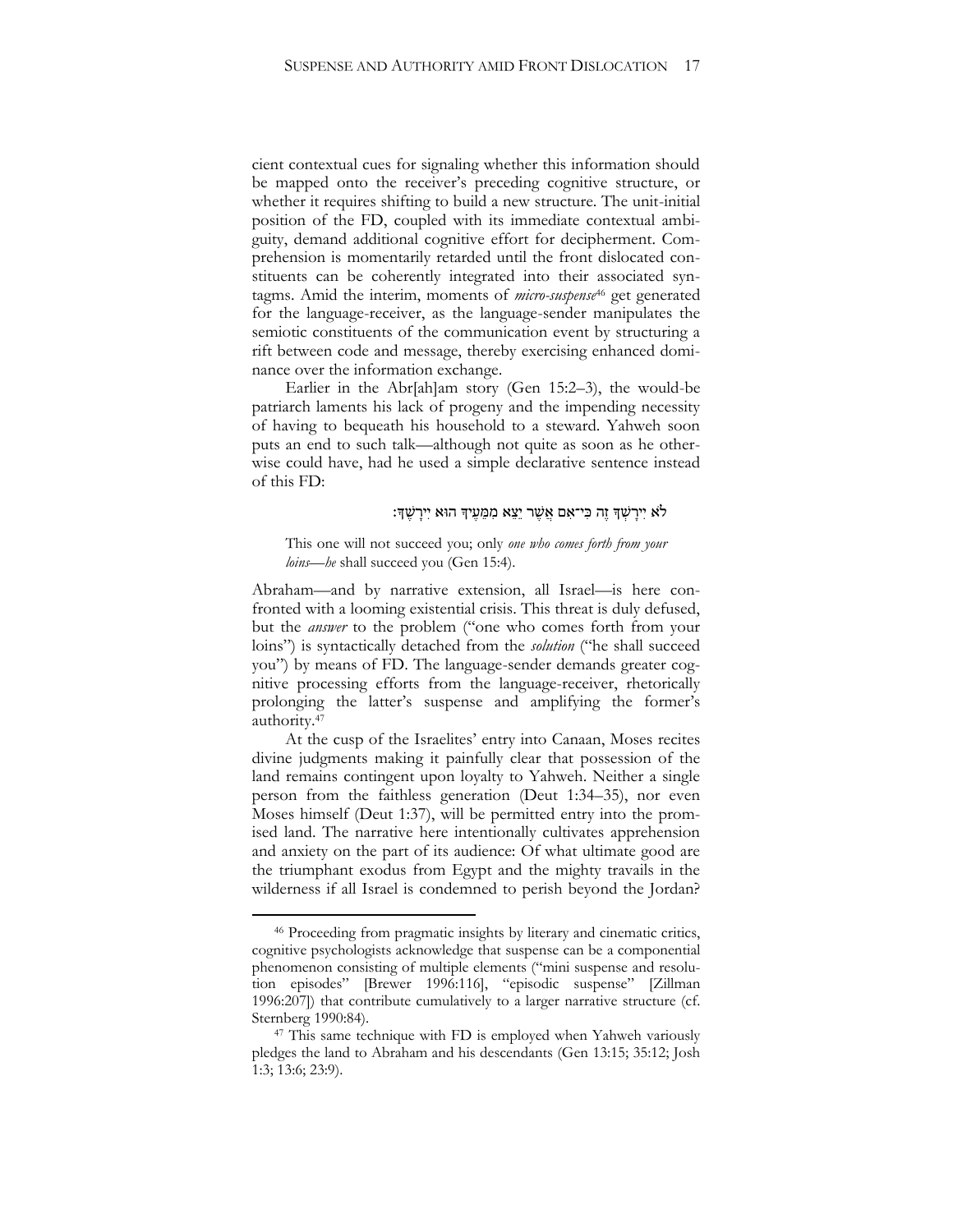cient contextual cues for signaling whether this information should be mapped onto the receiver's preceding cognitive structure, or whether it requires shifting to build a new structure. The unit-initial position of the FD, coupled with its immediate contextual ambiguity, demand additional cognitive effort for decipherment. Comprehension is momentarily retarded until the front dislocated constituents can be coherently integrated into their associated syntagms. Amid the interim, moments of *micro-suspense*<sup>46</sup> get generated for the language-receiver, as the language-sender manipulates the semiotic constituents of the communication event by structuring a rift between code and message, thereby exercising enhanced dominance over the information exchange.

Earlier in the Abr[ah]am story (Gen 15:2–3), the would-be patriarch laments his lack of progeny and the impending necessity of having to bequeath his household to a steward. Yahweh soon puts an end to such talk—although not quite as soon as he otherwise could have, had he used a simple declarative sentence instead of this FD:

## ל ֹא יִּירָּ שְ ָך זֶׁ ה כִּ י־אִּ ם אֲ שֶׁ ר יֵצֵ א מִּ מֵ עֶׁ יָך הּוא יִּירָּ שֶׁ ָך׃

This one will not succeed you; only *one who comes forth from your loins—he* shall succeed you (Gen 15:4).

Abraham—and by narrative extension, all Israel—is here confronted with a looming existential crisis. This threat is duly defused, but the *answer* to the problem ("one who comes forth from your loins") is syntactically detached from the *solution* ("he shall succeed you") by means of FD. The language-sender demands greater cognitive processing efforts from the language-receiver, rhetorically prolonging the latter's suspense and amplifying the former's authority.<sup>47</sup>

At the cusp of the Israelites' entry into Canaan, Moses recites divine judgments making it painfully clear that possession of the land remains contingent upon loyalty to Yahweh. Neither a single person from the faithless generation (Deut 1:34–35), nor even Moses himself (Deut 1:37), will be permitted entry into the promised land. The narrative here intentionally cultivates apprehension and anxiety on the part of its audience: Of what ultimate good are the triumphant exodus from Egypt and the mighty travails in the wilderness if all Israel is condemned to perish beyond the Jordan?

<sup>46</sup> Proceeding from pragmatic insights by literary and cinematic critics, cognitive psychologists acknowledge that suspense can be a componential phenomenon consisting of multiple elements ("mini suspense and resolution episodes" [Brewer 1996:116], "episodic suspense" [Zillman 1996:207]) that contribute cumulatively to a larger narrative structure (cf. Sternberg 1990:84).

<sup>47</sup> This same technique with FD is employed when Yahweh variously pledges the land to Abraham and his descendants (Gen 13:15; 35:12; Josh 1:3; 13:6; 23:9).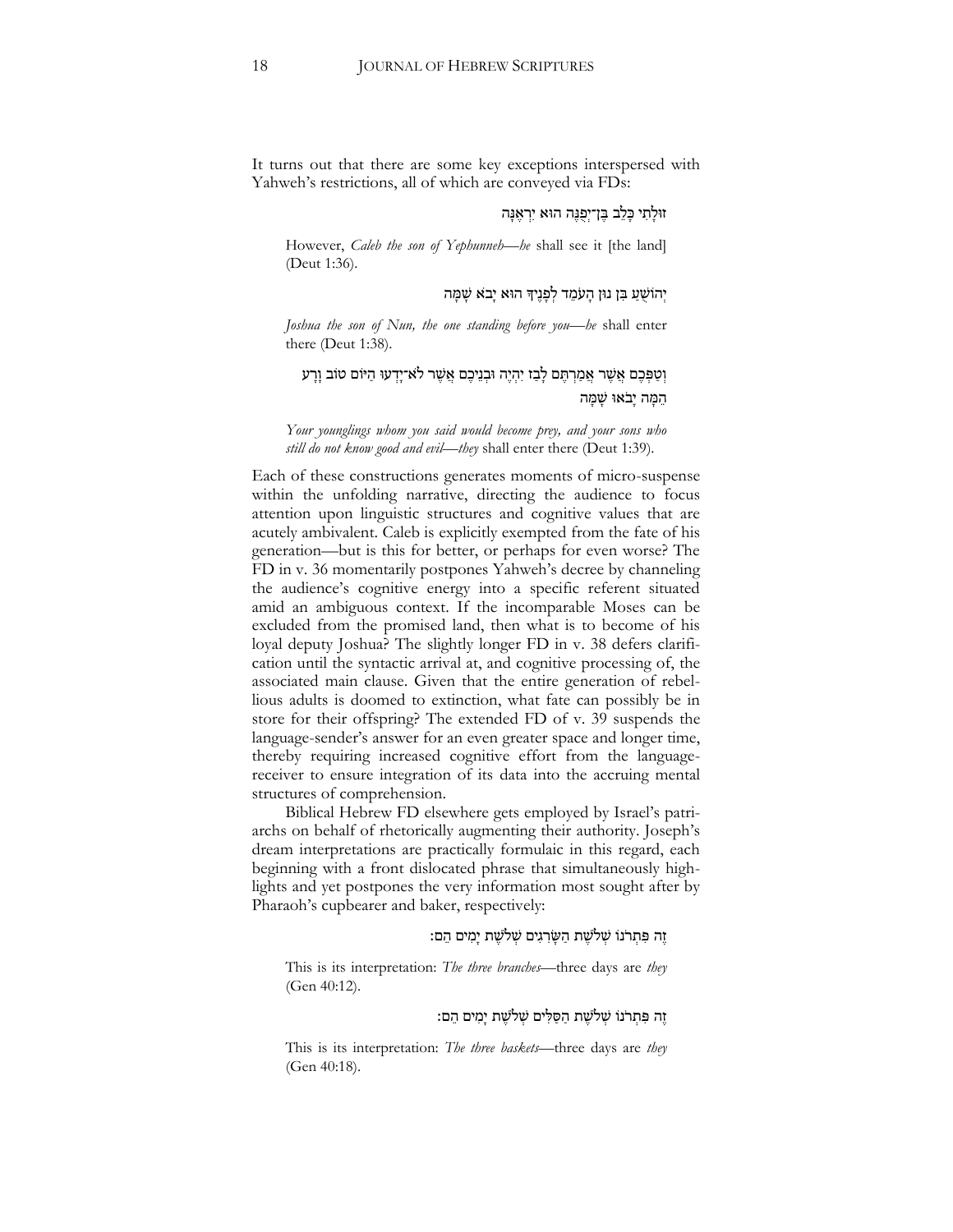It turns out that there are some key exceptions interspersed with Yahweh's restrictions, all of which are conveyed via FDs:

## זּולָּ תִּ י כָּ לֵ ב בֶׁ ן־יְפֻ נֶׁ ה הּוא יִּרְ אֶׁ נָּ ה

However, *Caleb the son of Yephunneh—he* shall see it [the land] (Deut 1:36).

#### יְהוֹשָׁעַ בִּן נוּן הַעֹמֶד לְפָּנֵיךָ הוּא יָבֹא שָׁמַּה

*Joshua the son of Nun, the one standing before you—he* shall enter there (Deut 1:38).

## וְטַפְּבֶם אֲשֶׁר אֲמַרְתֶּם לָבָז יִהְיֶה וּבְנֵיכֶם אֲשֶׁר לֹא־יָדְעוּ הַיּוֹם טוֹב וָרָע המה יִבֹאוּ שִׁמַּה

*Your younglings whom you said would become prey, and your sons who still do not know good and evil—they* shall enter there (Deut 1:39).

Each of these constructions generates moments of micro-suspense within the unfolding narrative, directing the audience to focus attention upon linguistic structures and cognitive values that are acutely ambivalent. Caleb is explicitly exempted from the fate of his generation—but is this for better, or perhaps for even worse? The FD in v. 36 momentarily postpones Yahweh's decree by channeling the audience's cognitive energy into a specific referent situated amid an ambiguous context. If the incomparable Moses can be excluded from the promised land, then what is to become of his loyal deputy Joshua? The slightly longer FD in v. 38 defers clarification until the syntactic arrival at, and cognitive processing of, the associated main clause. Given that the entire generation of rebellious adults is doomed to extinction, what fate can possibly be in store for their offspring? The extended FD of v. 39 suspends the language-sender's answer for an even greater space and longer time, thereby requiring increased cognitive effort from the languagereceiver to ensure integration of its data into the accruing mental structures of comprehension.

Biblical Hebrew FD elsewhere gets employed by Israel's patriarchs on behalf of rhetorically augmenting their authority. Joseph's dream interpretations are practically formulaic in this regard, each beginning with a front dislocated phrase that simultaneously highlights and yet postpones the very information most sought after by Pharaoh's cupbearer and baker, respectively:

#### זֶה פִּתְרֹנוֹ שָׁלֹשֶׁת הַשַּׂרְגִים שְׁלֹשֶׁת יַמִּים הֶם:

This is its interpretation: *The three branches*—three days are *they*  (Gen 40:12).

## זֶׁ ה פִּ תְ רֹנֹו שְ ֹלשֶׁ ת הַ סַ לִּ ים שְ ֹלשֶׁ ת יָּמִּ ים הֵ ם׃

This is its interpretation: *The three baskets*—three days are *they*  (Gen 40:18).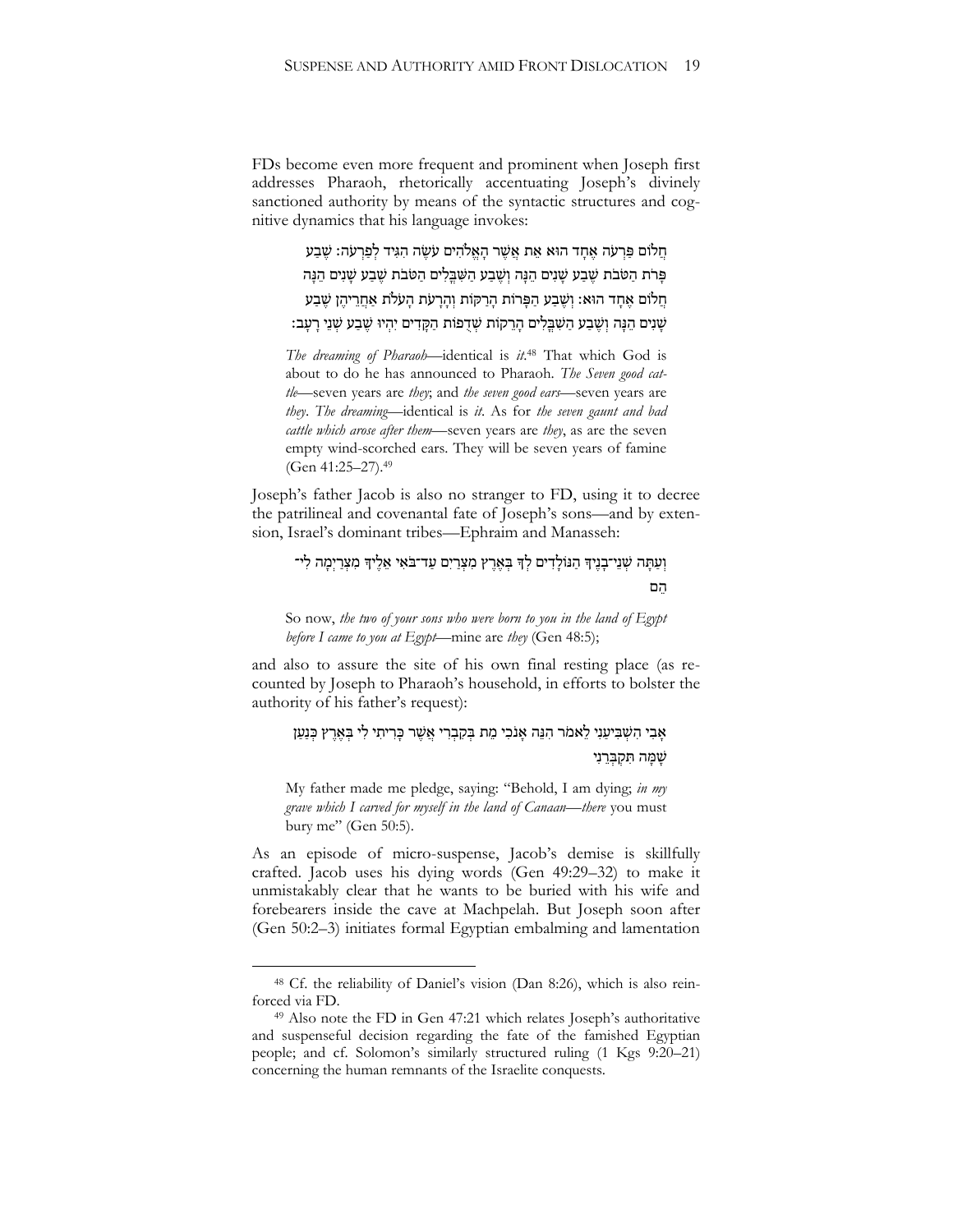FDs become even more frequent and prominent when Joseph first addresses Pharaoh, rhetorically accentuating Joseph's divinely sanctioned authority by means of the syntactic structures and cognitive dynamics that his language invokes:

חֲלֹוֹם פַּרְעֹה אֶחֲד הוּא אֶת אֱשֶׁר הַאֱלֹהִים עֹשֶׂה הִגִּיד לְפַרְעֹה: שֶׁבַע פַּרֹת הַטֹּבֹת שֵׁבָע שַׁנִים הֵנָּה וְשֵׁבַע הַשְּׁבֵּלִים הַטֹּבֹת שֵׁבָע שַׁנִים הֵנָּה חֲלֹוֹם אֱחָד הוּא׃ וְשֶׁבַע הַפָּרוֹת הָרַקוֹת וְהָרָעֹת הָעֹלֹת אַחֲרֵיהֵן שֶׁבַע שָׁנִים הֶנָּה וְשֶׁבֵע הַשְּׁבֵלִים הַרֵקוֹת שִׁדָפוֹת הַקַּדִים יְהִיוּ שֶׁבַע שָׁנֵי רַעֲב:

*The dreaming of Pharaoh*—identical is *it*. <sup>48</sup> That which God is about to do he has announced to Pharaoh. *The Seven good cattle*—seven years are *they*; and *the seven good ears*—seven years are *they*. *The dreaming*—identical is *it*. As for *the seven gaunt and bad cattle which arose after them*—seven years are *they*, as are the seven empty wind-scorched ears. They will be seven years of famine (Gen 41:25–27).<sup>49</sup>

Joseph's father Jacob is also no stranger to FD, using it to decree the patrilineal and covenantal fate of Joseph's sons—and by extension, Israel's dominant tribes—Ephraim and Manasseh:

## וְעַתָּה שְׁנֵי־בָנֵיִךְ הַנּוֹלָדִים לְךָ בִּאֲרֵץ מִצְרַיִם עַד־בֹּאִי אֵלֵיךָ מִצְרַיִמָה לִי־ הֵ ם

So now, *the two of your sons who were born to you in the land of Egypt before I came to you at Egypt*—mine are *they* (Gen 48:5);

and also to assure the site of his own final resting place (as recounted by Joseph to Pharaoh's household, in efforts to bolster the authority of his father's request):

## ּ אֲבִי הִשְׁבִּיעַנִי לֵאמֹר הִנֵּה אֲנֹכִי מֵת בִּקְבְרִי אֲשֶׁר כַּרְיתִי לִי בִּאֶרֵץ כִּנַעַן שַׁמַּה תִּקְבְּרֵנִי

My father made me pledge, saying: "Behold, I am dying; *in my grave which I carved for myself in the land of Canaan*—*there* you must bury me" (Gen 50:5).

As an episode of micro-suspense, Jacob's demise is skillfully crafted. Jacob uses his dying words (Gen 49:29–32) to make it unmistakably clear that he wants to be buried with his wife and forebearers inside the cave at Machpelah. But Joseph soon after (Gen 50:2–3) initiates formal Egyptian embalming and lamentation

<sup>48</sup> Cf. the reliability of Daniel's vision (Dan 8:26), which is also reinforced via FD.

<sup>49</sup> Also note the FD in Gen 47:21 which relates Joseph's authoritative and suspenseful decision regarding the fate of the famished Egyptian people; and cf. Solomon's similarly structured ruling (1 Kgs 9:20–21) concerning the human remnants of the Israelite conquests.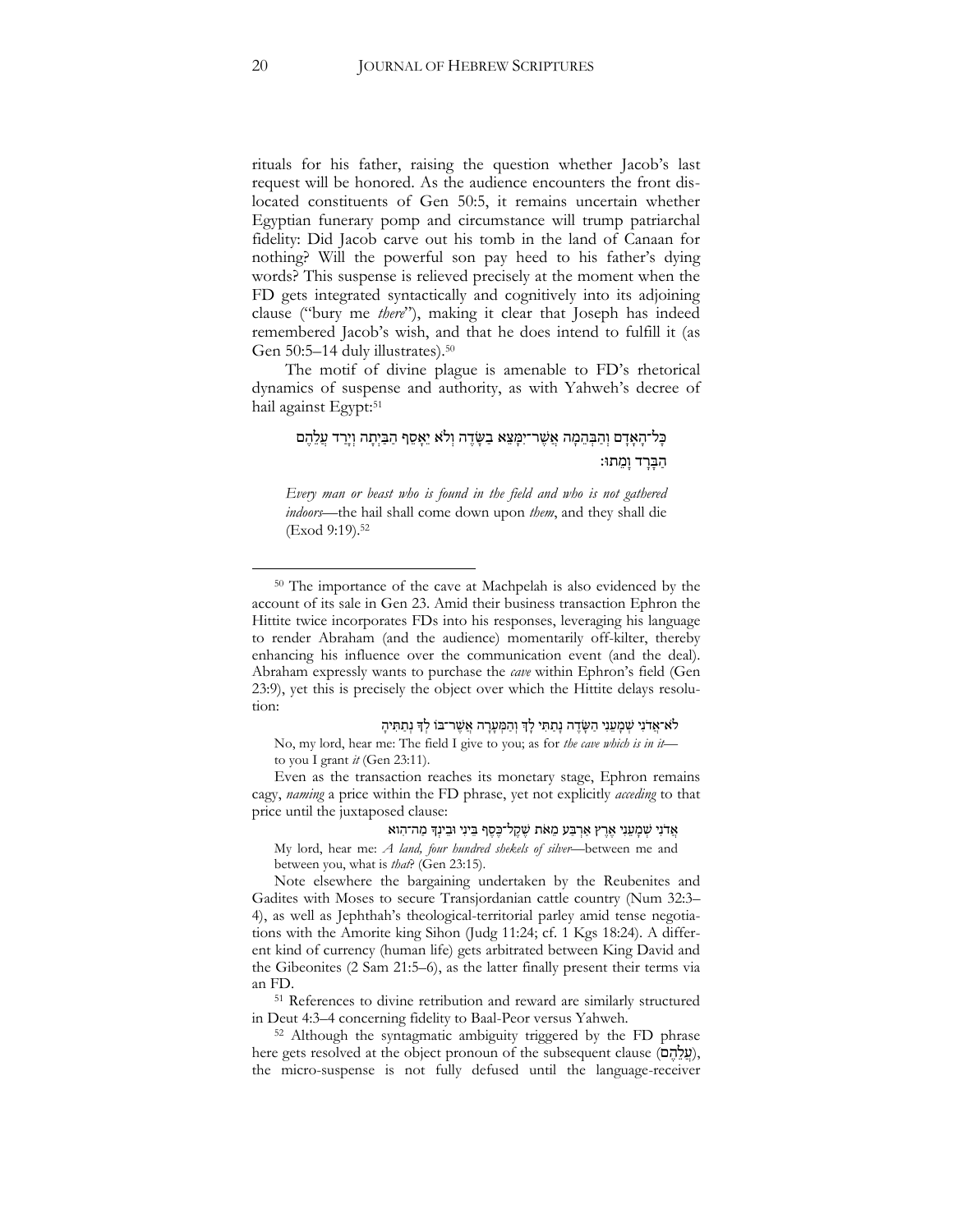rituals for his father, raising the question whether Jacob's last request will be honored. As the audience encounters the front dislocated constituents of Gen 50:5, it remains uncertain whether Egyptian funerary pomp and circumstance will trump patriarchal fidelity: Did Jacob carve out his tomb in the land of Canaan for nothing? Will the powerful son pay heed to his father's dying words? This suspense is relieved precisely at the moment when the FD gets integrated syntactically and cognitively into its adjoining clause ("bury me *there*"), making it clear that Joseph has indeed remembered Jacob's wish, and that he does intend to fulfill it (as Gen 50:5–14 duly illustrates).<sup>50</sup>

The motif of divine plague is amenable to FD's rhetorical dynamics of suspense and authority, as with Yahweh's decree of hail against Egypt: 51

# ָּ כָּל־הָאָדָם וְהַבְּהֶמָה אֲשֶׁר־יִמְּצֵא בַשָּׂדֶה וְלֹא יֵאָסֶף הַבַּיִתָה וְיָרַד עֲלֶהֶם הַבָּרָד וָמֵתוּ:

*Every man or beast who is found in the field and who is not gathered indoors*—the hail shall come down upon *them*, and they shall die (Exod 9:19).<sup>52</sup>

לֹא־אֲדֹנִי שִׁמְעֵנִי הַשָּׂדֵה נָתַתִּי לָדְ וְהַמִּעָרָה אֲשֵׁר־בֹוֹ לִדְ נִתַתִּיהָ

No, my lord, hear me: The field I give to you; as for *the cave which is in it* to you I grant *it* (Gen 23:11).

Even as the transaction reaches its monetary stage, Ephron remains cagy, *naming* a price within the FD phrase, yet not explicitly *acceding* to that price until the juxtaposed clause:

#### אֲדֹנִי שְׁמָעֵנִי אֶרֶץ אַרְבַּע מֵאֹת שֶׁקֶל־כֶּסֶף בֵינִי וּבִינְךָ מַה־הִוא

My lord, hear me: *A land, four hundred shekels of silver*—between me and between you, what is *that*? (Gen 23:15).

Note elsewhere the bargaining undertaken by the Reubenites and Gadites with Moses to secure Transjordanian cattle country (Num 32:3– 4), as well as Jephthah's theological-territorial parley amid tense negotiations with the Amorite king Sihon (Judg 11:24; cf. 1 Kgs 18:24). A different kind of currency (human life) gets arbitrated between King David and the Gibeonites (2 Sam 21:5–6), as the latter finally present their terms via an FD.

<sup>51</sup> References to divine retribution and reward are similarly structured in Deut 4:3–4 concerning fidelity to Baal-Peor versus Yahweh.

<sup>52</sup> Although the syntagmatic ambiguity triggered by the FD phrase here gets resolved at the object pronoun of the subsequent clause (עֲלָהֶם), the micro-suspense is not fully defused until the language-receiver

<sup>50</sup> The importance of the cave at Machpelah is also evidenced by the account of its sale in Gen 23. Amid their business transaction Ephron the Hittite twice incorporates FDs into his responses, leveraging his language to render Abraham (and the audience) momentarily off-kilter, thereby enhancing his influence over the communication event (and the deal). Abraham expressly wants to purchase the *cave* within Ephron's field (Gen 23:9), yet this is precisely the object over which the Hittite delays resolution: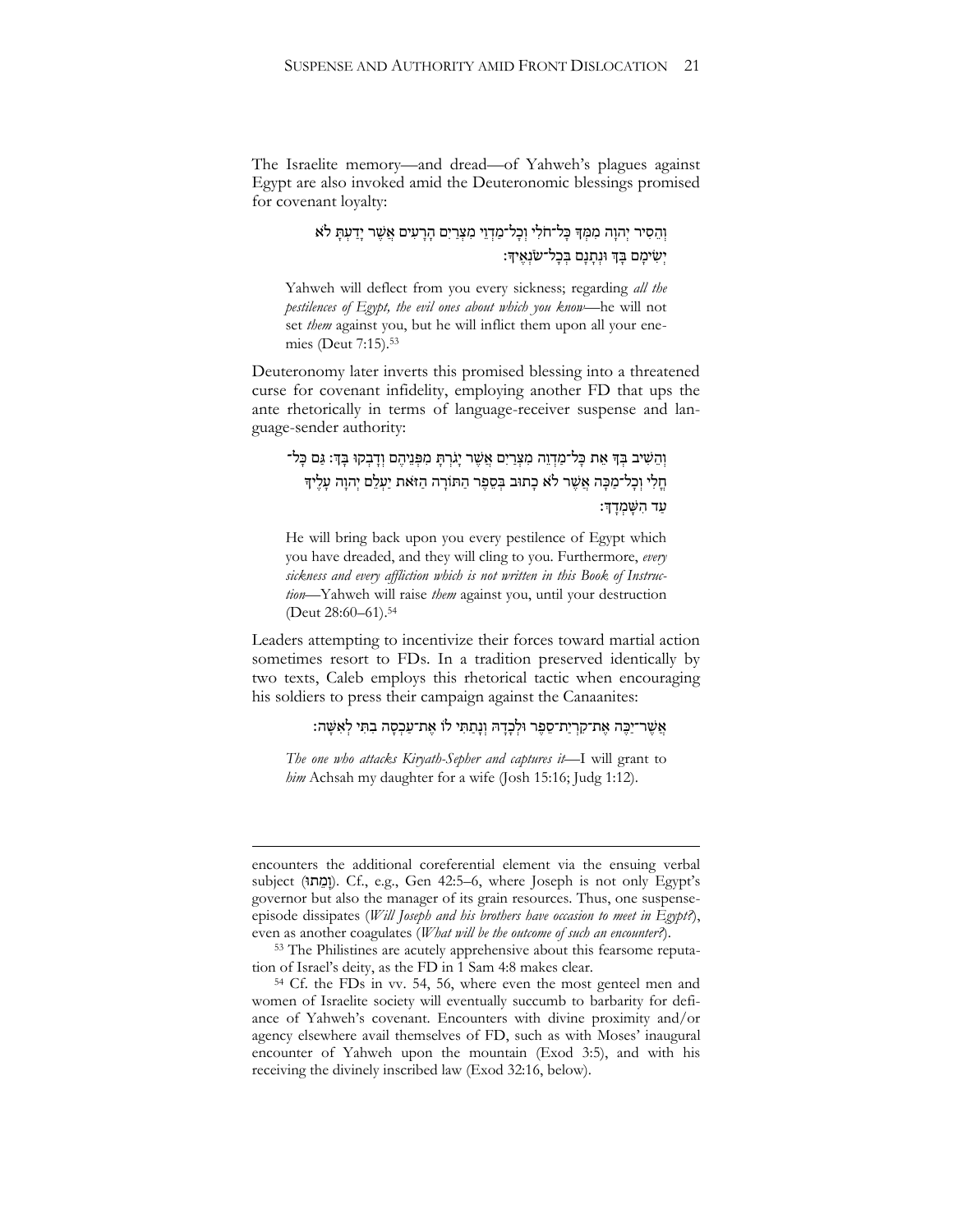The Israelite memory—and dread—of Yahweh's plagues against Egypt are also invoked amid the Deuteronomic blessings promised for covenant loyalty:

> וְהֵסִיר יְהוַה מִמְּךָּ כָּל־חֹלִי וְכָל־מַדְוֵי מִצְרַיִם הַרַעִים אֲשֶׁר יַדֲעָתָּ לֹא יְשִּ ימָּ ם בָּ ְך ּונְ תָּ נָּ ם בְ כָּ ל־שֹנְ אֶׁ יָך׃

Yahweh will deflect from you every sickness; regarding *all the pestilences of Egypt, the evil ones about which you know*—he will not set *them* against you, but he will inflict them upon all your enemies (Deut 7:15).<sup>53</sup>

Deuteronomy later inverts this promised blessing into a threatened curse for covenant infidelity, employing another FD that ups the ante rhetorically in terms of language-receiver suspense and language-sender authority:

וְהֵשִׁיב בְּךָ אֵת כָּל־מַדְוֵה מִצְרַיִם אֲשֶׁר יָגִרְתָּ מִפְּנֵיהֶם וְדָבְקוּ בְּדָּ: גַּם כָּל־ חֵלִי וְכַל־מַכֵּה אֲשֶׁר לֹא כַתּוּב בִּסֶפֶר הַתּוֹרָה הַזֹּאת יַעְלֵם יְהוַה עַלֵּיךָ עד הַשָּׁמְדָךָ:

He will bring back upon you every pestilence of Egypt which you have dreaded, and they will cling to you. Furthermore, *every sickness and every affliction which is not written in this Book of Instruction*—Yahweh will raise *them* against you, until your destruction (Deut 28:60–61).<sup>54</sup>

Leaders attempting to incentivize their forces toward martial action sometimes resort to FDs. In a tradition preserved identically by two texts, Caleb employs this rhetorical tactic when encouraging his soldiers to press their campaign against the Canaanites:

אֲשֶׁר־יַכֶּה אֶת־קִרְיַת־סֵפֶר וּלְכָדָהּ וְנָתַתִּי לוֹ אֶת־עַכְסָה בִתִּי לְאִשָּׁה:

*The one who attacks Kiryath-Sepher and captures it*—I will grant to *him* Achsah my daughter for a wife (Josh 15:16; Judg 1:12).

<u>.</u>

encounters the additional coreferential element via the ensuing verbal subject (וּת ֵמ ָּו(. Cf., e.g., Gen 42:5–6, where Joseph is not only Egypt's governor but also the manager of its grain resources. Thus, one suspenseepisode dissipates (*Will Joseph and his brothers have occasion to meet in Egypt?*), even as another coagulates (*What will be the outcome of such an encounter?*).

<sup>53</sup> The Philistines are acutely apprehensive about this fearsome reputation of Israel's deity, as the FD in 1 Sam 4:8 makes clear.

<sup>54</sup> Cf. the FDs in vv. 54, 56, where even the most genteel men and women of Israelite society will eventually succumb to barbarity for defiance of Yahweh's covenant. Encounters with divine proximity and/or agency elsewhere avail themselves of FD, such as with Moses' inaugural encounter of Yahweh upon the mountain (Exod 3:5), and with his receiving the divinely inscribed law (Exod 32:16, below).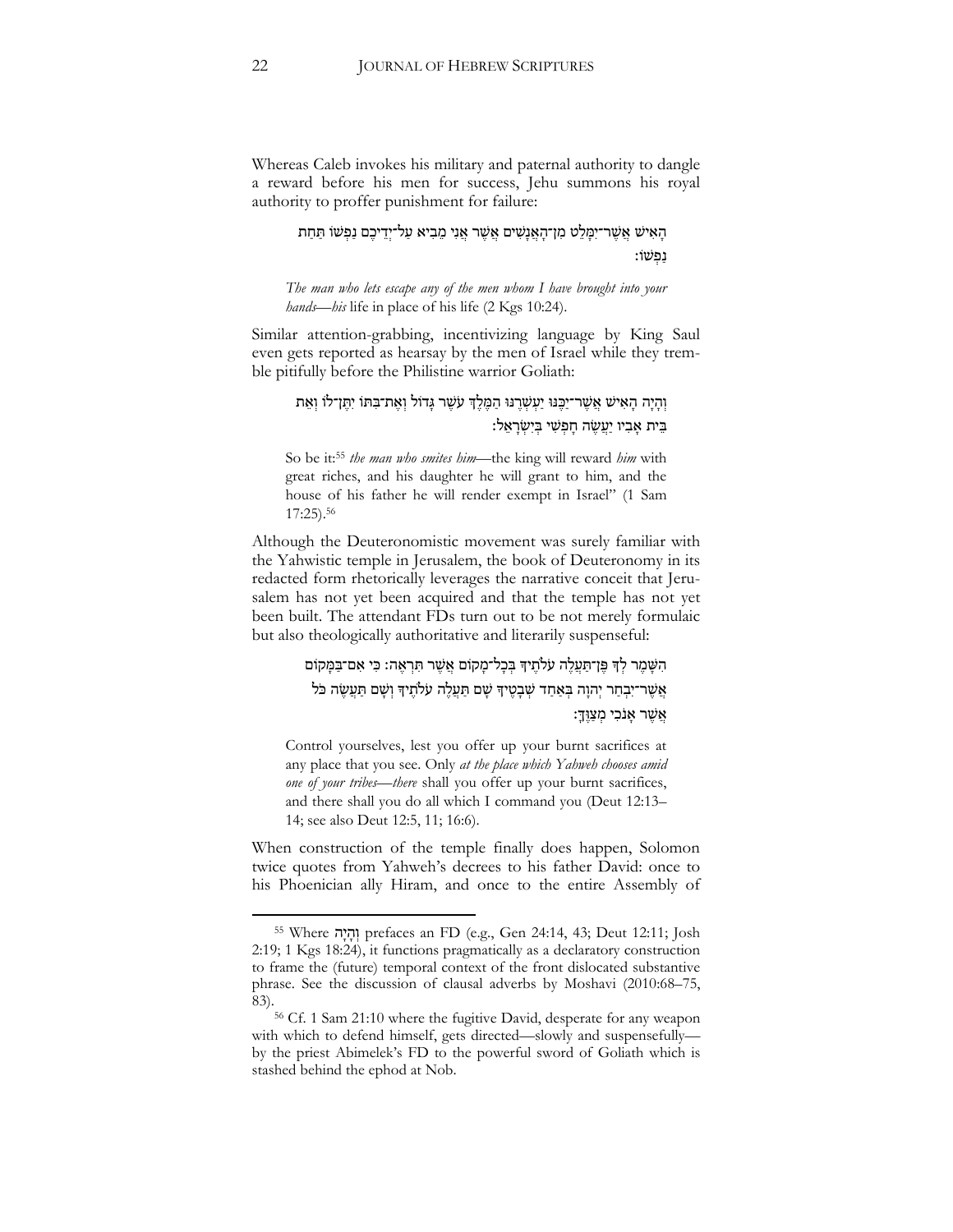Whereas Caleb invokes his military and paternal authority to dangle a reward before his men for success, Jehu summons his royal authority to proffer punishment for failure:

> הָאִישׁ אֲשֶׁר־יִמֲלֵט מִן־הָאֲנָשִׁים אֲשֶׁר אֲנִי מֵבִיא עַל־יִדֵיכֶם נַפְשׁוֹ תַּחַת נַ פְ שֹו׃

*The man who lets escape any of the men whom I have brought into your hands—his* life in place of his life (2 Kgs 10:24).

Similar attention-grabbing, incentivizing language by King Saul even gets reported as hearsay by the men of Israel while they tremble pitifully before the Philistine warrior Goliath:

וְהָיָה הָאִישׁ אֲשֶׁר־יַכֶּנּוּ יַעְשְׁרֶנּוּ הַמֶּלֶדְ עֹשֶׁר גָּדוֹל וְאֶת־בִּתּוֹ יִתֲן־לוֹ וְאֵת בֵית אָבִיו יַעֲשֶׂה חַפְּשִׁי בִּיְשָׂרָאֱלֹ:

So be it:<sup>55</sup> *the man who smites him*—the king will reward *him* with great riches, and his daughter he will grant to him, and the house of his father he will render exempt in Israel" (1 Sam 17:25).<sup>56</sup>

Although the Deuteronomistic movement was surely familiar with the Yahwistic temple in Jerusalem, the book of Deuteronomy in its redacted form rhetorically leverages the narrative conceit that Jerusalem has not yet been acquired and that the temple has not yet been built. The attendant FDs turn out to be not merely formulaic but also theologically authoritative and literarily suspenseful:

> הִשָּׁמֶר לְךָ פֵּן־תַּעֲלֵה עֹלֹתֵיךְ בִּכָל־מַקוֹם אֲשֶׁר תִּרְאֶה: כִּי אִם־בַּמָּקוֹם אֲשֶׁר־יִבְחַר יְהוַה בְּאַחַד שְׁבָטֶיךְ שָׁם תַּעֲלֶה עֹלֹתֵיךְ וְשָׁם תַּעֲשֶׂה כֹּל אָשָׁר אָנִכִי מַצוּךָ

Control yourselves, lest you offer up your burnt sacrifices at any place that you see. Only *at the place which Yahweh chooses amid one of your tribes*—*there* shall you offer up your burnt sacrifices, and there shall you do all which I command you (Deut 12:13– 14; see also Deut 12:5, 11; 16:6).

When construction of the temple finally does happen, Solomon twice quotes from Yahweh's decrees to his father David: once to his Phoenician ally Hiram, and once to the entire Assembly of

<sup>55</sup> Where הָּי ָּה ְו prefaces an FD (e.g., Gen 24:14, 43; Deut 12:11; Josh 2:19; 1 Kgs 18:24), it functions pragmatically as a declaratory construction to frame the (future) temporal context of the front dislocated substantive phrase. See the discussion of clausal adverbs by Moshavi (2010:68–75, 83).

<sup>56</sup> Cf. 1 Sam 21:10 where the fugitive David, desperate for any weapon with which to defend himself, gets directed—slowly and suspensefully by the priest Abimelek's FD to the powerful sword of Goliath which is stashed behind the ephod at Nob.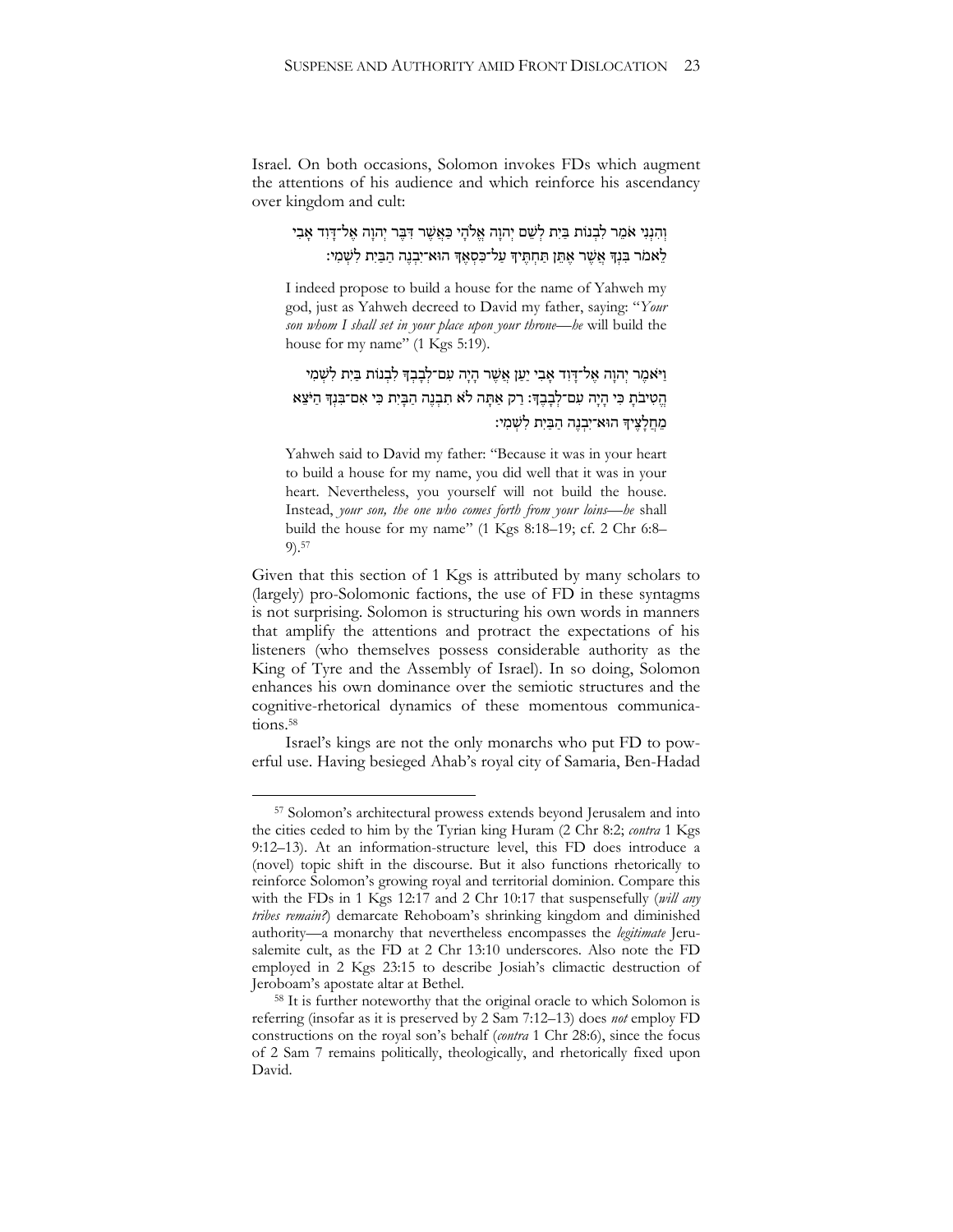Israel. On both occasions, Solomon invokes FDs which augment the attentions of his audience and which reinforce his ascendancy over kingdom and cult:

# וְהִנְנִי אֹמֵר לִבְנוֹת בַּיָּת לְשֵׁם יְהוַה אֱלֹהֵי כַּאֲשֶׁר דִּבֵּר יְהוַה אֱל־דַּוְד אָבִי לֵ אמֹר בִּנְךָ אֲשֶׁר אֶתֶּן תַּחְתֵּיךְ עַל־כִּסְאֶךְ הוּא־יִבְנֵה הַבַּיִת לִשְׁמִי:

I indeed propose to build a house for the name of Yahweh my god, just as Yahweh decreed to David my father, saying: "*Your son whom I shall set in your place upon your throne*—*he* will build the house for my name" (1 Kgs 5:19).

# וַיֹּאמֶר יְהוָה אֵל־דָּוִד אָבִי יַעַן אֲשֶׁר הָיָה עִם־לְבָבִךְ לִבְנוֹת בַּיִת לְשָׁמִי הֱ טִּ יבֹתָּ כִּ י הָּ יָּה עִּ ם־לְ בָּ בֶׁ ָך׃ רַ ק אַ תָּ ה ל ֹא תִּ בְ נֶׁ ה הַ בָּ יִּת כִּ י אִּ ם־בִּ נְָך הַ יֹצֵ א מִחלִצִידִּ הוּאִ־יִּבְנָה הַבִּיִת לִשְׁמִי:

Yahweh said to David my father: "Because it was in your heart to build a house for my name, you did well that it was in your heart. Nevertheless, you yourself will not build the house. Instead, *your son, the one who comes forth from your loins*—*he* shall build the house for my name" (1 Kgs 8:18–19; cf. 2 Chr 6:8– 9).<sup>57</sup>

Given that this section of 1 Kgs is attributed by many scholars to (largely) pro-Solomonic factions, the use of FD in these syntagms is not surprising. Solomon is structuring his own words in manners that amplify the attentions and protract the expectations of his listeners (who themselves possess considerable authority as the King of Tyre and the Assembly of Israel). In so doing, Solomon enhances his own dominance over the semiotic structures and the cognitive-rhetorical dynamics of these momentous communications.<sup>58</sup>

Israel's kings are not the only monarchs who put FD to powerful use. Having besieged Ahab's royal city of Samaria, Ben-Hadad

<sup>57</sup> Solomon's architectural prowess extends beyond Jerusalem and into the cities ceded to him by the Tyrian king Huram (2 Chr 8:2; *contra* 1 Kgs 9:12–13). At an information-structure level, this FD does introduce a (novel) topic shift in the discourse. But it also functions rhetorically to reinforce Solomon's growing royal and territorial dominion. Compare this with the FDs in 1 Kgs 12:17 and 2 Chr 10:17 that suspensefully (*will any tribes remain?*) demarcate Rehoboam's shrinking kingdom and diminished authority—a monarchy that nevertheless encompasses the *legitimate* Jerusalemite cult, as the FD at 2 Chr 13:10 underscores. Also note the FD employed in 2 Kgs 23:15 to describe Josiah's climactic destruction of Jeroboam's apostate altar at Bethel.

<sup>58</sup> It is further noteworthy that the original oracle to which Solomon is referring (insofar as it is preserved by 2 Sam 7:12–13) does *not* employ FD constructions on the royal son's behalf (*contra* 1 Chr 28:6), since the focus of 2 Sam 7 remains politically, theologically, and rhetorically fixed upon David.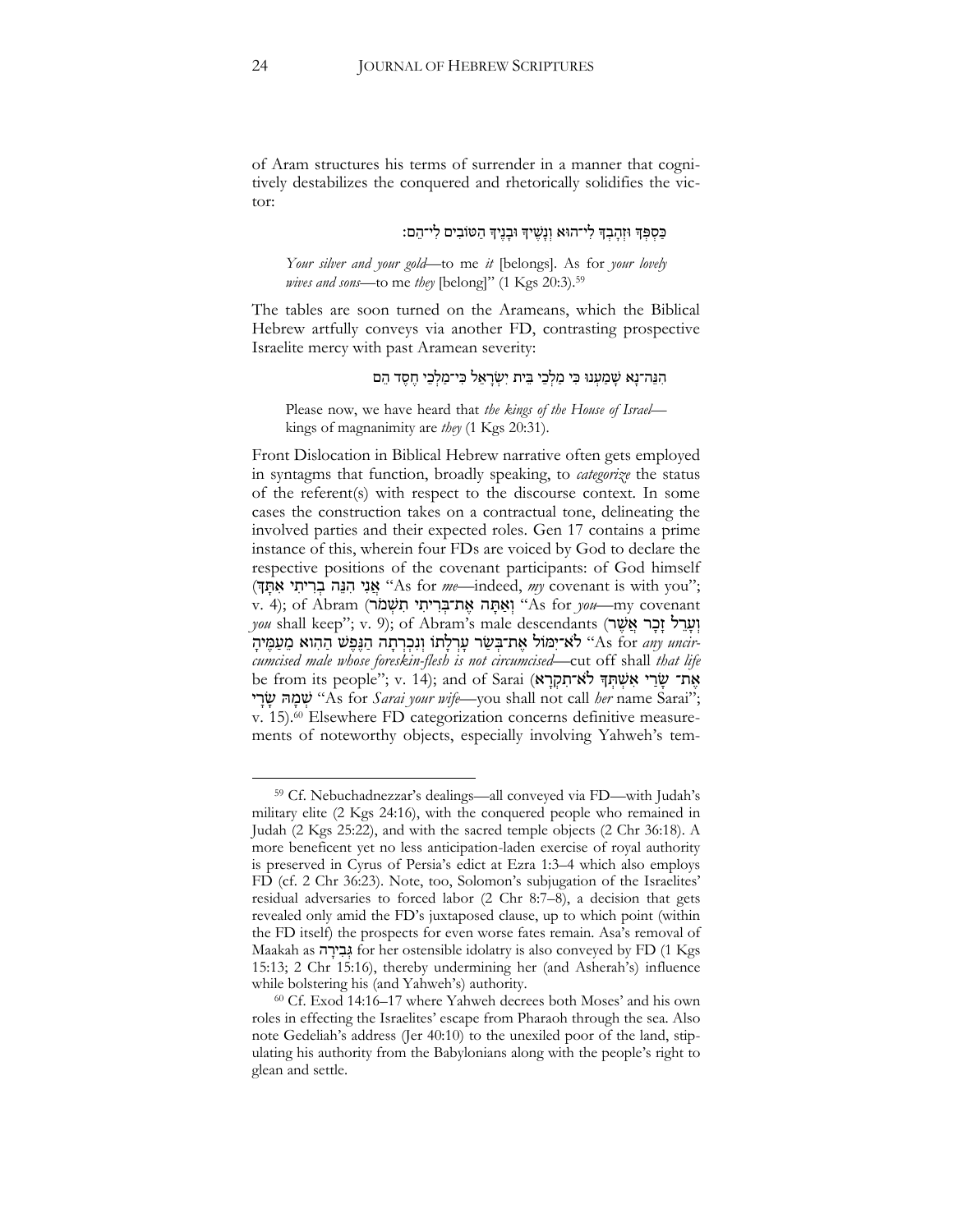of Aram structures his terms of surrender in a manner that cognitively destabilizes the conquered and rhetorically solidifies the victor:

## כַּסְפְּךָ וּזְהַבְךָ לִי־הוּא וְנַשֵׁיךָ וּבַנֵּיךָ הַטּוֹבִים לִי־הֵם:

*Your silver and your gold*—to me *it* [belongs]. As for *your lovely wives and sons*—to me *they* [belong]" (1 Kgs 20:3).<sup>59</sup>

The tables are soon turned on the Arameans, which the Biblical Hebrew artfully conveys via another FD, contrasting prospective Israelite mercy with past Aramean severity:

## הִנֵּה־נַא שַׁמַעְנוּ כִּי מַלְּכֵי בֵּית יִשְׂרַאֵל כִּי־מַלְכֵי חֵסֵד הֵם

Please now, we have heard that *the kings of the House of Israel* kings of magnanimity are *they* (1 Kgs 20:31).

Front Dislocation in Biblical Hebrew narrative often gets employed in syntagms that function, broadly speaking, to *categorize* the status of the referent(s) with respect to the discourse context. In some cases the construction takes on a contractual tone, delineating the involved parties and their expected roles. Gen 17 contains a prime instance of this, wherein four FDs are voiced by God to declare the respective positions of the covenant participants: of God himself ;"you with is covenant *my* ,indeed—*me* for As "אֲ נִּי הִּ נֵ ה בְ רִּ יתִּ י אִּ תָּ ְך) v. 4); of Abram (יְאֵתָּה אֶת־בִּרִיתִי תִּשְׁמֹר) (As for *you*—my covenant  $you$  shall keep"; v. 9); of Abram's male descendants (יְעָרֵל זָכָר אֵשֵׁר *cumcised male whose foreskin-flesh is not circumcised*—cut off shall that life ימול אָת־בְּשָׂר עַרְלַתוֹ וְנִכְרְתָה הַגַּפֵּשׁ הַהִוא מֵעָמֵיה "As for *any uncir* be from its people"; v. 14); and of Sarai (אֶת־ שָׂרַי אִשְׁתְּךָ לֹא־תִקְרָא י ָּר ָּש הּ ָּמ ְש" As for *Sarai your wife*—you shall not call *her* name Sarai"; v. 15).<sup>60</sup> Elsewhere FD categorization concerns definitive measurements of noteworthy objects, especially involving Yahweh's tem-

<sup>59</sup> Cf. Nebuchadnezzar's dealings—all conveyed via FD—with Judah's military elite (2 Kgs 24:16), with the conquered people who remained in Judah (2 Kgs 25:22), and with the sacred temple objects (2 Chr 36:18). A more beneficent yet no less anticipation-laden exercise of royal authority is preserved in Cyrus of Persia's edict at Ezra 1:3–4 which also employs FD (cf. 2 Chr 36:23). Note, too, Solomon's subjugation of the Israelites' residual adversaries to forced labor (2 Chr 8:7–8), a decision that gets revealed only amid the FD's juxtaposed clause, up to which point (within the FD itself) the prospects for even worse fates remain. Asa's removal of Maakah as גְּבִירָה for her ostensible idolatry is also conveyed by FD (1 Kgs 15:13; 2 Chr 15:16), thereby undermining her (and Asherah's) influence while bolstering his (and Yahweh's) authority.

<sup>60</sup> Cf. Exod 14:16–17 where Yahweh decrees both Moses' and his own roles in effecting the Israelites' escape from Pharaoh through the sea. Also note Gedeliah's address (Jer 40:10) to the unexiled poor of the land, stipulating his authority from the Babylonians along with the people's right to glean and settle.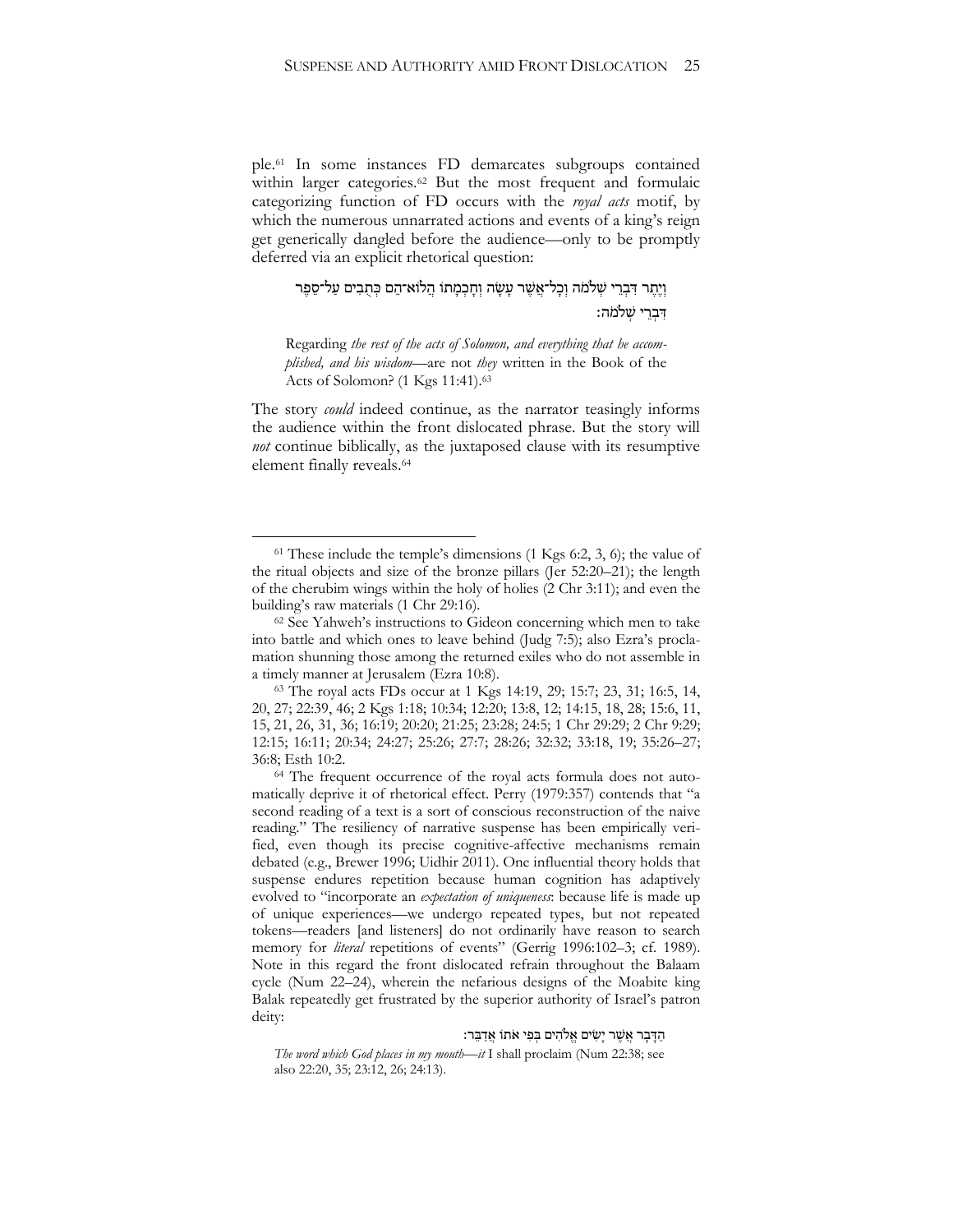ple.<sup>61</sup> In some instances FD demarcates subgroups contained within larger categories.<sup>62</sup> But the most frequent and formulaic categorizing function of FD occurs with the *royal acts* motif, by which the numerous unnarrated actions and events of a king's reign get generically dangled before the audience—only to be promptly deferred via an explicit rhetorical question:

## וְיָתֵר דִּבְרֵי שְׁלֹמֹה וְכָל־אֲשֶׁר עַשָׂה וְחַכְמַתוֹ הֲלוֹא־הֶם כְּתְבִים עַל־סֶפֶּר דִּבְרִי שַׁלֹּמֹה:

Regarding *the rest of the acts of Solomon, and everything that he accomplished, and his wisdom*—are not *they* written in the Book of the Acts of Solomon? (1 Kgs 11:41).<sup>63</sup>

The story *could* indeed continue, as the narrator teasingly informs the audience within the front dislocated phrase. But the story will *not* continue biblically, as the juxtaposed clause with its resumptive element finally reveals.<sup>64</sup>

 $\overline{a}$ 

ּ הַדְּבָר אֲשֶׁר יָשִׂים אֱלֹהִים בְּפִי אֹתוֹ אֲדַבֵּר:

*The word which God places in my mouth*—*it* I shall proclaim (Num 22:38; see also 22:20, 35; 23:12, 26; 24:13).

 $61$  These include the temple's dimensions (1 Kgs 6:2, 3, 6); the value of the ritual objects and size of the bronze pillars (Jer 52:20–21); the length of the cherubim wings within the holy of holies (2 Chr 3:11); and even the building's raw materials (1 Chr 29:16).

<sup>62</sup> See Yahweh's instructions to Gideon concerning which men to take into battle and which ones to leave behind (Judg 7:5); also Ezra's proclamation shunning those among the returned exiles who do not assemble in a timely manner at Jerusalem (Ezra 10:8).

<sup>63</sup> The royal acts FDs occur at 1 Kgs 14:19, 29; 15:7; 23, 31; 16:5, 14, 20, 27; 22:39, 46; 2 Kgs 1:18; 10:34; 12:20; 13:8, 12; 14:15, 18, 28; 15:6, 11, 15, 21, 26, 31, 36; 16:19; 20:20; 21:25; 23:28; 24:5; 1 Chr 29:29; 2 Chr 9:29; 12:15; 16:11; 20:34; 24:27; 25:26; 27:7; 28:26; 32:32; 33:18, 19; 35:26–27; 36:8; Esth 10:2.

<sup>64</sup> The frequent occurrence of the royal acts formula does not automatically deprive it of rhetorical effect. Perry (1979:357) contends that "a second reading of a text is a sort of conscious reconstruction of the naive reading." The resiliency of narrative suspense has been empirically verified, even though its precise cognitive-affective mechanisms remain debated (e.g., Brewer 1996; Uidhir 2011). One influential theory holds that suspense endures repetition because human cognition has adaptively evolved to "incorporate an *expectation of uniqueness*: because life is made up of unique experiences—we undergo repeated types, but not repeated tokens—readers [and listeners] do not ordinarily have reason to search memory for *literal* repetitions of events" (Gerrig 1996:102–3; cf. 1989). Note in this regard the front dislocated refrain throughout the Balaam cycle (Num 22–24), wherein the nefarious designs of the Moabite king Balak repeatedly get frustrated by the superior authority of Israel's patron deity: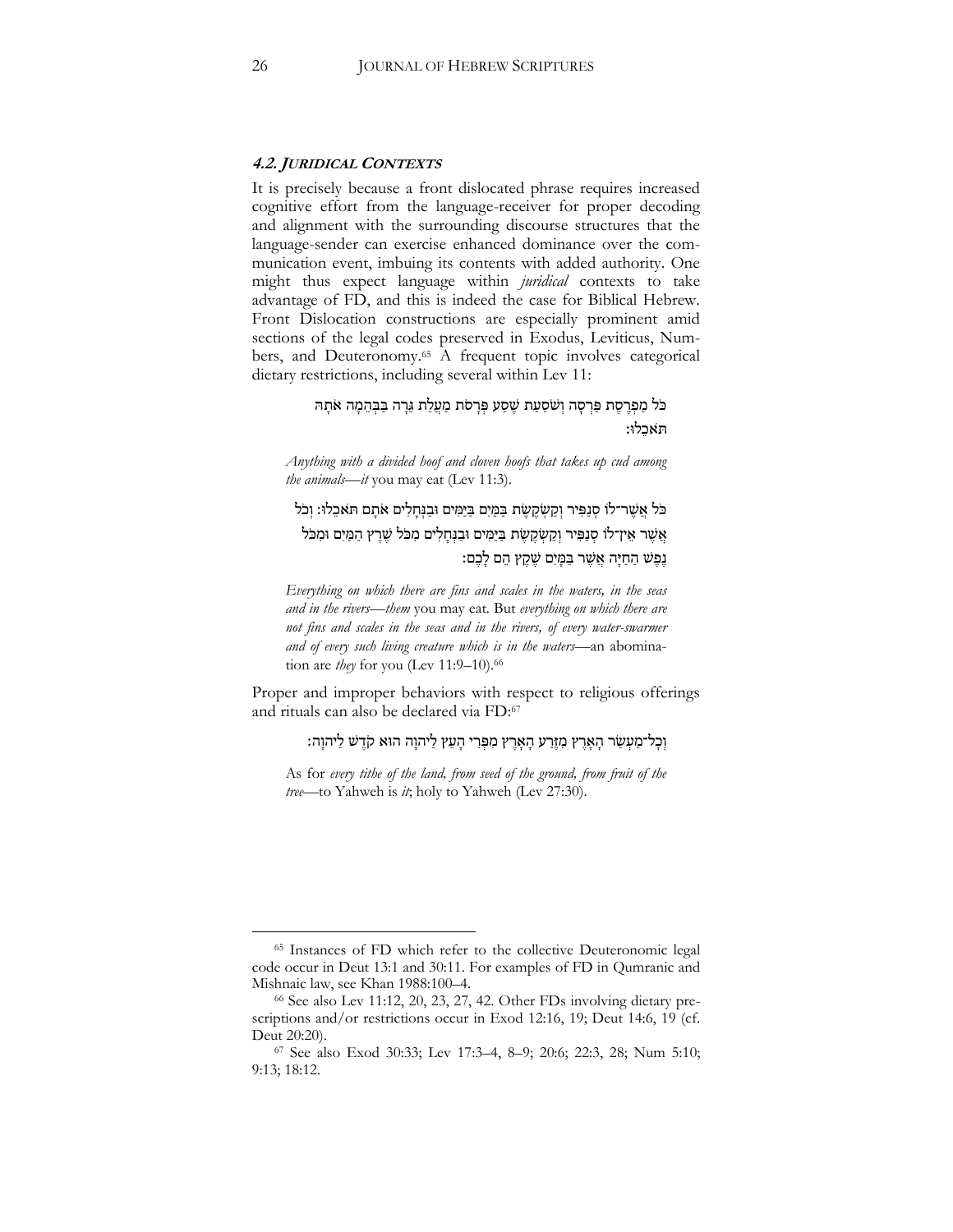#### **4.2. JURIDICAL CONTEXTS**

It is precisely because a front dislocated phrase requires increased cognitive effort from the language-receiver for proper decoding and alignment with the surrounding discourse structures that the language-sender can exercise enhanced dominance over the communication event, imbuing its contents with added authority. One might thus expect language within *juridical* contexts to take advantage of FD, and this is indeed the case for Biblical Hebrew. Front Dislocation constructions are especially prominent amid sections of the legal codes preserved in Exodus, Leviticus, Numbers, and Deuteronomy.<sup>65</sup> A frequent topic involves categorical dietary restrictions, including several within Lev 11:

## כֹּל מַפְרֶסֶת פַּרְסָה וְשֹׁסַעַת שֶׁסַע פְּרָסֹת מַעֲלֵת גֶּרָה בַּבְּהֶמָה אֹתָהּ תאכלו:

*Anything with a divided hoof and cloven hoofs that takes up cud among the animals—it* you may eat (Lev 11:3).

כֹל אֲשֶׁר־לֹו סְנַפִּיר וְקַשְׂקֵשֶׂת בַּמַּיִם בַּיַּמִּים וּבַגְּחַלִים אֹתָם תֹּאכֵלוּ: וְכֹל אֵשֶׁר אֵין־לֹו סְנַפִּיר וְקַשְׂקֵשֶׂת בַּיַּמִּים וּבַנְחַלִים מִכֹּל שֶׁרֵץ הַמַּיִם וּמִכֹּל נֶפֶּשׁ הַחַיַּה אֲשֶׁר בַּמַּיִם שֶׁקֵץ הֶם לַּבֶם:

*Everything on which there are fins and scales in the waters, in the seas and in the rivers—them* you may eat*.* But *everything on which there are not fins and scales in the seas and in the rivers, of every water-swarmer and of every such living creature which is in the waters*—an abomination are *they* for you (Lev 11:9–10).<sup>66</sup>

Proper and improper behaviors with respect to religious offerings and rituals can also be declared via FD:<sup>67</sup>

וְבָל־מַעְשַׂר הָאָרֶץ מִזֶּרַע הָאָרֶץ מִפְּרִי הָעֵץ לַיהוָה הוּא קֹדֶשׁ לַיהוָה:

As for *every tithe of the land, from seed of the ground, from fruit of the tree*—to Yahweh is *it*; holy to Yahweh (Lev 27:30).

<sup>65</sup> Instances of FD which refer to the collective Deuteronomic legal code occur in Deut 13:1 and 30:11. For examples of FD in Qumranic and Mishnaic law, see Khan 1988:100–4.

<sup>66</sup> See also Lev 11:12, 20, 23, 27, 42. Other FDs involving dietary prescriptions and/or restrictions occur in Exod 12:16, 19; Deut 14:6, 19 (cf. Deut 20:20).

<sup>67</sup> See also Exod 30:33; Lev 17:3–4, 8–9; 20:6; 22:3, 28; Num 5:10; 9:13; 18:12.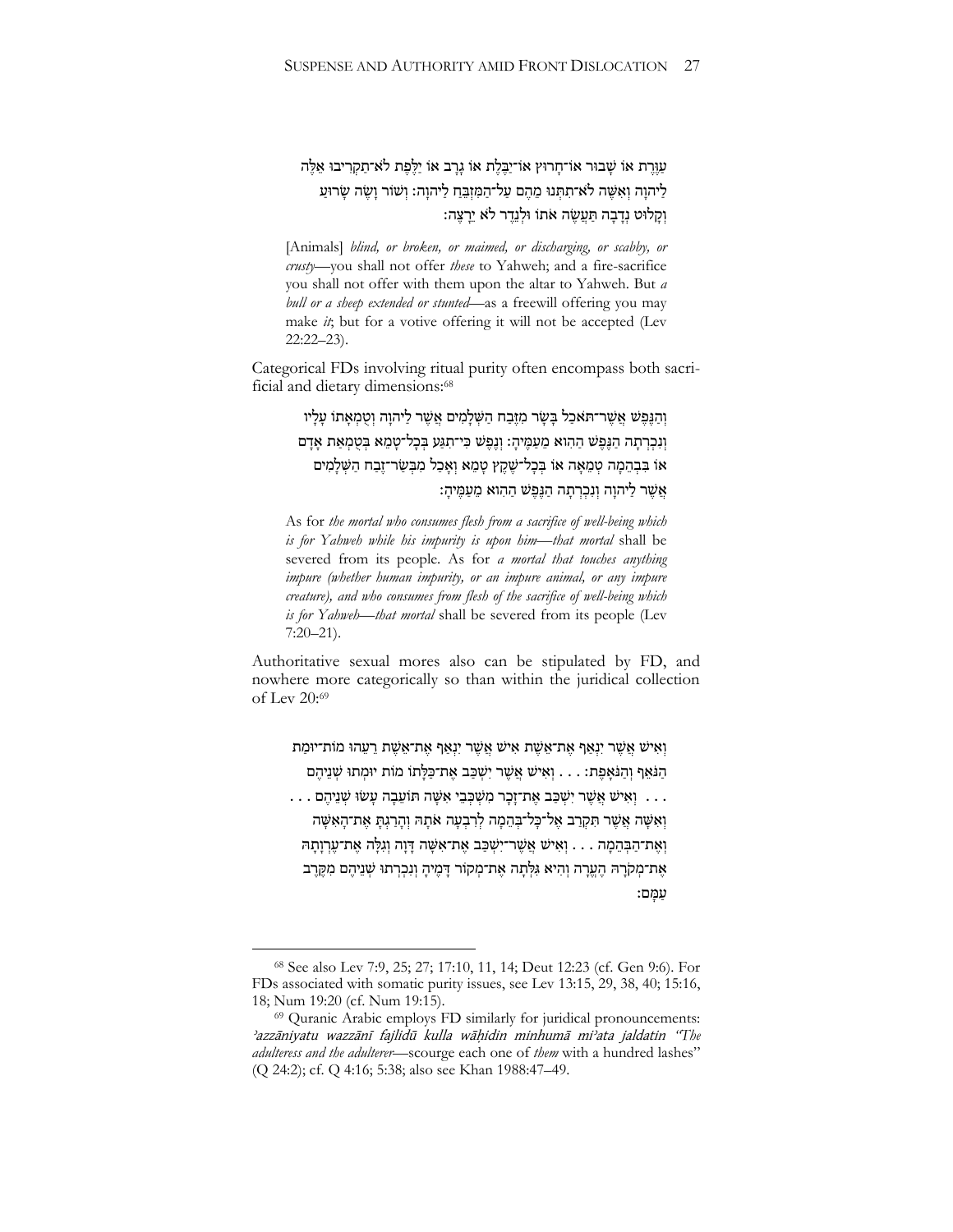עַוֶּרֶת אוֹ שָׁבוּר אוֹ־חַרוּץ אוֹ־יַבֶּלֶת אוֹ גַרָּב אוֹ יַלֵּפֶת לֹא־תַקְרִיבוּ אֶלֶּה לַיהוַה וְאִשֶּׁה לֹא־תִתְּנוּ מֶהֶם עַל־הַמִּזְבֵּחָ לַיהוַה: וְשֹוֹר וַשֶׂה שַׂרוּעַ וְקָלוּט נְדָבָה תַּעֲשֶׂה אֹתוֹ וּלְנֵדֵר לֹא יֵרָצֵה:

[Animals] *blind, or broken, or maimed, or discharging, or scabby, or crusty*—you shall not offer *these* to Yahweh; and a fire-sacrifice you shall not offer with them upon the altar to Yahweh. But *a bull or a sheep extended or stunted*—as a freewill offering you may make *it*; but for a votive offering it will not be accepted (Lev 22:22–23).

Categorical FDs involving ritual purity often encompass both sacrificial and dietary dimensions:<sup>68</sup>

> וְהַגֶּפֶּשׁ אֲשֶׁר־תִּאכַל בַּשָּׂר מִזֶּבַח הַשָּׁלַמִים אֲשֶׁר לַיהוַה וְטִמְאָתוֹ עַלָּיו וְנִכְרְתָה הַגַּפֵּשׁ הַהִוּא מֵעֲמֵיהַ: וְגֵפֵּשׁ כִּי־תִגַּע בִּכְל־טָמֶא בִטְמְאֵת אַדָּם אוֹ בִּבְהֶמָה טְמֶאָה אוֹ בִּבָל־שֶׁקֵץ טָמֶא וְאָבַל מִבְּשַׂר־זֶבָח הַשְּׁלָמִים אֵשֶׁר לַיהוַה וְנִכְרְתָה הַגֲפֵ<sup>ּ</sup>שׁ הַהְוא מֵעֲמֵיהָ:

As for *the mortal who consumes flesh from a sacrifice of well-being which is for Yahweh while his impurity is upon him*—*that mortal* shall be severed from its people. As for *a mortal that touches anything impure (whether human impurity, or an impure animal, or any impure creature), and who consumes from flesh of the sacrifice of well-being which is for Yahweh*—*that mortal* shall be severed from its people (Lev 7:20–21).

Authoritative sexual mores also can be stipulated by FD, and nowhere more categorically so than within the juridical collection of Lev 20:<sup>69</sup>

וְאִישׁ אֲשֶׁר יִנְאַף אֶת־אֵשֶׁת אִישׁ אֲשֶׁר יִנְאַף אֶת־אֵשֶׁת רֵעֲהוּ מוֹת־יוּמַת הַ נֹּאֵף וְהַנֹּאָפֵת: . . . וְאִישׁ אֲשֶׁר יִשְׁכַּב אֶת־כַּלָּתוֹ מֹוֹת יוּמְתוּ שָׁנֵיהֶם

. . . וְאִישׁ אֲשֶׁר יִשְׁכַּב אֶת־זָכָר מִשְׁכִּבֵי אִשֶּׁה תּוֹעֵבָה עָשׂוּ שִׁנֵיהֵם . . . וְ אֵשֶׁה אֲשֶׁר תִּקְרַב אֱל־כַּל־בִּהֶמָה לְרִבְעָה אֹתָהּ וְהַרְגָתַ אֶת־הַאָּשֶׁה וְ אֶת־הַבְּהֶמָה . . . וְאִישׁ אֲשֶׁר־יִשְׁכַּב אֶת־אָשֶׁה דָּוָה וְגִלַּה אֶת־עֶרְוַתָּה אֶת־מְקֹרָהּ הֶעֱרָה וְהִיא גִּלְתָה אֶת־מְקוֹר דָּמֶיהַ וְנִבְרְתוּ שְׁנֵיהֶם מִקֶּרֶב עַ מָּ ם׃

<sup>68</sup> See also Lev 7:9, 25; 27; 17:10, 11, 14; Deut 12:23 (cf. Gen 9:6). For FDs associated with somatic purity issues, see Lev 13:15, 29, 38, 40; 15:16, 18; Num 19:20 (cf. Num 19:15).

<sup>&</sup>lt;sup>69</sup> Quranic Arabic employs FD similarly for juridical pronouncements: <sup>2</sup>azzāniyatu wazzānī fajlidū kulla wāhidin minhumā mi<sup>2</sup>ata jaldatin "The *adulteress and the adulterer*—scourge each one of *them* with a hundred lashes" (Q 24:2); cf. Q 4:16; 5:38; also see Khan 1988:47–49.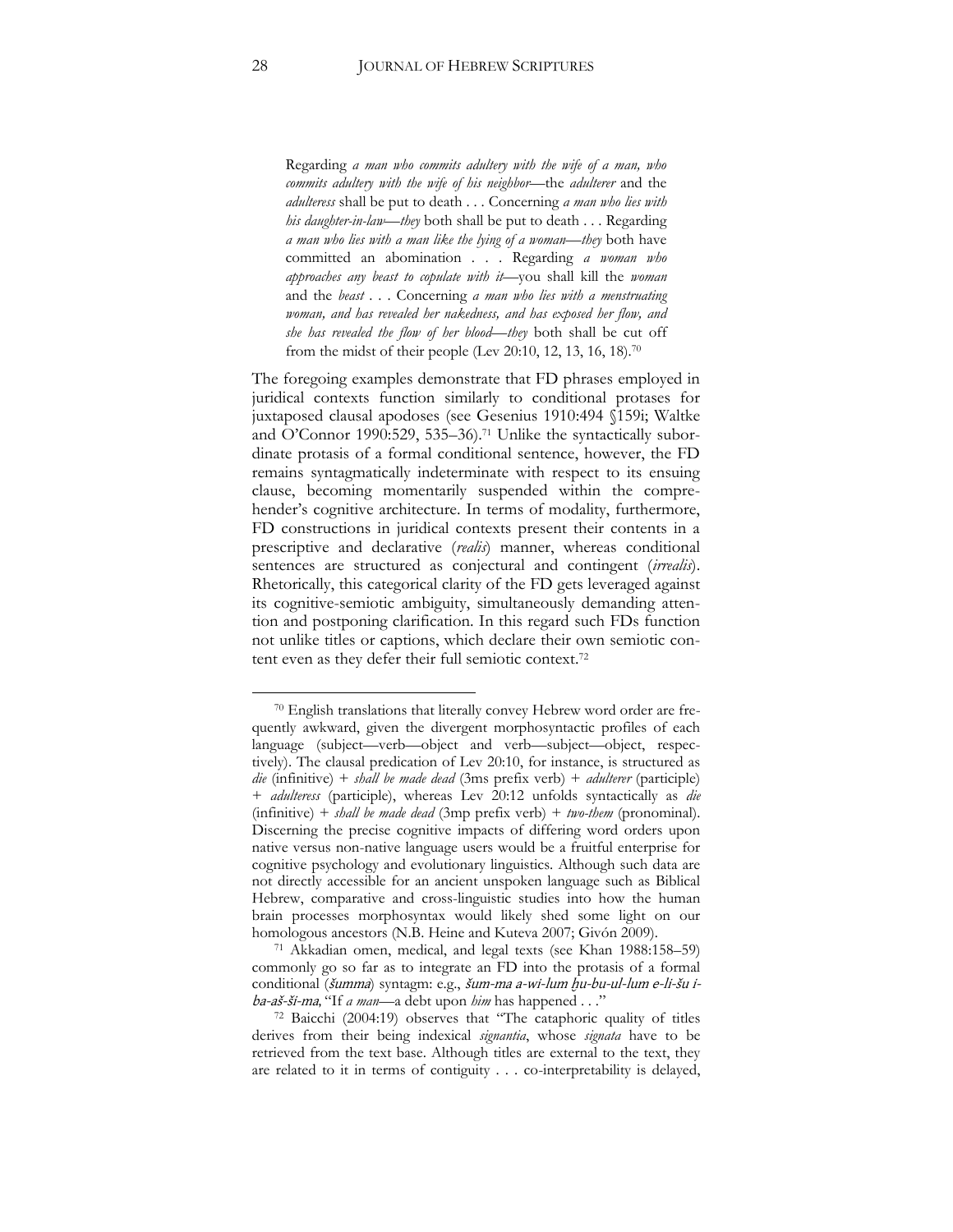Regarding *a man who commits adultery with the wife of a man, who commits adultery with the wife of his neighbor*—the *adulterer* and the *adulteress* shall be put to death . . . Concerning *a man who lies with his daughter-in-law*—*they* both shall be put to death . . . Regarding *a man who lies with a man like the lying of a woman*—*they* both have committed an abomination . . . Regarding *a woman who approaches any beast to copulate with it*—you shall kill the *woman*  and the *beast* . . . Concerning *a man who lies with a menstruating woman, and has revealed her nakedness, and has exposed her flow, and she has revealed the flow of her blood*—*they* both shall be cut off from the midst of their people (Lev 20:10, 12, 13, 16, 18).<sup>70</sup>

The foregoing examples demonstrate that FD phrases employed in juridical contexts function similarly to conditional protases for juxtaposed clausal apodoses (see Gesenius 1910:494 §159i; Waltke and O'Connor 1990:529, 535–36).<sup>71</sup> Unlike the syntactically subordinate protasis of a formal conditional sentence, however, the FD remains syntagmatically indeterminate with respect to its ensuing clause, becoming momentarily suspended within the comprehender's cognitive architecture. In terms of modality, furthermore, FD constructions in juridical contexts present their contents in a prescriptive and declarative (*realis*) manner, whereas conditional sentences are structured as conjectural and contingent (*irrealis*). Rhetorically, this categorical clarity of the FD gets leveraged against its cognitive-semiotic ambiguity, simultaneously demanding attention and postponing clarification. In this regard such FDs function not unlike titles or captions, which declare their own semiotic content even as they defer their full semiotic context.<sup>72</sup>

<sup>70</sup> English translations that literally convey Hebrew word order are frequently awkward, given the divergent morphosyntactic profiles of each language (subject—verb—object and verb—subject—object, respectively). The clausal predication of Lev 20:10, for instance, is structured as *die* (infinitive) + *shall be made dead* (3ms prefix verb) + *adulterer* (participle) + *adulteress* (participle), whereas Lev 20:12 unfolds syntactically as *die*  (infinitive) + *shall be made dead* (3mp prefix verb) + *two-them* (pronominal). Discerning the precise cognitive impacts of differing word orders upon native versus non-native language users would be a fruitful enterprise for cognitive psychology and evolutionary linguistics. Although such data are not directly accessible for an ancient unspoken language such as Biblical Hebrew, comparative and cross-linguistic studies into how the human brain processes morphosyntax would likely shed some light on our homologous ancestors (N.B. Heine and Kuteva 2007; Givón 2009).

<sup>71</sup> Akkadian omen, medical, and legal texts (see Khan 1988:158–59) commonly go so far as to integrate an FD into the protasis of a formal conditional (šumma) syntagm: e.g., šum-ma a-wi-lum hu-bu-ul-lum e-li-šu iba-aš-ši-ma, "If *a man*—a debt upon *him* has happened . . ."

<sup>72</sup> Baicchi (2004:19) observes that "The cataphoric quality of titles derives from their being indexical *signantia*, whose *signata* have to be retrieved from the text base. Although titles are external to the text, they are related to it in terms of contiguity . . . co-interpretability is delayed,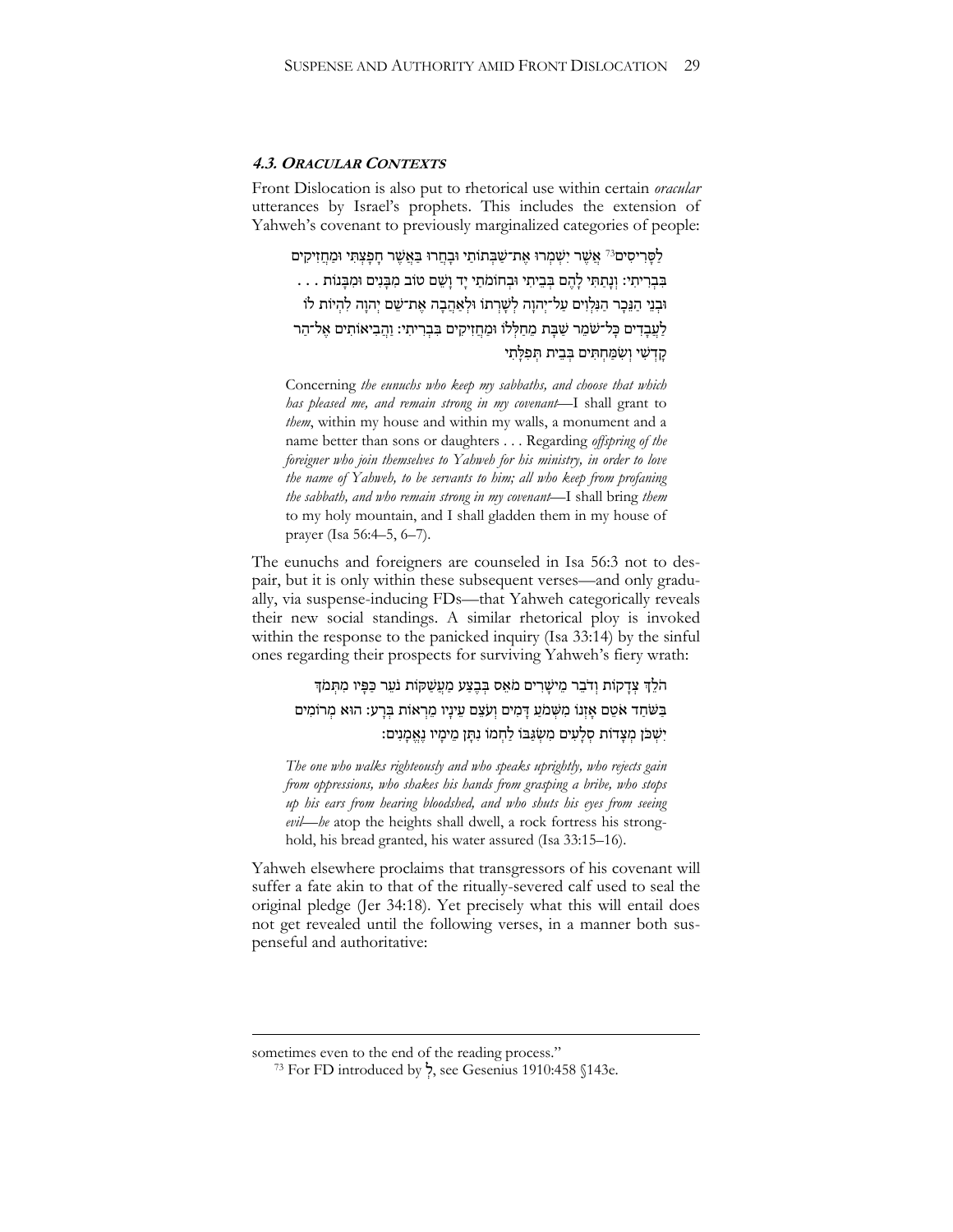#### **4.3. ORACULAR CONTEXTS**

Front Dislocation is also put to rhetorical use within certain *oracular*  utterances by Israel's prophets. This includes the extension of Yahweh's covenant to previously marginalized categories of people:

לַסָּרִיסִים<sup>73</sup> אֲשֶׁר יִשְׁמְרוּ אֶת־שַׁבְּתוֹתַי וּבָחֲרוּ בַּאֲשֶׁר חָפָצְתִּי וּמַחֲזִיקִים . . . בְּבְרִיתִי: וְנַתֲתִּי לָהֶם בִּבֵיתִי וּבְחוֹמֹתֵי יָד וַשֵּׁם טֹוב מִבֲּנִים וּמִבֲנוֹת ּובְ נֵי הַ נֵ כָּ ר הַ נִּלְ וִּ ים עַ ל־יְהוָּ ה לְ שָּ רְ תֹו ּולְ אַ הֲ בָּ ה אֶׁ ת־שֵ ם יְהוָּ ה לִּ הְ יֹות לֹו לַעֲבָדִים כָּל־שֹֹמֵר שַׁבַּת מֵחַלְּלוֹ וּמַחֵזִיקִים בִּבְרִיתִי: וַהֲבִיאוֹתִים אֱל־הַר קדשׁי ושִמֵּחתִּים בִּבִית תִּפִלְּתִי

Concerning *the eunuchs who keep my sabbaths, and choose that which has pleased me, and remain strong in my covenant*—I shall grant to *them*, within my house and within my walls, a monument and a name better than sons or daughters . . . Regarding *offspring of the foreigner who join themselves to Yahweh for his ministry, in order to love the name of Yahweh, to be servants to him; all who keep from profaning the sabbath, and who remain strong in my covenant*—I shall bring *them*  to my holy mountain, and I shall gladden them in my house of prayer (Isa 56:4–5, 6–7).

The eunuchs and foreigners are counseled in Isa 56:3 not to despair, but it is only within these subsequent verses—and only gradually, via suspense-inducing FDs—that Yahweh categorically reveals their new social standings. A similar rhetorical ploy is invoked within the response to the panicked inquiry (Isa 33:14) by the sinful ones regarding their prospects for surviving Yahweh's fiery wrath:

# הֹלֵךְ צְדָקוֹת וְדֹבֶר מֵישַׁרִים מֹאֵס בִּבְצַע מַעֲשָׁקּוֹת נֹעֵר כַּפִּיו מִתְּמֹךְ בַּשֹׁחַד אֹטֵם אָזְנוֹ מִשְׁמֹעַ דָּמִים וְעֹצֵם עֵינָיו מֵרְאוֹת בְּרָע: הוּא מְרוֹמִים יִשְׁכֹּן מִצָּדוֹת סְלָעִים מִשְׂגָּבּוֹ לַחְמוֹ נִתֲן מֵימַיו נֵאֲמָנִים:

*The one who walks righteously and who speaks uprightly, who rejects gain from oppressions, who shakes his hands from grasping a bribe, who stops up his ears from hearing bloodshed, and who shuts his eyes from seeing evil*—*he* atop the heights shall dwell, a rock fortress his stronghold, his bread granted, his water assured (Isa 33:15–16).

Yahweh elsewhere proclaims that transgressors of his covenant will suffer a fate akin to that of the ritually-severed calf used to seal the original pledge (Jer 34:18). Yet precisely what this will entail does not get revealed until the following verses, in a manner both suspenseful and authoritative:

1

sometimes even to the end of the reading process."

<sup>73</sup> For FD introduced by ְל, see Gesenius 1910:458 §143e.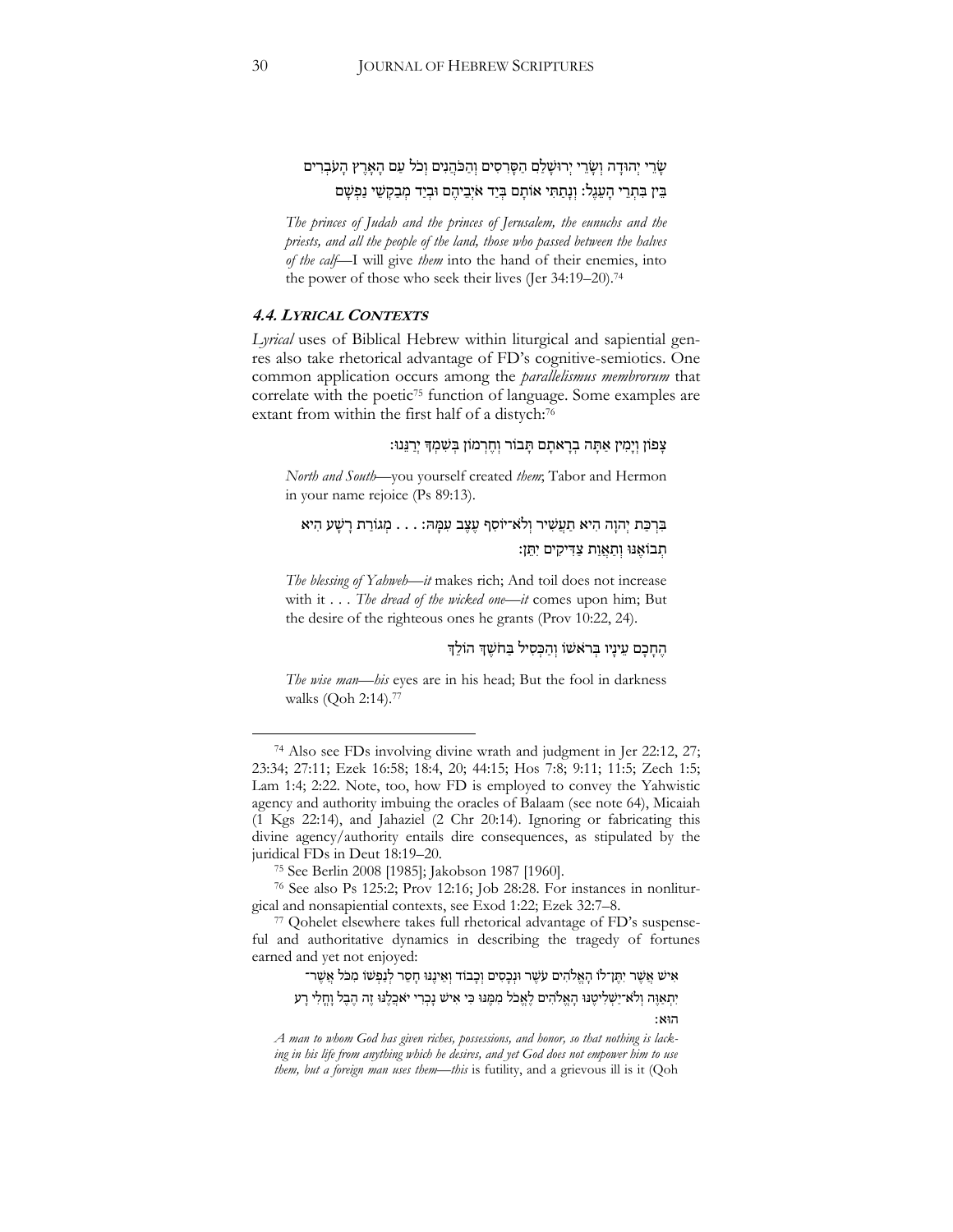שָׂרֵי יְהוּדָה וְשָׂרֵי יְרוּשָׁלַם הַסָּרִסִים וְהַכֹּהֵנִים וְכֹל עַם הָאָרֵץ הַעֹּבְרִים בֵּין בִּתְרֵי הָעֲגֶל: וְנַתֲתִּי אוֹתָם בְּיַד אֹיְבֵיהֶם וּבְיַד מְבַקְשֶׁי נַפְשָׁם

*The princes of Judah and the princes of Jerusalem, the eunuchs and the priests, and all the people of the land, those who passed between the halves of the calf*—I will give *them* into the hand of their enemies, into the power of those who seek their lives (Jer 34:19–20). 74

#### **4.4. LYRICAL CONTEXTS**

*Lyrical* uses of Biblical Hebrew within liturgical and sapiential genres also take rhetorical advantage of FD's cognitive-semiotics. One common application occurs among the *parallelismus membrorum* that correlate with the poetic<sup>75</sup> function of language. Some examples are extant from within the first half of a distych:<sup>76</sup>

#### צְפוֹן וְיָמִין אַתָּה בְרָאתָם תָּבוֹר וְחֶרְמוֹן בְּשִׁמְדָּ יְרַנֵּנוּ:

*North and South*—you yourself created *them*; Tabor and Hermon in your name rejoice (Ps 89:13).

# בִּרְכָּת יְהוַה הִיא תַעֲשִׁיר וְלֹא־יוֹסִף עֶצֶב עִמַּה: . . . מְגוֹרַת רַשָּׁע הִיא תְבוֹאֶנּוּ וְתַאֲוַת צַדִּיקִים יְתֵן:

*The blessing of Yahweh*—*it* makes rich; And toil does not increase with it . . . *The dread of the wicked one*—*it* comes upon him; But the desire of the righteous ones he grants (Prov 10:22, 24).

#### הֶחָבָם עֵינָיו בִּראשׁוֹ וְהַכִּסִיל בַּחֹשֵׁךְ הוֹלֵךְ

*The wise man*—*his* eyes are in his head; But the fool in darkness walks (Qoh 2:14).<sup>77</sup>

ּ אִישׁ אֲשֶׁר יִתֶּו־לֹו הָאֱלֹהִים עֹשֶׁר וּנְכָסִים וְכָבוֹד וְאֵינֶנּוּ חָםֵר לְנַפְשׁוֹ מִכֹּל אֲשֶׁר־

יִתְאַוֶּה וְלֹא־יַשְׁלִיטֶּנּוּ הָאֱלֹהִים לָאֱכֹל מִמֶּנּוּ כִּי אִישׁ נָכְרִי יֹאכֵלֶנּוּ זֶה הֶבֶל וַחֲלִי רַע

הּוא׃

<sup>74</sup> Also see FDs involving divine wrath and judgment in Jer 22:12, 27; 23:34; 27:11; Ezek 16:58; 18:4, 20; 44:15; Hos 7:8; 9:11; 11:5; Zech 1:5; Lam 1:4; 2:22. Note, too, how FD is employed to convey the Yahwistic agency and authority imbuing the oracles of Balaam (see note 64), Micaiah (1 Kgs 22:14), and Jahaziel (2 Chr 20:14). Ignoring or fabricating this divine agency/authority entails dire consequences, as stipulated by the juridical FDs in Deut 18:19–20.

<sup>75</sup> See Berlin 2008 [1985]; Jakobson 1987 [1960].

<sup>76</sup> See also Ps 125:2; Prov 12:16; Job 28:28. For instances in nonliturgical and nonsapiential contexts, see Exod 1:22; Ezek 32:7–8.

<sup>77</sup> Qohelet elsewhere takes full rhetorical advantage of FD's suspenseful and authoritative dynamics in describing the tragedy of fortunes earned and yet not enjoyed:

*A man to whom God has given riches, possessions, and honor, so that nothing is lacking in his life from anything which he desires, and yet God does not empower him to use them, but a foreign man uses them—this* is futility, and a grievous ill is it (Qoh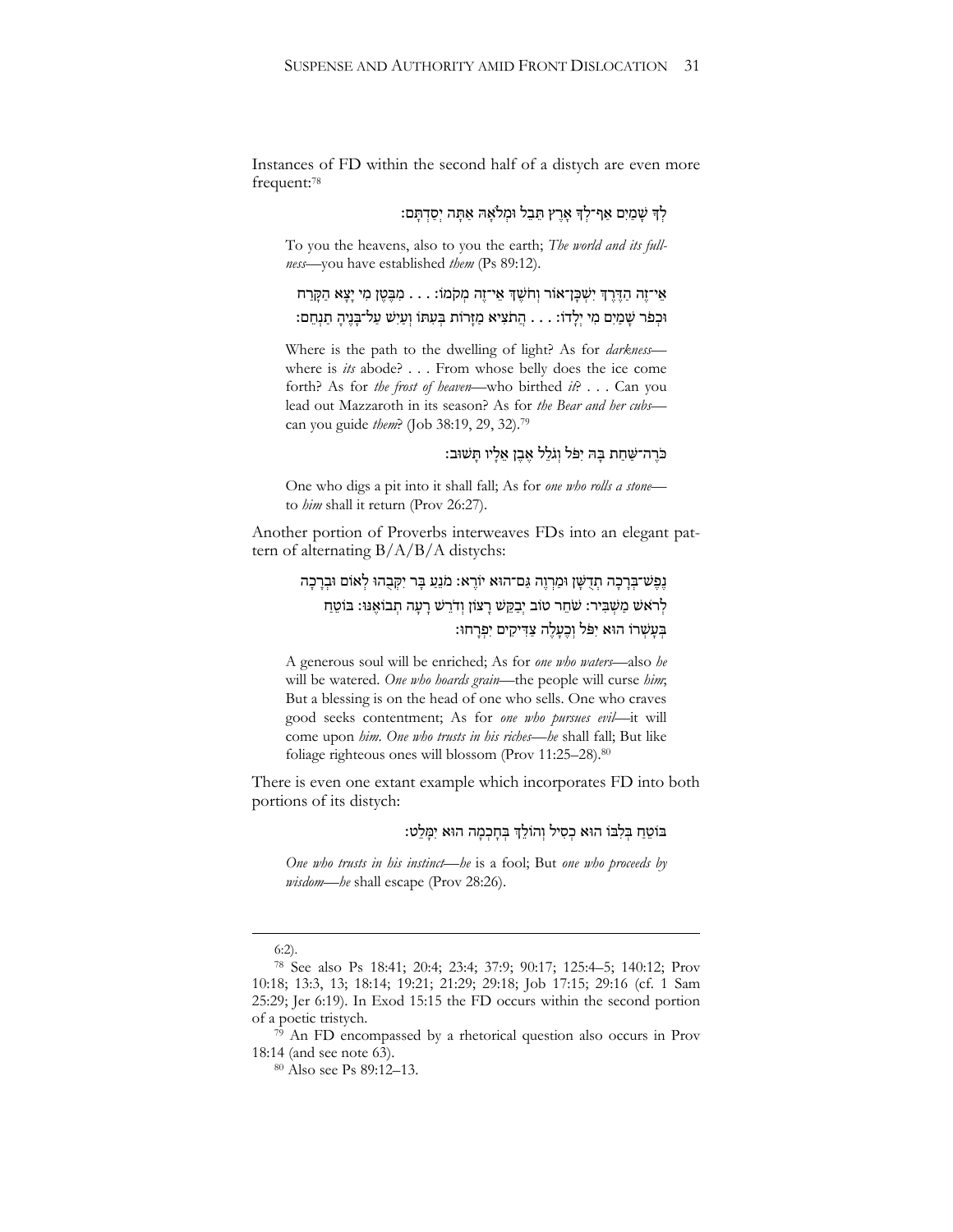Instances of FD within the second half of a distych are even more frequent:<sup>78</sup>

## לְדְּ שַׁמַיִם אַף־לְךָ אָרֵץ תֵּבֶל וּמִלֹאָה אַתָּה יִסַדְתַּם:

To you the heavens, also to you the earth; *The world and its fullness*—you have established *them* (Ps 89:12).

## אֵי־זֶה הַדֶּרֶךְ יִשְׁכַּן־אוֹר וְחֹשֶׁךָּ אֵי־זֶה מְקֹמוֹ: . . . מִבֶּטֶן מִי יַצָּא הַקָּרַח ּוּכְפֹר שֶׁמַיִם מִי יִלָּדוֹ: . . . הֲתֹצִיא מַזָּרוֹת בְּעִתּוֹ וְעַיִּשׁ עַל־בָּנֵיהָ תַנְחֵם:

Where is the path to the dwelling of light? As for *darkness* where is *its* abode? . . . From whose belly does the ice come forth? As for *the frost of heaven*—who birthed *it*? . . . Can you lead out Mazzaroth in its season? As for *the Bear and her cubs* can you guide *them*? (Job 38:19, 29, 32).<sup>79</sup>

## כֹּרֶה־שַׁחַת בַּהּ יִפֹּל וְגֹלֵל אֶבֶן אֶלָיו תַּשׁוּב:

One who digs a pit into it shall fall; As for *one who rolls a stone* to *him* shall it return (Prov 26:27).

Another portion of Proverbs interweaves FDs into an elegant pattern of alternating B/A/B/A distychs:

# נֶפֶּשׁ־בִרָכָה תִדְשָׁן וּמַרְוֵה גַּם־הוּא יוֹרֵא: מֹנֵעַ בָּר יִקְבָהוּ לְאוֹם וּבִרָכָה לְרֹאשׁ מַשְׁבִּיר: שֹׁחֵר טוֹב יְבַקֵּשׁ רָעוֹן וְדֹרֵשׁ רָעָה תְבוֹאֶנּוּ: בּוֹטֵחַ בְעַשְׁרוֹ הוּא יִפּל וְכֶעֲלֶה צַדִּיקִים יִפְרַחוּ:

A generous soul will be enriched; As for *one who waters*—also *he*  will be watered. *One who hoards grain*—the people will curse *him*; But a blessing is on the head of one who sells. One who craves good seeks contentment; As for *one who pursues evil*—it will come upon *him*. *One who trusts in his riches*—*he* shall fall; But like foliage righteous ones will blossom (Prov 11:25–28).<sup>80</sup>

There is even one extant example which incorporates FD into both portions of its distych:

## בּוֹטֵחַ בִּלְבּוֹ הוּא כִסְיל וְהוֹלֵךְ בְּחַכְמָה הוּא יִמַּלֵט:

*One who trusts in his instinct*—*he* is a fool; But *one who proceeds by wisdom*—*he* shall escape (Prov 28:26).

<u>.</u>

<sup>6:2).</sup>

<sup>78</sup> See also Ps 18:41; 20:4; 23:4; 37:9; 90:17; 125:4–5; 140:12; Prov 10:18; 13:3, 13; 18:14; 19:21; 21:29; 29:18; Job 17:15; 29:16 (cf. 1 Sam 25:29; Jer 6:19). In Exod 15:15 the FD occurs within the second portion of a poetic tristych.

 $79$  An FD encompassed by a rhetorical question also occurs in Prov 18:14 (and see note 63).

<sup>80</sup> Also see Ps 89:12–13.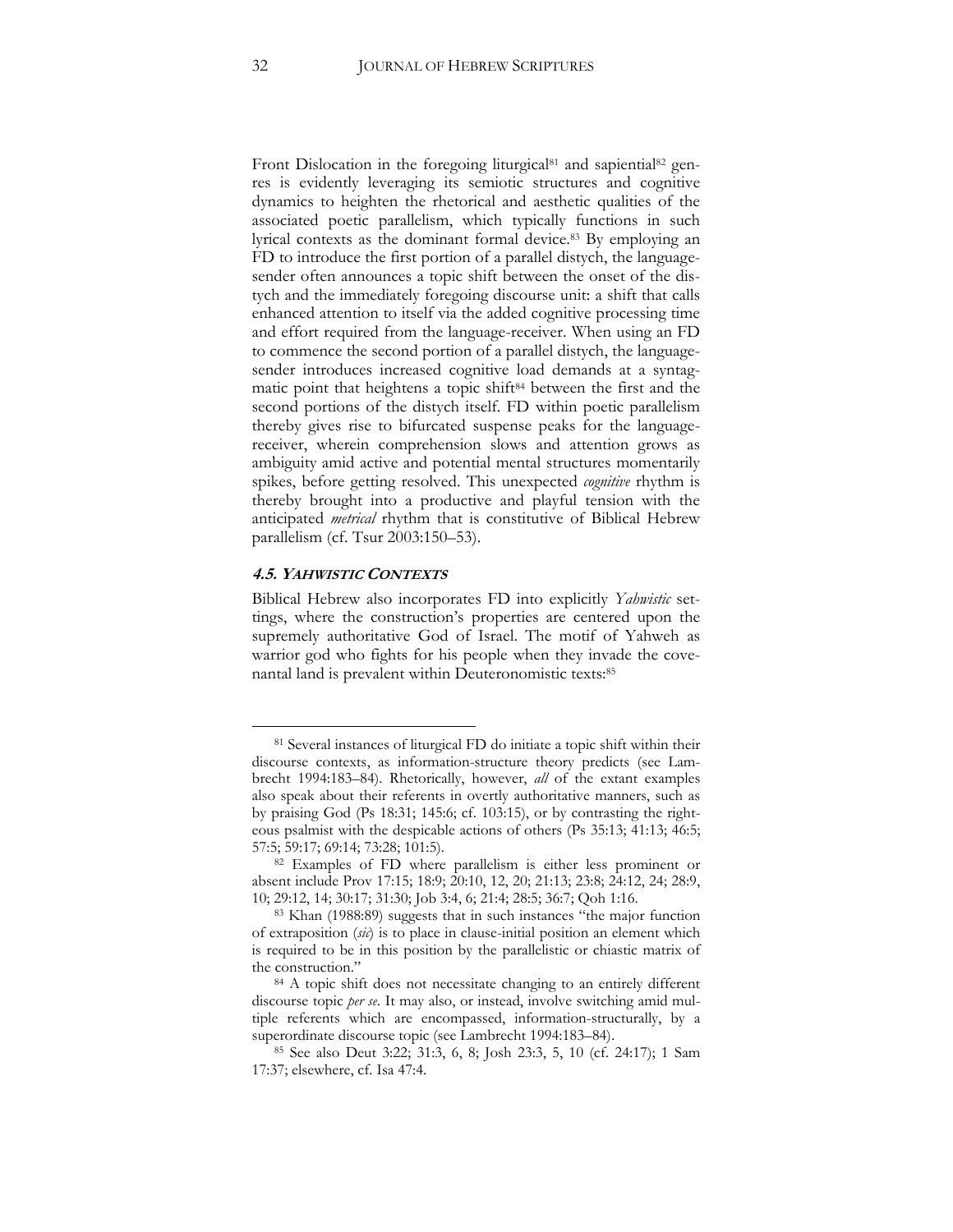Front Dislocation in the foregoing liturgical<sup>81</sup> and sapiential<sup>82</sup> genres is evidently leveraging its semiotic structures and cognitive dynamics to heighten the rhetorical and aesthetic qualities of the associated poetic parallelism, which typically functions in such lyrical contexts as the dominant formal device.<sup>83</sup> By employing an FD to introduce the first portion of a parallel distych, the languagesender often announces a topic shift between the onset of the distych and the immediately foregoing discourse unit: a shift that calls enhanced attention to itself via the added cognitive processing time and effort required from the language-receiver. When using an FD to commence the second portion of a parallel distych, the languagesender introduces increased cognitive load demands at a syntagmatic point that heightens a topic shift<sup>84</sup> between the first and the second portions of the distych itself. FD within poetic parallelism thereby gives rise to bifurcated suspense peaks for the languagereceiver, wherein comprehension slows and attention grows as ambiguity amid active and potential mental structures momentarily spikes, before getting resolved. This unexpected *cognitive* rhythm is thereby brought into a productive and playful tension with the anticipated *metrical* rhythm that is constitutive of Biblical Hebrew parallelism (cf. Tsur 2003:150–53).

#### **4.5. YAHWISTIC CONTEXTS**

 $\overline{a}$ 

Biblical Hebrew also incorporates FD into explicitly *Yahwistic* settings, where the construction's properties are centered upon the supremely authoritative God of Israel. The motif of Yahweh as warrior god who fights for his people when they invade the covenantal land is prevalent within Deuteronomistic texts:<sup>85</sup>

<sup>81</sup> Several instances of liturgical FD do initiate a topic shift within their discourse contexts, as information-structure theory predicts (see Lambrecht 1994:183–84). Rhetorically, however, *all* of the extant examples also speak about their referents in overtly authoritative manners, such as by praising God (Ps 18:31; 145:6; cf. 103:15), or by contrasting the righteous psalmist with the despicable actions of others (Ps 35:13; 41:13; 46:5; 57:5; 59:17; 69:14; 73:28; 101:5).

<sup>&</sup>lt;sup>82</sup> Examples of FD where parallelism is either less prominent or absent include Prov 17:15; 18:9; 20:10, 12, 20; 21:13; 23:8; 24:12, 24; 28:9, 10; 29:12, 14; 30:17; 31:30; Job 3:4, 6; 21:4; 28:5; 36:7; Qoh 1:16.

<sup>83</sup> Khan (1988:89) suggests that in such instances "the major function of extraposition (*sic*) is to place in clause-initial position an element which is required to be in this position by the parallelistic or chiastic matrix of the construction."

<sup>&</sup>lt;sup>84</sup> A topic shift does not necessitate changing to an entirely different discourse topic *per se*. It may also, or instead, involve switching amid multiple referents which are encompassed, information-structurally, by a superordinate discourse topic (see Lambrecht 1994:183–84).

<sup>85</sup> See also Deut 3:22; 31:3, 6, 8; Josh 23:3, 5, 10 (cf. 24:17); 1 Sam 17:37; elsewhere, cf. Isa 47:4.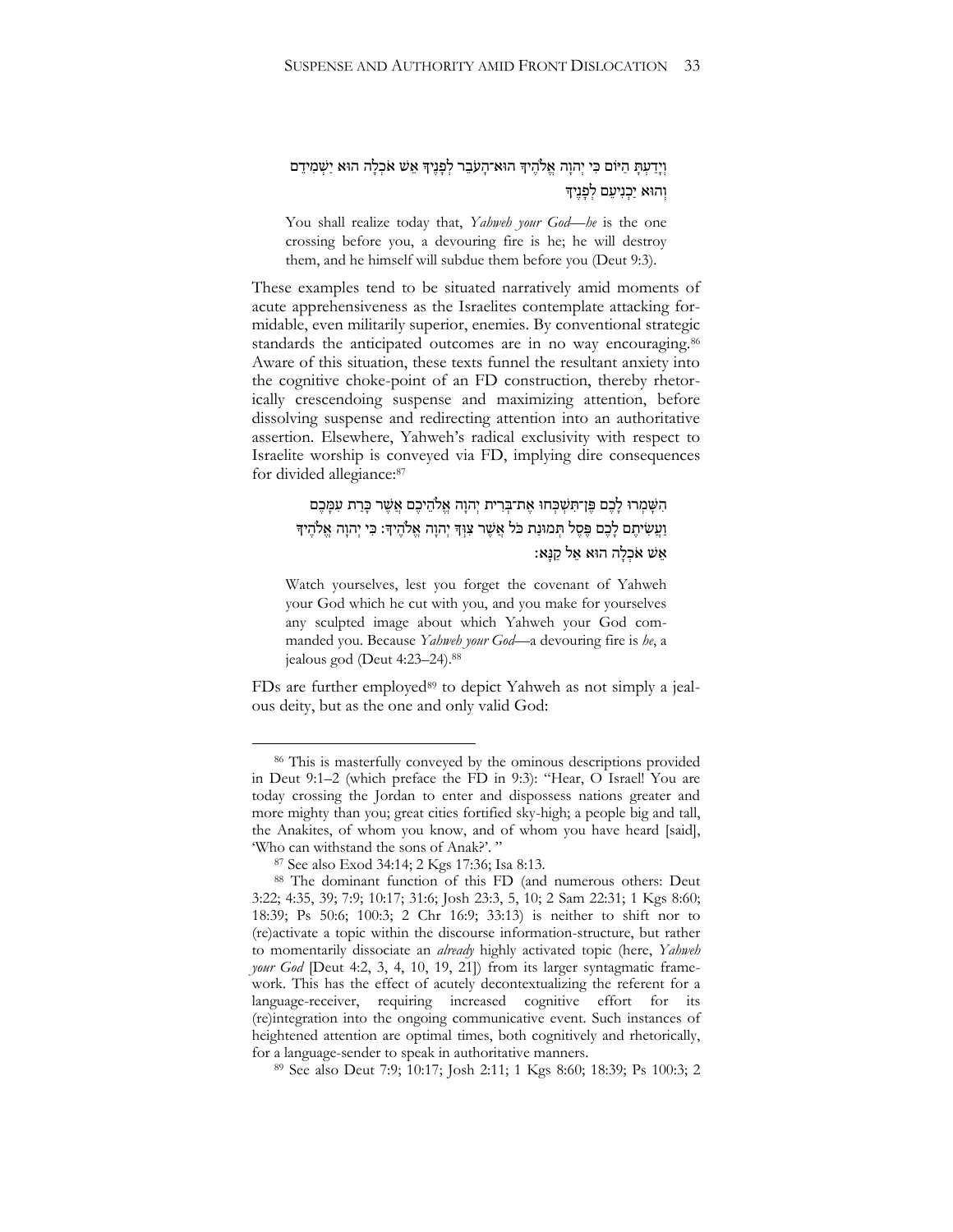## וְיָדַעְתָּ הַיּּוֹם כִּי יְהוָה אֱלֹהֶיךָ הוּא־הָעֹבֵר לְפָּנֶיךָ אֵשׁ אֹכְלָה הוּא יַשְׁמִידֵם וְהוּא יִכְנִיעָם לְפַנִיךָ

You shall realize today that, *Yahweh your God*—*he* is the one crossing before you, a devouring fire is he; he will destroy them, and he himself will subdue them before you (Deut 9:3).

These examples tend to be situated narratively amid moments of acute apprehensiveness as the Israelites contemplate attacking formidable, even militarily superior, enemies. By conventional strategic standards the anticipated outcomes are in no way encouraging.<sup>86</sup> Aware of this situation, these texts funnel the resultant anxiety into the cognitive choke-point of an FD construction, thereby rhetorically crescendoing suspense and maximizing attention, before dissolving suspense and redirecting attention into an authoritative assertion. Elsewhere, Yahweh's radical exclusivity with respect to Israelite worship is conveyed via FD, implying dire consequences for divided allegiance:<sup>87</sup>

# הִשָּׁמְרוּ לָכֶם פֵּן־תִּשְׁבְחוּ אֶת־בְרִית יְהוָה אֱלֹהֵיכֶם אֲשֶׁר כְּרַת עִמְּכֶם וַעֲשִׂיתֵם לַכֶּם פֵּסֶל תִּמוּנַת כֹּל אֲשֶׁר צִוּךְ יְהוַה אֱלֹהֵיךָ: כִּי יְהוַה אֱלֹהֵיךָ אֵשׁ אֹכְלַה הוּא אֱל קַנַּאּ:

Watch yourselves, lest you forget the covenant of Yahweh your God which he cut with you, and you make for yourselves any sculpted image about which Yahweh your God commanded you. Because *Yahweh your God*—a devouring fire is *he*, a jealous god (Deut 4:23–24).<sup>88</sup>

FDs are further employed<sup>89</sup> to depict Yahweh as not simply a jealous deity, but as the one and only valid God:

<sup>&</sup>lt;sup>86</sup> This is masterfully conveyed by the ominous descriptions provided in Deut 9:1–2 (which preface the FD in 9:3): "Hear, O Israel! You are today crossing the Jordan to enter and dispossess nations greater and more mighty than you; great cities fortified sky-high; a people big and tall, the Anakites, of whom you know, and of whom you have heard [said], 'Who can withstand the sons of Anak?'."

<sup>87</sup> See also Exod 34:14; 2 Kgs 17:36; Isa 8:13.

<sup>88</sup> The dominant function of this FD (and numerous others: Deut 3:22; 4:35, 39; 7:9; 10:17; 31:6; Josh 23:3, 5, 10; 2 Sam 22:31; 1 Kgs 8:60; 18:39; Ps 50:6; 100:3; 2 Chr 16:9; 33:13) is neither to shift nor to (re)activate a topic within the discourse information-structure, but rather to momentarily dissociate an *already* highly activated topic (here, *Yahweh your God* [Deut 4:2, 3, 4, 10, 19, 21]) from its larger syntagmatic framework. This has the effect of acutely decontextualizing the referent for a language-receiver, requiring increased cognitive effort for its (re)integration into the ongoing communicative event. Such instances of heightened attention are optimal times, both cognitively and rhetorically, for a language-sender to speak in authoritative manners.

<sup>89</sup> See also Deut 7:9; 10:17; Josh 2:11; 1 Kgs 8:60; 18:39; Ps 100:3; 2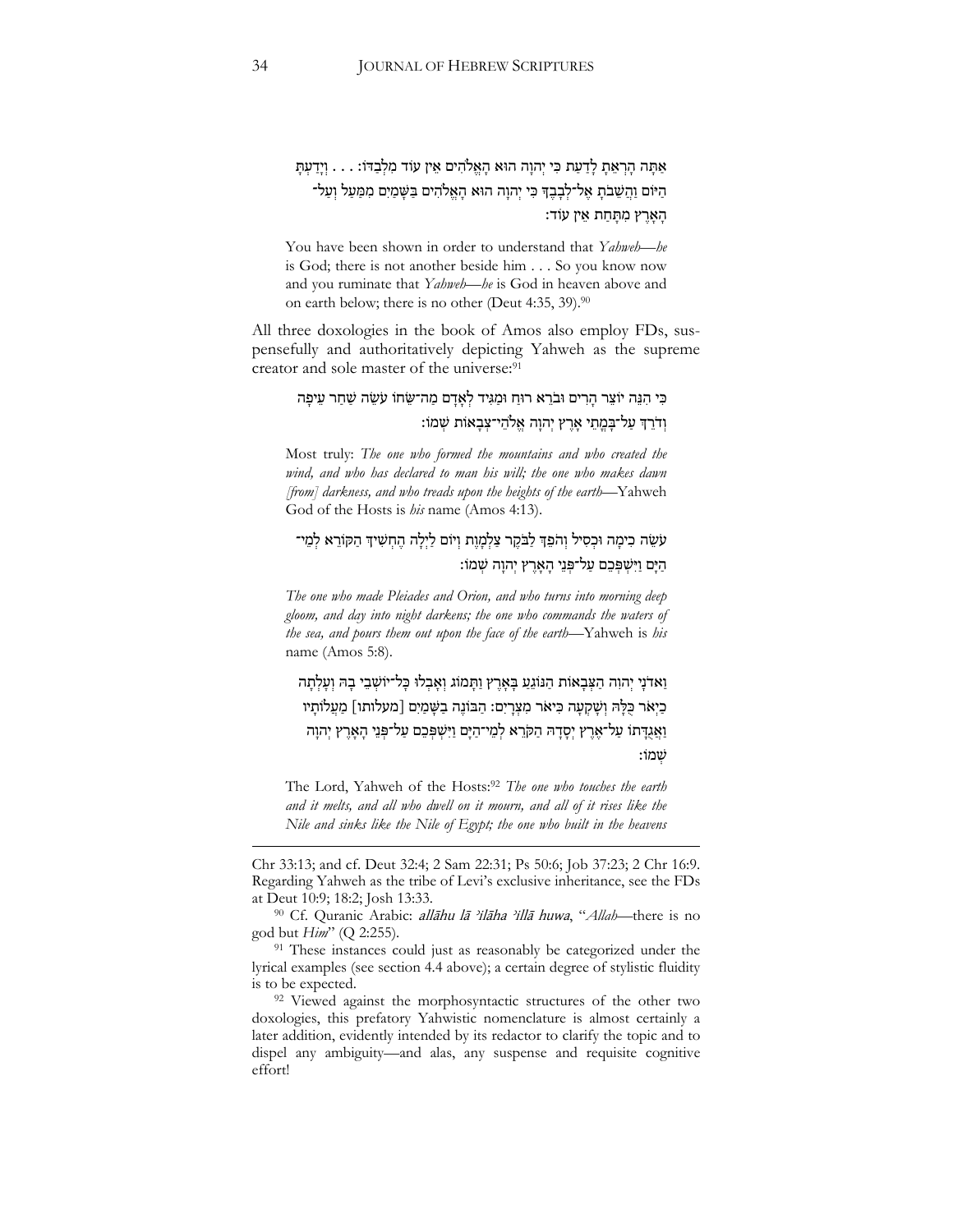# אַתָּה הַרְאֶתָ לַדֲעַת כִּי יְהוַה הוּא הָאֱלֹהִים אֵין עוֹד מִלְבָדוֹ: . . . וְיַדַעְתָּ הַיֹּוֹם וַהֲשֵׁבֹתָ אֱל־לִבָּבֶדְּ כִּי יְהוֵה הוּא הָאֱלֹהִים בַּשָּׁמַיִם מִמַּעַל וְעַל־ הָאָרֵץ מִתָּחַת אֵין עוֹד:

You have been shown in order to understand that *Yahweh*—*he*  is God; there is not another beside him . . . So you know now and you ruminate that *Yahweh*—*he* is God in heaven above and on earth below; there is no other (Deut 4:35, 39).<sup>90</sup>

All three doxologies in the book of Amos also employ FDs, suspensefully and authoritatively depicting Yahweh as the supreme creator and sole master of the universe:<sup>91</sup>

## כִּי הִגֶּה יוֹצֵר הַרִים וּבֹרֵא רוּחַ וּמַגִּיד לְאַדַם מַה־שֵׂחוֹ עֹשֶׂה שַׁחַר עֵיפַּה וִדֹרְדְ עַל־בַּמַתִי אָרִץ יִהוָה אַלהִי־צַבְאָוֹת שַׁמֹוֹ:

Most truly: *The one who formed the mountains and who created the*  wind, and who has declared to man his will; the one who makes dawn *[from] darkness, and who treads upon the heights of the earth*—Yahweh God of the Hosts is *his* name (Amos 4:13).

# עֹשֵׂה כִּימַה וּכִסְיל וְהֹפֵדְ לַבֹּקֵר צַלְמָוֶת וְיוֹם לַיְלַה הֶחְשִׁיךְ הַקּוֹרֵא לְמֵי־ הַ יָּם וַ יִּשְ פְ כֵ ם עַ ל־פְ נֵי הָּ אָּ רֶׁ ץ יְהוָּ ה שְ מֹו׃

*The one who made Pleiades and Orion, and who turns into morning deep gloom, and day into night darkens; the one who commands the waters of the sea, and pours them out upon the face of the earth*—Yahweh is *his*  name (Amos 5:8).

וַאדֹנַי יְהוְה הַצְּבָאוֹת הַנּוֹגֶעַ בַּאָרֵץ וַתֲּמוֹג וְאָבְלוּ כָּל־יוֹשְׁבֵי בָה וְעַלְתַּה כַיְאֹר כָּלָּהּ וְשָׁקִעָּה כִּיאֹר מִצְרָיִם: הַבּוֹנֵה בַשָּׁמַיִם [מעלותו] מַעֵלוֹתָיו וַ אֲגֶדָּתוֹ עַל־אֶרֵץ יִסָדָּהּ הַקֹּרֵא לְמֵי־הַיָּם וַיִּשְׁפִּכֵם עַל־פְּנֵי הָאָרֵץ יִהוָה שְמֹו:

The Lord, Yahweh of the Hosts:<sup>92</sup> *The one who touches the earth and it melts, and all who dwell on it mourn, and all of it rises like the Nile and sinks like the Nile of Egypt; the one who built in the heavens* 

Chr 33:13; and cf. Deut 32:4; 2 Sam 22:31; Ps 50:6; Job 37:23; 2 Chr 16:9. Regarding Yahweh as the tribe of Levi's exclusive inheritance, see the FDs at Deut 10:9; 18:2; Josh 13:33.

<sup>90</sup> Cf. Quranic Arabic: *allāhu lā 'ilāha 'illā huwa*, "Allah—there is no god but *Him*" (Q 2:255).

<sup>91</sup> These instances could just as reasonably be categorized under the lyrical examples (see section 4.4 above); a certain degree of stylistic fluidity is to be expected.

<sup>92</sup> Viewed against the morphosyntactic structures of the other two doxologies, this prefatory Yahwistic nomenclature is almost certainly a later addition, evidently intended by its redactor to clarify the topic and to dispel any ambiguity—and alas, any suspense and requisite cognitive effort!

<u>.</u>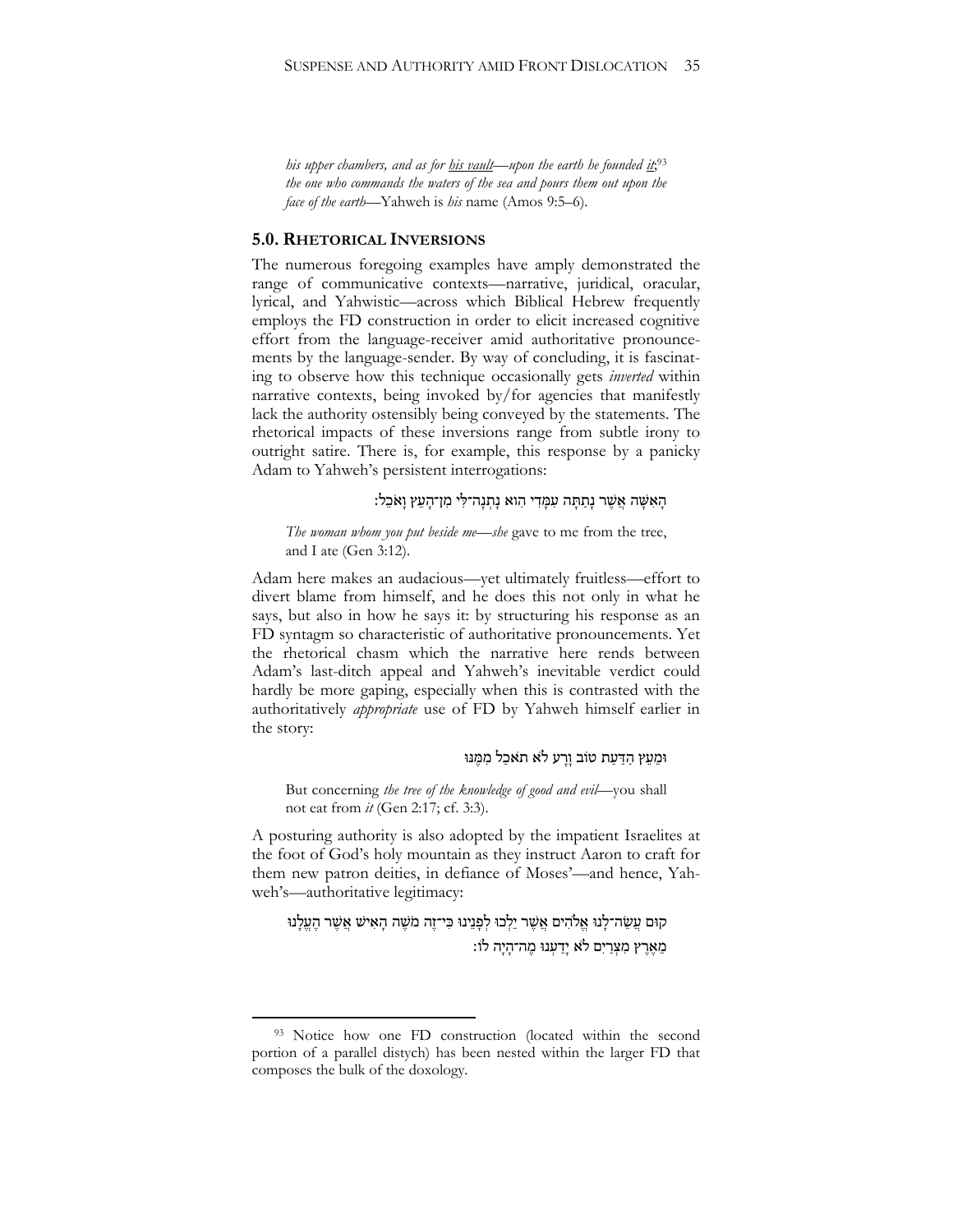*his upper chambers, and as for his vault—upon the earth he founded it*; 93 *the one who commands the waters of the sea and pours them out upon the face of the earth*—Yahweh is *his* name (Amos 9:5–6).

## **5.0. RHETORICAL INVERSIONS**

The numerous foregoing examples have amply demonstrated the range of communicative contexts—narrative, juridical, oracular, lyrical, and Yahwistic—across which Biblical Hebrew frequently employs the FD construction in order to elicit increased cognitive effort from the language-receiver amid authoritative pronouncements by the language-sender. By way of concluding, it is fascinating to observe how this technique occasionally gets *inverted* within narrative contexts, being invoked by/for agencies that manifestly lack the authority ostensibly being conveyed by the statements. The rhetorical impacts of these inversions range from subtle irony to outright satire. There is, for example, this response by a panicky Adam to Yahweh's persistent interrogations:

## הָאִשָּׁה אֲשֶׁר נָתָתָּה עִמַּדִי הִוא נַתְנַה־לִּי מִן־הָעֵץ וַאֹּכֵל:

*The woman whom you put beside me*—*she* gave to me from the tree, and I ate (Gen 3:12).

Adam here makes an audacious—yet ultimately fruitless—effort to divert blame from himself, and he does this not only in what he says, but also in how he says it: by structuring his response as an FD syntagm so characteristic of authoritative pronouncements. Yet the rhetorical chasm which the narrative here rends between Adam's last-ditch appeal and Yahweh's inevitable verdict could hardly be more gaping, especially when this is contrasted with the authoritatively *appropriate* use of FD by Yahweh himself earlier in the story:

## וּמֵעֵץ הַדַּעַת טוֹב וַרַע לֹא תאכַל מִמֵּנּוּ

But concerning *the tree of the knowledge of good and evil*—you shall not eat from *it* (Gen 2:17; cf. 3:3).

A posturing authority is also adopted by the impatient Israelites at the foot of God's holy mountain as they instruct Aaron to craft for them new patron deities, in defiance of Moses'—and hence, Yahweh's—authoritative legitimacy:

קוּם עֲשֵׂה־לָּנוּ אֱלֹהִים אֲשֶׁר יֵלְכוּ לְפָּנֵינוּ כִּי־זֶה מֹשֶׁה הָאִישׁ אֲשֶׁר הֶעֱלָנוּ מִאָּרִץ מַצַרִים לֹאַ יִדַענוּ מַה־הִיה לֹוֹ:

<sup>93</sup> Notice how one FD construction (located within the second portion of a parallel distych) has been nested within the larger FD that composes the bulk of the doxology.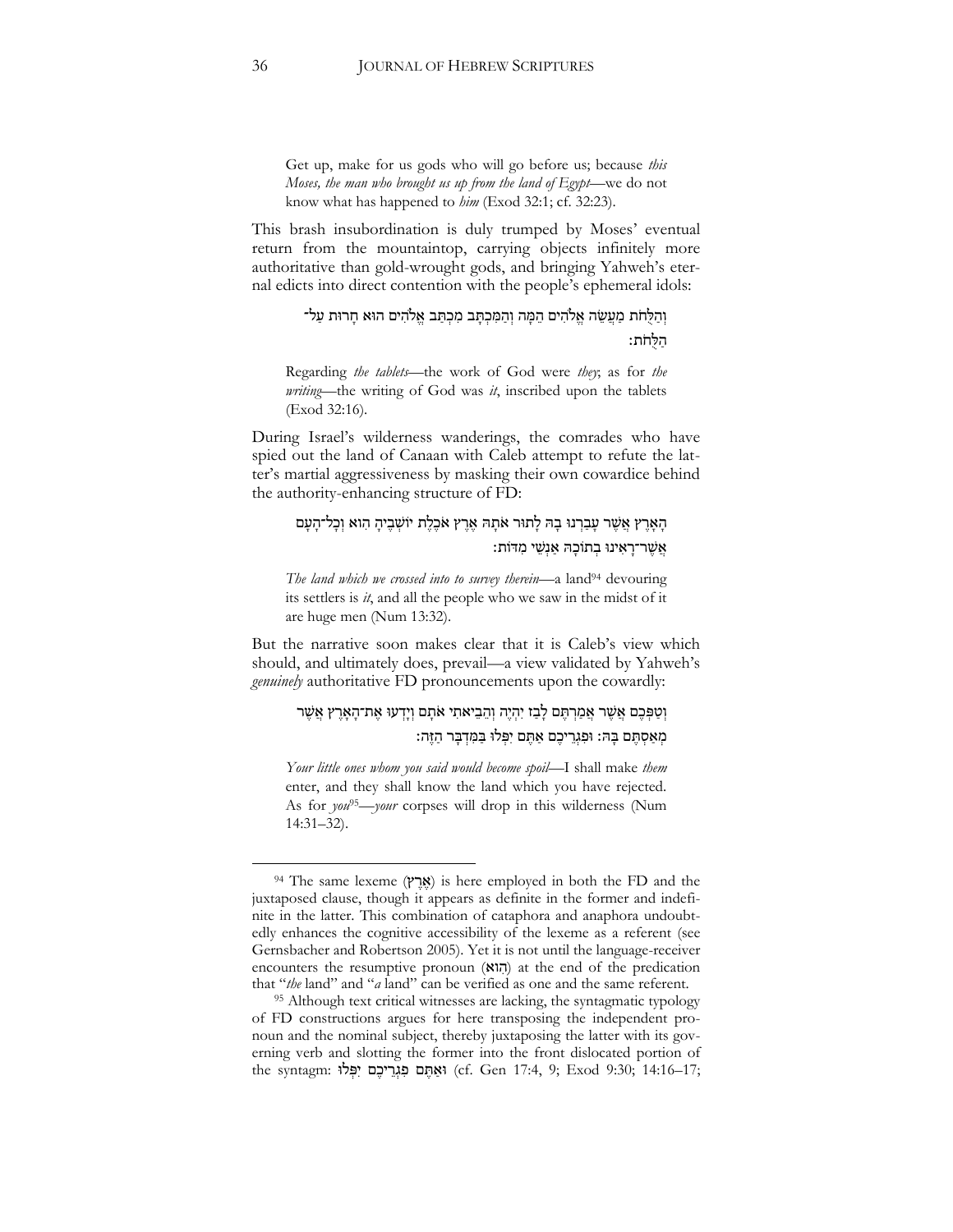Get up, make for us gods who will go before us; because *this Moses, the man who brought us up from the land of Egypt*—we do not know what has happened to *him* (Exod 32:1; cf. 32:23).

This brash insubordination is duly trumped by Moses' eventual return from the mountaintop, carrying objects infinitely more authoritative than gold-wrought gods, and bringing Yahweh's eternal edicts into direct contention with the people's ephemeral idols:

# וְהַלֻּחֹת מַעֲשֶׂה אֱלֹהִים הֵמֶּה וְהַמִּכְתָּב מִכְתַּב אֱלֹהִים הוּא חָרוּת עַל־ הַ לֻ חֹת׃

Regarding *the tablets*—the work of God were *they*; as for *the writing*—the writing of God was *it*, inscribed upon the tablets (Exod 32:16).

During Israel's wilderness wanderings, the comrades who have spied out the land of Canaan with Caleb attempt to refute the latter's martial aggressiveness by masking their own cowardice behind the authority-enhancing structure of FD:

## הָאָרֶץ אֲשֶׁר עָבַרְנוּ בָהּ לָתוּר אֹתָהּ אֶרֶץ אֹכֶלֶת יוֹשְׁבֶיהָ הִוא וְכָל־הָעָם אֲ שֶׁ ר־רָּ אִּ ינּו בְ תֹוכָּ ּה אַ נְשֵ י מִּ דֹות׃

*The land which we crossed into to survey therein*—a land<sup>94</sup> devouring its settlers is *it*, and all the people who we saw in the midst of it are huge men (Num 13:32).

But the narrative soon makes clear that it is Caleb's view which should, and ultimately does, prevail—a view validated by Yahweh's *genuinely* authoritative FD pronouncements upon the cowardly:

# וְטַפְּכֶם אֲשֶׁר אֲמֵרְתֶּם לָבָז יִהְיֶה וְהֶבִיאתִי אֹתָם וְיַדְעוּ אֶת־הָאָרֶץ אֱשֶׁר מְ אַ סְ תֶׁ ם בָּ ּה׃ ּופִּ גְ רֵ יכֶׁ ם אַ תֶׁ ם יִּפְ לּו בַ מִּ דְ בָּ ר הַ זֶׁ ה׃

*Your little ones whom you said would become spoil*—I shall make *them*  enter, and they shall know the land which you have rejected. As for *you*95—*your* corpses will drop in this wilderness (Num 14:31–32).

<sup>&</sup>lt;sup>94</sup> The same lexeme (אֲרֵץ) is here employed in both the FD and the juxtaposed clause, though it appears as definite in the former and indefinite in the latter. This combination of cataphora and anaphora undoubtedly enhances the cognitive accessibility of the lexeme as a referent (see Gernsbacher and Robertson 2005). Yet it is not until the language-receiver encounters the resumptive pronoun  $(N\vert\vec{n})$  at the end of the predication that "*the* land" and "*a* land" can be verified as one and the same referent.

<sup>95</sup> Although text critical witnesses are lacking, the syntagmatic typology of FD constructions argues for here transposing the independent pronoun and the nominal subject, thereby juxtaposing the latter with its governing verb and slotting the former into the front dislocated portion of the syntagm: וּאֲתֶּם פִּגְרֵיכֶם יִפְּלוּ (cf. Gen 17:4, 9; Exod 9:30; 14:16–17;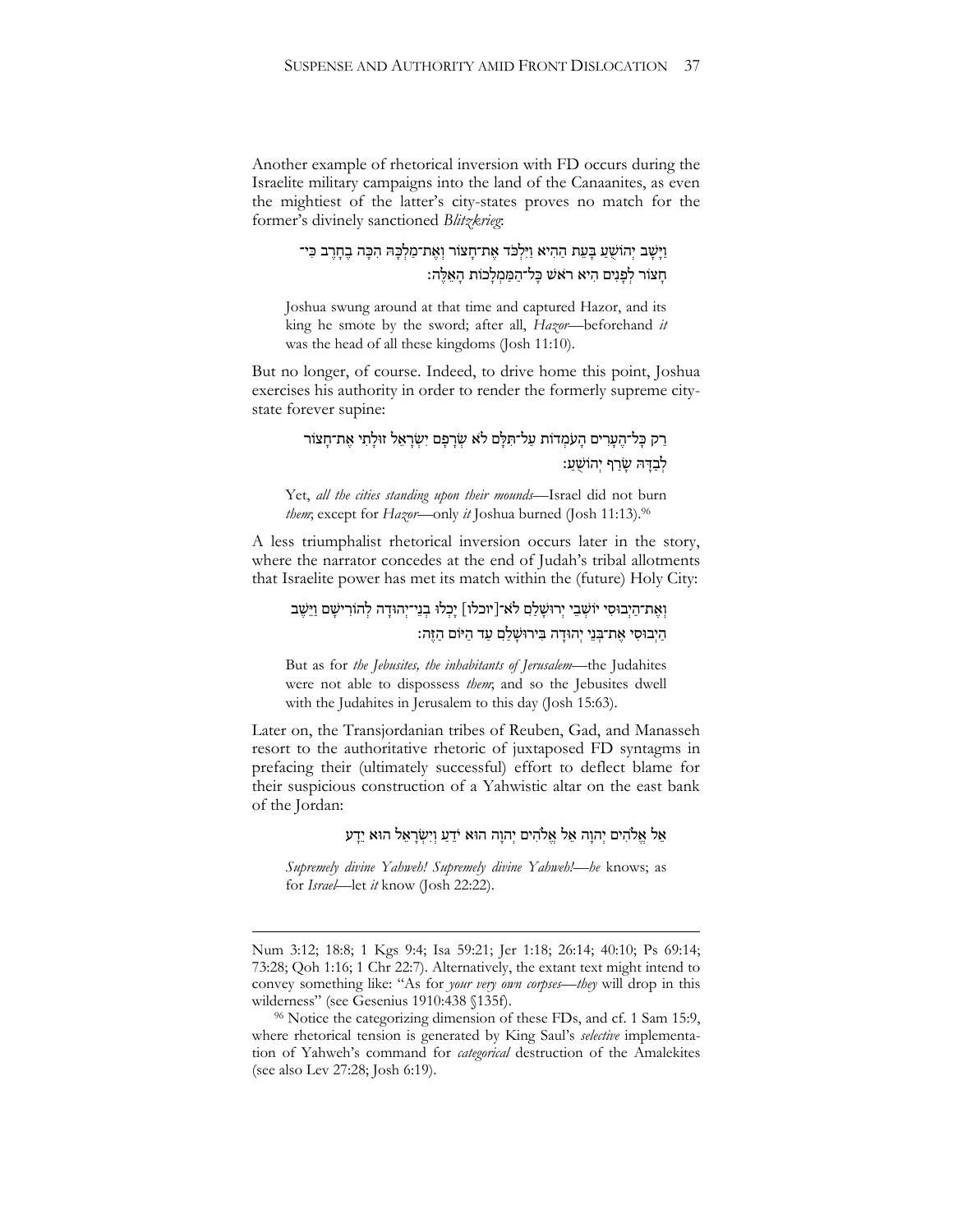Another example of rhetorical inversion with FD occurs during the Israelite military campaigns into the land of the Canaanites, as even the mightiest of the latter's city-states proves no match for the former's divinely sanctioned *Blitzkrieg*:

> וַיָּשֶׁב יְהוֹשָׁעַ בָּעֵת הַהִיא וַיִּלְכֹּד אֶת־חַצּוֹר וְאֶת־מַלְכָּהּ הִכָּה בֶחָרֶב כִּי־ חָּ צֹור לְ פָּ נִּים הִּ יא ר ֹאש כָּ ל־הַ מַ מְ לָּ כֹות הָּ אֵ לֶׁ ה׃

Joshua swung around at that time and captured Hazor, and its king he smote by the sword; after all, *Hazor*—beforehand *it*  was the head of all these kingdoms (Josh 11:10).

But no longer, of course. Indeed, to drive home this point, Joshua exercises his authority in order to render the formerly supreme citystate forever supine:

# רַק כָּל־הֶעָרִים הָעֹמְדוֹת עַל־תִּלָּם לֹא שְׂרָפָם יִשְׂרָאֵל זוּלָתִי אֵת־חָצוֹר לִבְדָּה שַׂרַף יְהוֹשָׁעַ:

Yet, *all the cities standing upon their mounds*—Israel did not burn *them*; except for *Hazor*—only *it* Joshua burned (Josh 11:13).<sup>96</sup>

A less triumphalist rhetorical inversion occurs later in the story, where the narrator concedes at the end of Judah's tribal allotments that Israelite power has met its match within the (future) Holy City:

# וְאֶת־הַיְבוּסִי יוֹשָׁבֵי יְרוּשֵׁלַם לֹא־[יוכלו] יַכְלוּ בְנֵי־יְהוּדַה לְהוֹרִישֵׁם וַיֵּשֵׁב הַיְבוּסִי אֱת־בְּנֵי יְהוּדַה בִּירוּשָׁלַם עַד הַיּוֹם הַזֶּה:

But as for *the Jebusites, the inhabitants of Jerusalem*—the Judahites were not able to dispossess *them*; and so the Jebusites dwell with the Judahites in Jerusalem to this day (Josh 15:63).

Later on, the Transjordanian tribes of Reuben, Gad, and Manasseh resort to the authoritative rhetoric of juxtaposed FD syntagms in prefacing their (ultimately successful) effort to deflect blame for their suspicious construction of a Yahwistic altar on the east bank of the Jordan:

## אֵל אֱלֹהִים יְהוַה אֵל אֱלֹהִים יְהוַה הוּא יֹדֵעַ וְיִשְׂרָאֵל הוּא יֵדַע

*Supremely divine Yahweh! Supremely divine Yahweh!—he* knows; as for *Israel*—let *it* know (Josh 22:22).

1

Num 3:12; 18:8; 1 Kgs 9:4; Isa 59:21; Jer 1:18; 26:14; 40:10; Ps 69:14; 73:28; Qoh 1:16; 1 Chr 22:7). Alternatively, the extant text might intend to convey something like: "As for *your very own corpses*—*they* will drop in this wilderness" (see Gesenius 1910:438 §135f).

<sup>&</sup>lt;sup>96</sup> Notice the categorizing dimension of these FDs, and cf. 1 Sam 15:9, where rhetorical tension is generated by King Saul's *selective* implementation of Yahweh's command for *categorical* destruction of the Amalekites (see also Lev 27:28; Josh 6:19).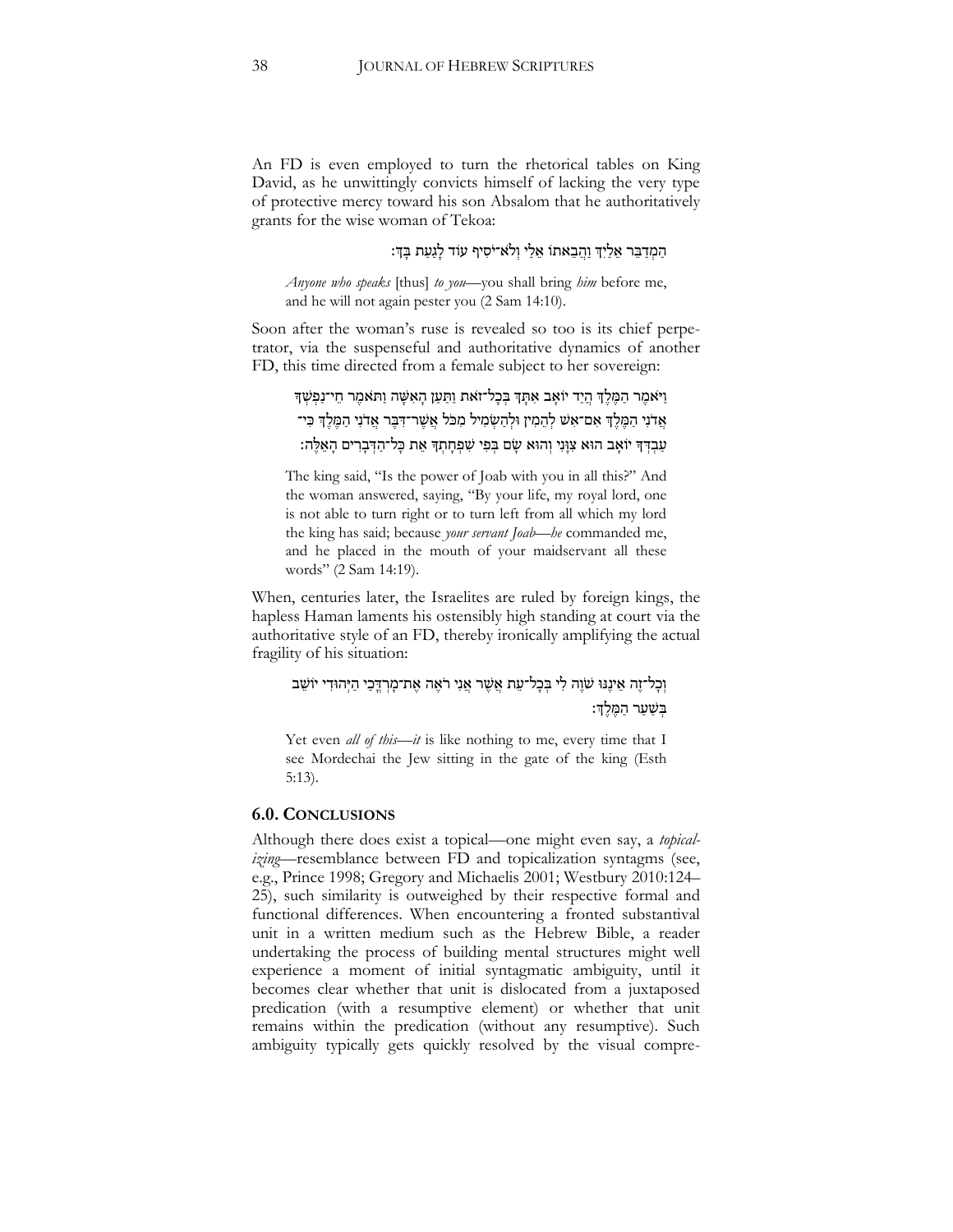An FD is even employed to turn the rhetorical tables on King David, as he unwittingly convicts himself of lacking the very type of protective mercy toward his son Absalom that he authoritatively grants for the wise woman of Tekoa:

## הַמְדַבֵּר אֵלַיִךְ וַהֲבָאתוֹ אֵלֵי וְלֹא־יֹסִיף עוֹד לַגַעַת בַּךְ:

*Anyone who speaks* [thus] *to you*—you shall bring *him* before me, and he will not again pester you (2 Sam 14:10).

Soon after the woman's ruse is revealed so too is its chief perpetrator, via the suspenseful and authoritative dynamics of another FD, this time directed from a female subject to her sovereign:

```
וַ יֹאמֶר הַמֶּלֵךְ הֵיַד יוֹאָב אִתַּךְ בְּכָל־זאת וַתַּעַן הַאִּשֶּׁה וַת<sup>ָ</sup>אמֶר חֵי־נַפְשָׁךְ
אֲדֹנִי הַמֶּלֵךְ אִם־אִ<sup>ָּ</sup>שׁ לְהֵמִין וּלְהַשְׂמִיל מִכֹּל אֲשֶׁר־דִּבֵּר אֲדֹנִי הַמֶּלֵךְ כִּי־
 עַבְדְךָ יֹוֹאָב הוּא צִוָּּנִי וְהוּא שָׂם בְּפִי שִׁפְּחָתָךְ אֵת כָּל־הַדְּבָרִים הָאֵלֵּה:
```
The king said, "Is the power of Joab with you in all this?" And the woman answered, saying, "By your life, my royal lord, one is not able to turn right or to turn left from all which my lord the king has said; because *your servant Joab*—*he* commanded me, and he placed in the mouth of your maidservant all these words" (2 Sam 14:19).

When, centuries later, the Israelites are ruled by foreign kings, the hapless Haman laments his ostensibly high standing at court via the authoritative style of an FD, thereby ironically amplifying the actual fragility of his situation:

# וְכָל־זֶה אֵינֵּנּוּ שֹׁוֶה לִי בִּכָל־עֵת אֲשֶׁר אֲנִי רֹאֵה אֲת־מָרְדֶכֵי הַיִּהוּדִי יוֹשֵׁב בִשַׁער המֵלֹדְ:

Yet even *all of this*—*it* is like nothing to me, every time that I see Mordechai the Jew sitting in the gate of the king (Esth 5:13).

#### **6.0. CONCLUSIONS**

Although there does exist a topical—one might even say, a *topicalizing*—resemblance between FD and topicalization syntagms (see, e.g., Prince 1998; Gregory and Michaelis 2001; Westbury 2010:124– 25), such similarity is outweighed by their respective formal and functional differences. When encountering a fronted substantival unit in a written medium such as the Hebrew Bible, a reader undertaking the process of building mental structures might well experience a moment of initial syntagmatic ambiguity, until it becomes clear whether that unit is dislocated from a juxtaposed predication (with a resumptive element) or whether that unit remains within the predication (without any resumptive). Such ambiguity typically gets quickly resolved by the visual compre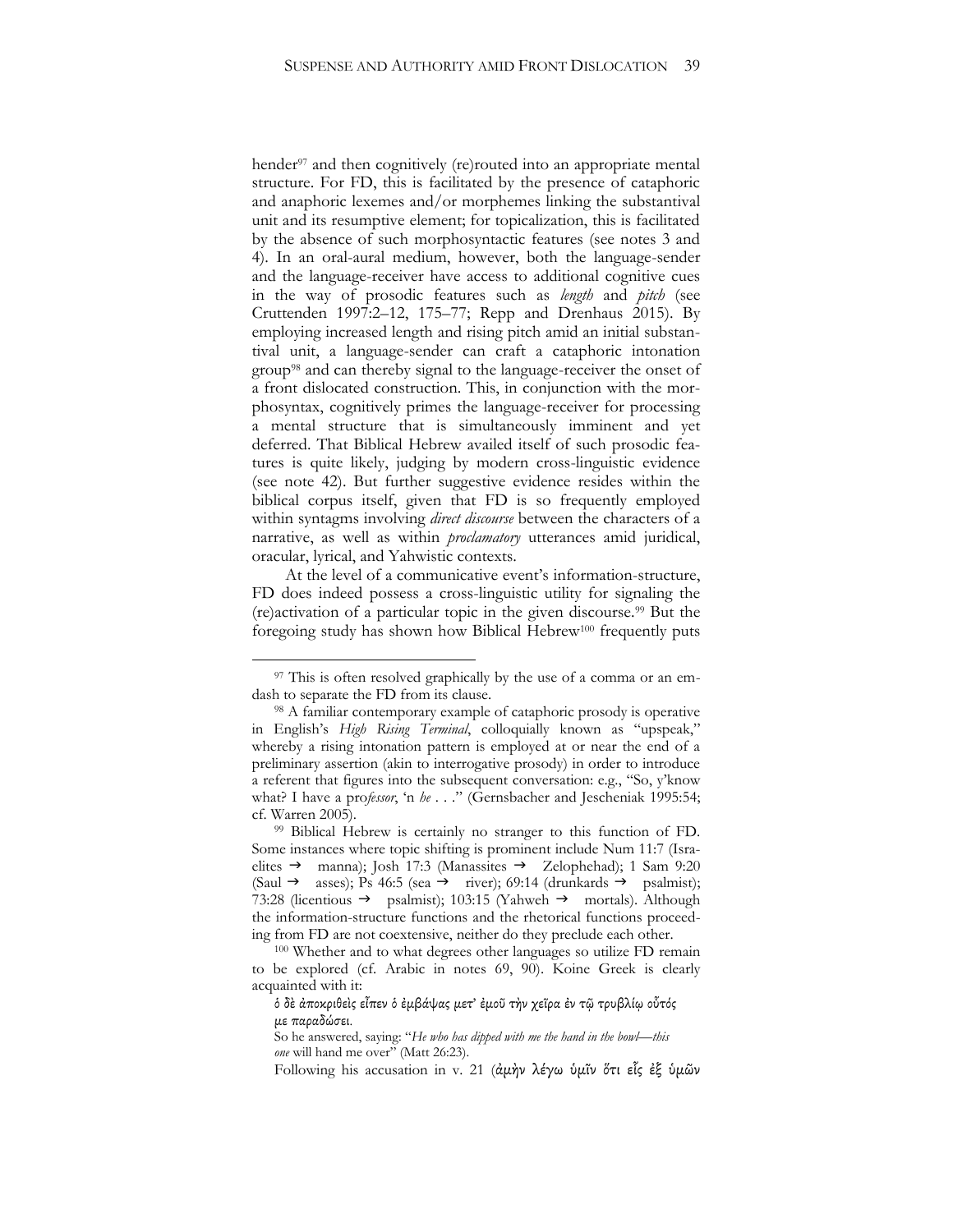hender<sup>97</sup> and then cognitively (re)routed into an appropriate mental structure. For FD, this is facilitated by the presence of cataphoric and anaphoric lexemes and/or morphemes linking the substantival unit and its resumptive element; for topicalization, this is facilitated by the absence of such morphosyntactic features (see notes 3 and 4). In an oral-aural medium, however, both the language-sender and the language-receiver have access to additional cognitive cues in the way of prosodic features such as *length* and *pitch* (see Cruttenden 1997:2–12, 175–77; Repp and Drenhaus 2015). By employing increased length and rising pitch amid an initial substantival unit, a language-sender can craft a cataphoric intonation group<sup>98</sup> and can thereby signal to the language-receiver the onset of a front dislocated construction. This, in conjunction with the morphosyntax, cognitively primes the language-receiver for processing a mental structure that is simultaneously imminent and yet deferred. That Biblical Hebrew availed itself of such prosodic features is quite likely, judging by modern cross-linguistic evidence (see note 42). But further suggestive evidence resides within the biblical corpus itself, given that FD is so frequently employed within syntagms involving *direct discourse* between the characters of a narrative, as well as within *proclamatory* utterances amid juridical, oracular, lyrical, and Yahwistic contexts.

At the level of a communicative event's information-structure, FD does indeed possess a cross-linguistic utility for signaling the (re)activation of a particular topic in the given discourse.<sup>99</sup> But the foregoing study has shown how Biblical Hebrew<sup>100</sup> frequently puts

<sup>&</sup>lt;sup>97</sup> This is often resolved graphically by the use of a comma or an emdash to separate the FD from its clause.

<sup>98</sup> A familiar contemporary example of cataphoric prosody is operative in English's *High Rising Terminal*, colloquially known as "upspeak," whereby a rising intonation pattern is employed at or near the end of a preliminary assertion (akin to interrogative prosody) in order to introduce a referent that figures into the subsequent conversation: e.g., "So, y'know what? I have a pro*fessor*, 'n *he* . . ." (Gernsbacher and Jescheniak 1995:54; cf. Warren 2005).

<sup>99</sup> Biblical Hebrew is certainly no stranger to this function of FD. Some instances where topic shifting is prominent include Num 11:7 (Israelites  $\rightarrow$  manna); Josh 17:3 (Manassites  $\rightarrow$  Zelophehad); 1 Sam 9:20 (Saul  $\rightarrow$  asses); Ps 46:5 (sea  $\rightarrow$  river); 69:14 (drunkards  $\rightarrow$  psalmist); 73:28 (licentious  $\rightarrow$  psalmist); 103:15 (Yahweh  $\rightarrow$  mortals). Although the information-structure functions and the rhetorical functions proceeding from FD are not coextensive, neither do they preclude each other.

<sup>100</sup> Whether and to what degrees other languages so utilize FD remain to be explored (cf. Arabic in notes 69, 90). Koine Greek is clearly acquainted with it:

ὁ δὲ ἀποκριθεὶς εἶπεν ὁ ἐμβάψας μετ' ἐμοῦ τὴν χεῖρα ἐν τῷ τρυβλίῳ οὗτός με παραδώσει.

So he answered, saying: "*He who has dipped with me the hand in the bowl*—*this one* will hand me over" (Matt 26:23).

Following his accusation in v. 21 (ἀμὴν λέγω ὑμῖν ὅτι εἷς ἐξ ὑμῶν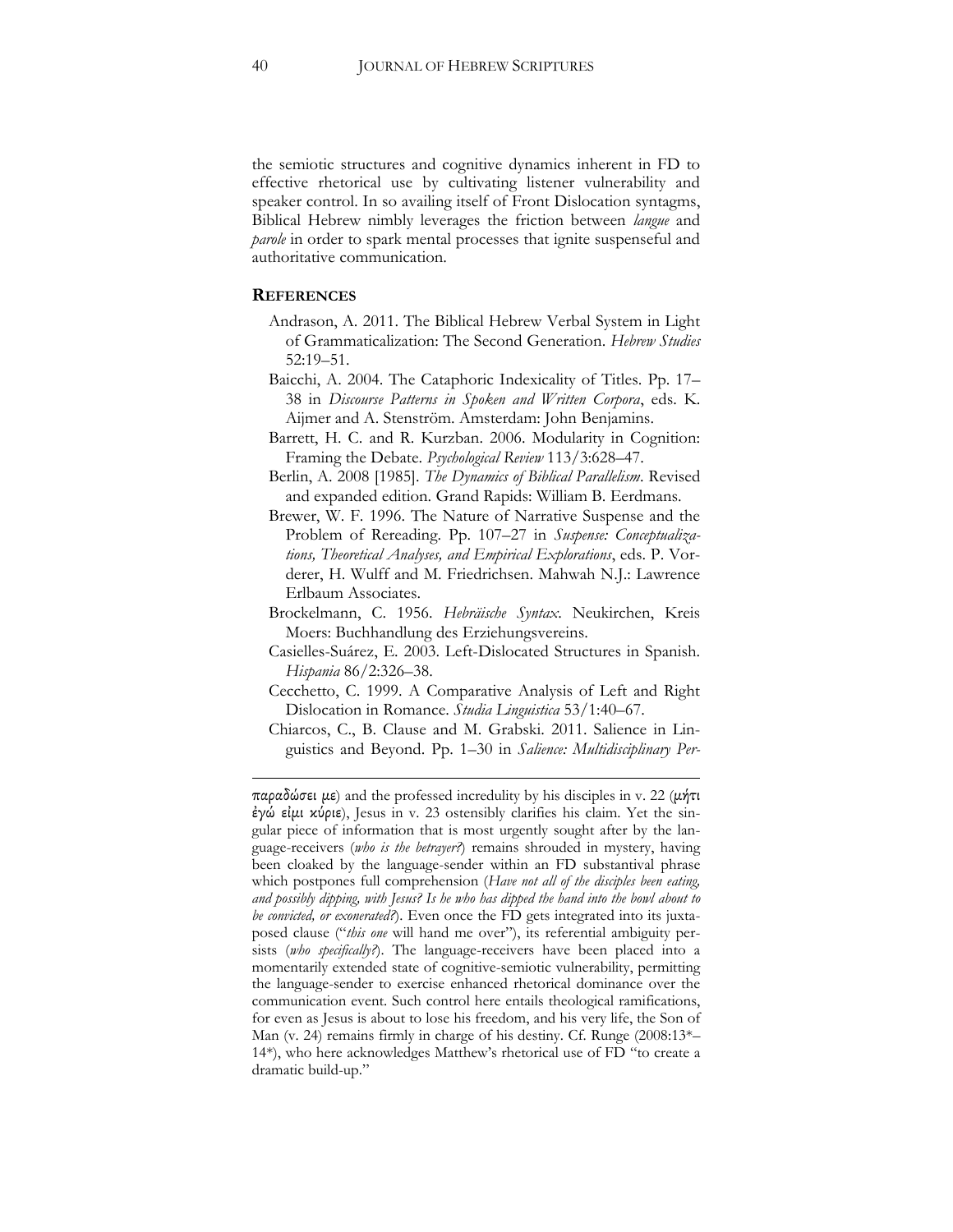the semiotic structures and cognitive dynamics inherent in FD to effective rhetorical use by cultivating listener vulnerability and speaker control. In so availing itself of Front Dislocation syntagms, Biblical Hebrew nimbly leverages the friction between *langue* and *parole* in order to spark mental processes that ignite suspenseful and authoritative communication.

#### **REFERENCES**

1

- Andrason, A. 2011. The Biblical Hebrew Verbal System in Light of Grammaticalization: The Second Generation. *Hebrew Studies*  52:19–51.
- Baicchi, A. 2004. The Cataphoric Indexicality of Titles. Pp. 17– 38 in *Discourse Patterns in Spoken and Written Corpora*, eds. K. Aijmer and A. Stenström. Amsterdam: John Benjamins.
- Barrett, H. C. and R. Kurzban. 2006. Modularity in Cognition: Framing the Debate. *Psychological Review* 113/3:628–47.
- Berlin, A. 2008 [1985]. *The Dynamics of Biblical Parallelism*. Revised and expanded edition. Grand Rapids: William B. Eerdmans.
- Brewer, W. F. 1996. The Nature of Narrative Suspense and the Problem of Rereading. Pp. 107–27 in *Suspense: Conceptualizations, Theoretical Analyses, and Empirical Explorations*, eds. P. Vorderer, H. Wulff and M. Friedrichsen. Mahwah N.J.: Lawrence Erlbaum Associates.
- Brockelmann, C. 1956. *Hebräische Syntax*. Neukirchen, Kreis Moers: Buchhandlung des Erziehungsvereins.
- Casielles-Suárez, E. 2003. Left-Dislocated Structures in Spanish. *Hispania* 86/2:326–38.
- Cecchetto, C. 1999. A Comparative Analysis of Left and Right Dislocation in Romance. *Studia Linguistica* 53/1:40–67.
- Chiarcos, C., B. Clause and M. Grabski. 2011. Salience in Linguistics and Beyond. Pp. 1–30 in *Salience: Multidisciplinary Per-*

παραδώσει με) and the professed incredulity by his disciples in v. 22 (μήτι ἐγώ εἰμι κύριε), Jesus in v. 23 ostensibly clarifies his claim. Yet the singular piece of information that is most urgently sought after by the language-receivers (*who is the betrayer?*) remains shrouded in mystery, having been cloaked by the language-sender within an FD substantival phrase which postpones full comprehension (*Have not all of the disciples been eating, and possibly dipping, with Jesus? Is he who has dipped the hand into the bowl about to be convicted, or exonerated?*). Even once the FD gets integrated into its juxtaposed clause ("*this one* will hand me over"), its referential ambiguity persists (*who specifically?*). The language-receivers have been placed into a momentarily extended state of cognitive-semiotic vulnerability, permitting the language-sender to exercise enhanced rhetorical dominance over the communication event. Such control here entails theological ramifications, for even as Jesus is about to lose his freedom, and his very life, the Son of Man (v. 24) remains firmly in charge of his destiny. Cf. Runge (2008:13\*– 14\*), who here acknowledges Matthew's rhetorical use of FD "to create a dramatic build-up."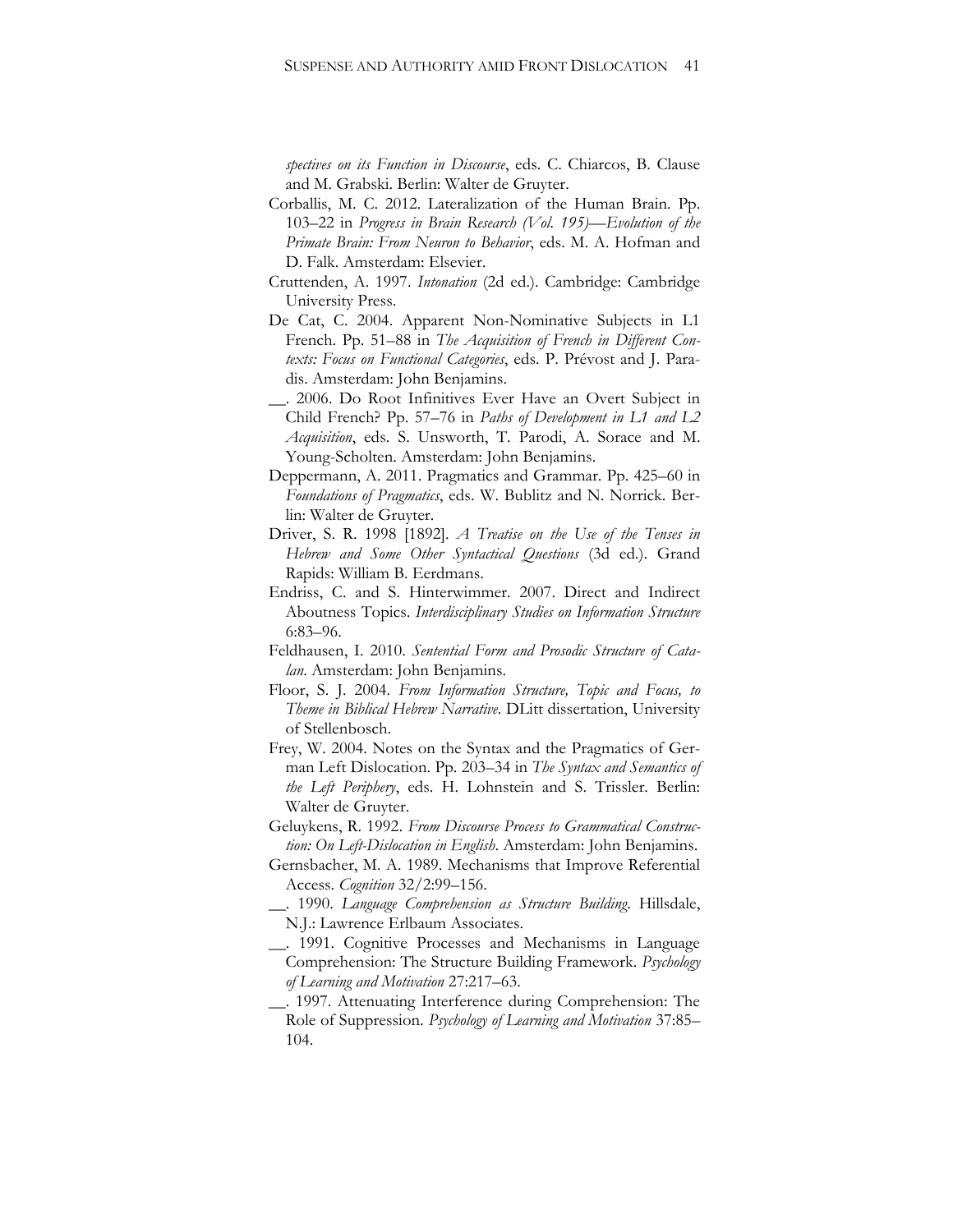*spectives on its Function in Discourse*, eds. C. Chiarcos, B. Clause and M. Grabski. Berlin: Walter de Gruyter.

- Corballis, M. C. 2012. Lateralization of the Human Brain. Pp. 103–22 in *Progress in Brain Research (Vol. 195)—Evolution of the Primate Brain: From Neuron to Behavior*, eds. M. A. Hofman and D. Falk. Amsterdam: Elsevier.
- Cruttenden, A. 1997. *Intonation* (2d ed.). Cambridge: Cambridge University Press.
- De Cat, C. 2004. Apparent Non-Nominative Subjects in L1 French. Pp. 51–88 in *The Acquisition of French in Different Contexts: Focus on Functional Categories*, eds. P. Prévost and J. Paradis. Amsterdam: John Benjamins.
- \_\_. 2006. Do Root Infinitives Ever Have an Overt Subject in Child French? Pp. 57–76 in *Paths of Development in L1 and L2 Acquisition*, eds. S. Unsworth, T. Parodi, A. Sorace and M. Young-Scholten. Amsterdam: John Benjamins.
- Deppermann, A. 2011. Pragmatics and Grammar. Pp. 425–60 in *Foundations of Pragmatics*, eds. W. Bublitz and N. Norrick. Berlin: Walter de Gruyter.
- Driver, S. R. 1998 [1892]. *A Treatise on the Use of the Tenses in Hebrew and Some Other Syntactical Questions* (3d ed.). Grand Rapids: William B. Eerdmans.
- Endriss, C. and S. Hinterwimmer. 2007. Direct and Indirect Aboutness Topics. *Interdisciplinary Studies on Information Structure*  6:83–96.
- Feldhausen, I. 2010. *Sentential Form and Prosodic Structure of Catalan*. Amsterdam: John Benjamins.
- Floor, S. J. 2004. *From Information Structure, Topic and Focus, to Theme in Biblical Hebrew Narrative*. DLitt dissertation, University of Stellenbosch.
- Frey, W. 2004. Notes on the Syntax and the Pragmatics of German Left Dislocation. Pp. 203–34 in *The Syntax and Semantics of the Left Periphery*, eds. H. Lohnstein and S. Trissler. Berlin: Walter de Gruyter.
- Geluykens, R. 1992. *From Discourse Process to Grammatical Construction: On Left-Dislocation in English*. Amsterdam: John Benjamins.
- Gernsbacher, M. A. 1989. Mechanisms that Improve Referential Access. *Cognition* 32/2:99–156.
- \_\_. 1990. *Language Comprehension as Structure Building*. Hillsdale, N.J.: Lawrence Erlbaum Associates.
- \_\_. 1991. Cognitive Processes and Mechanisms in Language Comprehension: The Structure Building Framework. *Psychology of Learning and Motivation* 27:217–63.
- \_\_. 1997. Attenuating Interference during Comprehension: The Role of Suppression. *Psychology of Learning and Motivation* 37:85– 104.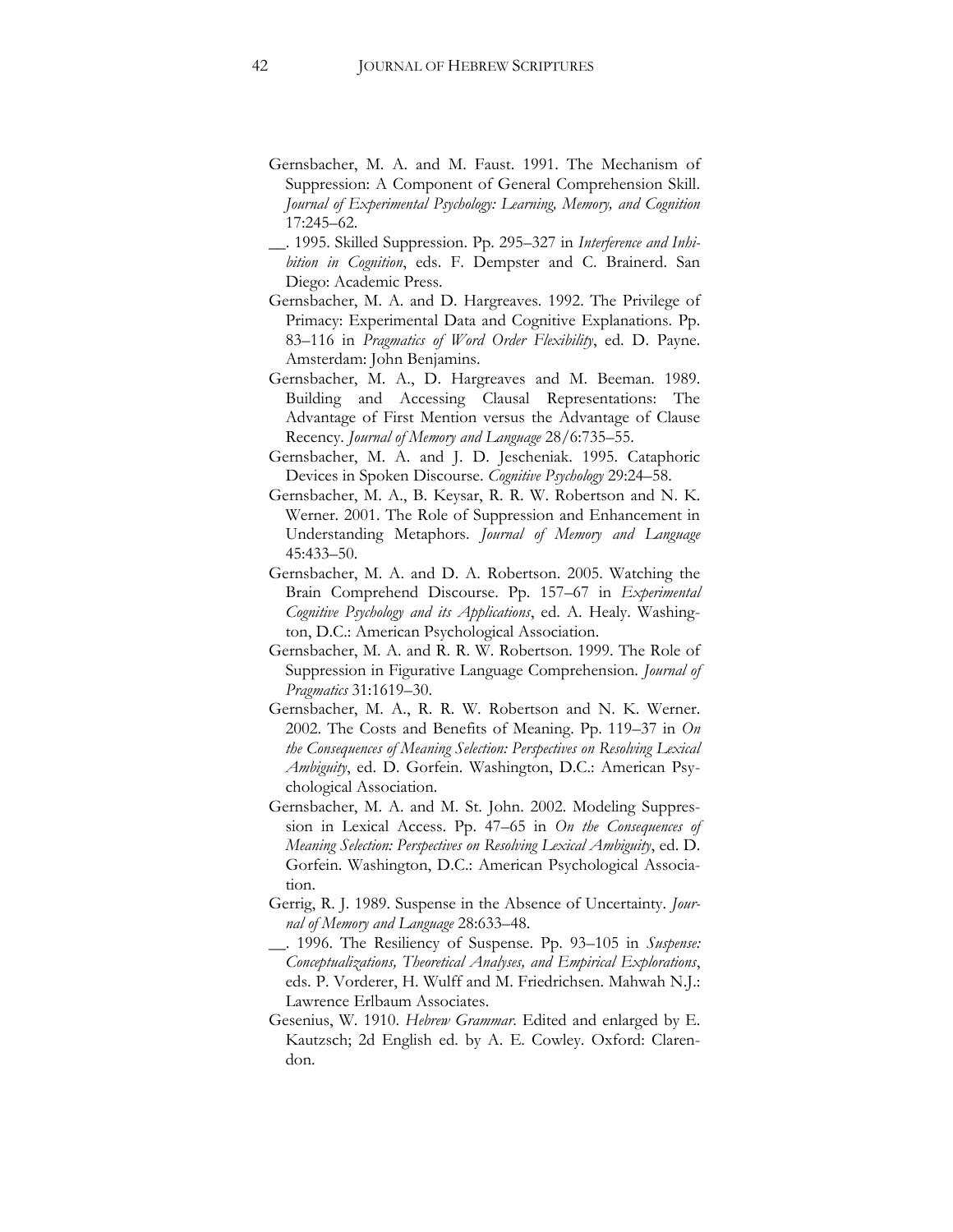- Gernsbacher, M. A. and M. Faust. 1991. The Mechanism of Suppression: A Component of General Comprehension Skill. *Journal of Experimental Psychology: Learning, Memory, and Cognition*  17:245–62.
- \_\_. 1995. Skilled Suppression. Pp. 295–327 in *Interference and Inhibition in Cognition*, eds. F. Dempster and C. Brainerd. San Diego: Academic Press.
- Gernsbacher, M. A. and D. Hargreaves. 1992. The Privilege of Primacy: Experimental Data and Cognitive Explanations. Pp. 83–116 in *Pragmatics of Word Order Flexibility*, ed. D. Payne. Amsterdam: John Benjamins.
- Gernsbacher, M. A., D. Hargreaves and M. Beeman. 1989. Building and Accessing Clausal Representations: The Advantage of First Mention versus the Advantage of Clause Recency. *Journal of Memory and Language* 28/6:735–55.
- Gernsbacher, M. A. and J. D. Jescheniak. 1995. Cataphoric Devices in Spoken Discourse. *Cognitive Psychology* 29:24–58.
- Gernsbacher, M. A., B. Keysar, R. R. W. Robertson and N. K. Werner. 2001. The Role of Suppression and Enhancement in Understanding Metaphors. *Journal of Memory and Language*  45:433–50.
- Gernsbacher, M. A. and D. A. Robertson. 2005. Watching the Brain Comprehend Discourse. Pp. 157–67 in *Experimental Cognitive Psychology and its Applications*, ed. A. Healy. Washington, D.C.: American Psychological Association.
- Gernsbacher, M. A. and R. R. W. Robertson. 1999. The Role of Suppression in Figurative Language Comprehension. *Journal of Pragmatics* 31:1619–30.
- Gernsbacher, M. A., R. R. W. Robertson and N. K. Werner. 2002. The Costs and Benefits of Meaning. Pp. 119–37 in *On the Consequences of Meaning Selection: Perspectives on Resolving Lexical Ambiguity*, ed. D. Gorfein. Washington, D.C.: American Psychological Association.
- Gernsbacher, M. A. and M. St. John. 2002. Modeling Suppression in Lexical Access. Pp. 47–65 in *On the Consequences of Meaning Selection: Perspectives on Resolving Lexical Ambiguity*, ed. D. Gorfein. Washington, D.C.: American Psychological Association.
- Gerrig, R. J. 1989. Suspense in the Absence of Uncertainty. *Journal of Memory and Language* 28:633–48.
- \_\_. 1996. The Resiliency of Suspense. Pp. 93–105 in *Suspense: Conceptualizations, Theoretical Analyses, and Empirical Explorations*, eds. P. Vorderer, H. Wulff and M. Friedrichsen. Mahwah N.J.: Lawrence Erlbaum Associates.
- Gesenius, W. 1910. *Hebrew Grammar*. Edited and enlarged by E. Kautzsch; 2d English ed. by A. E. Cowley. Oxford: Clarendon.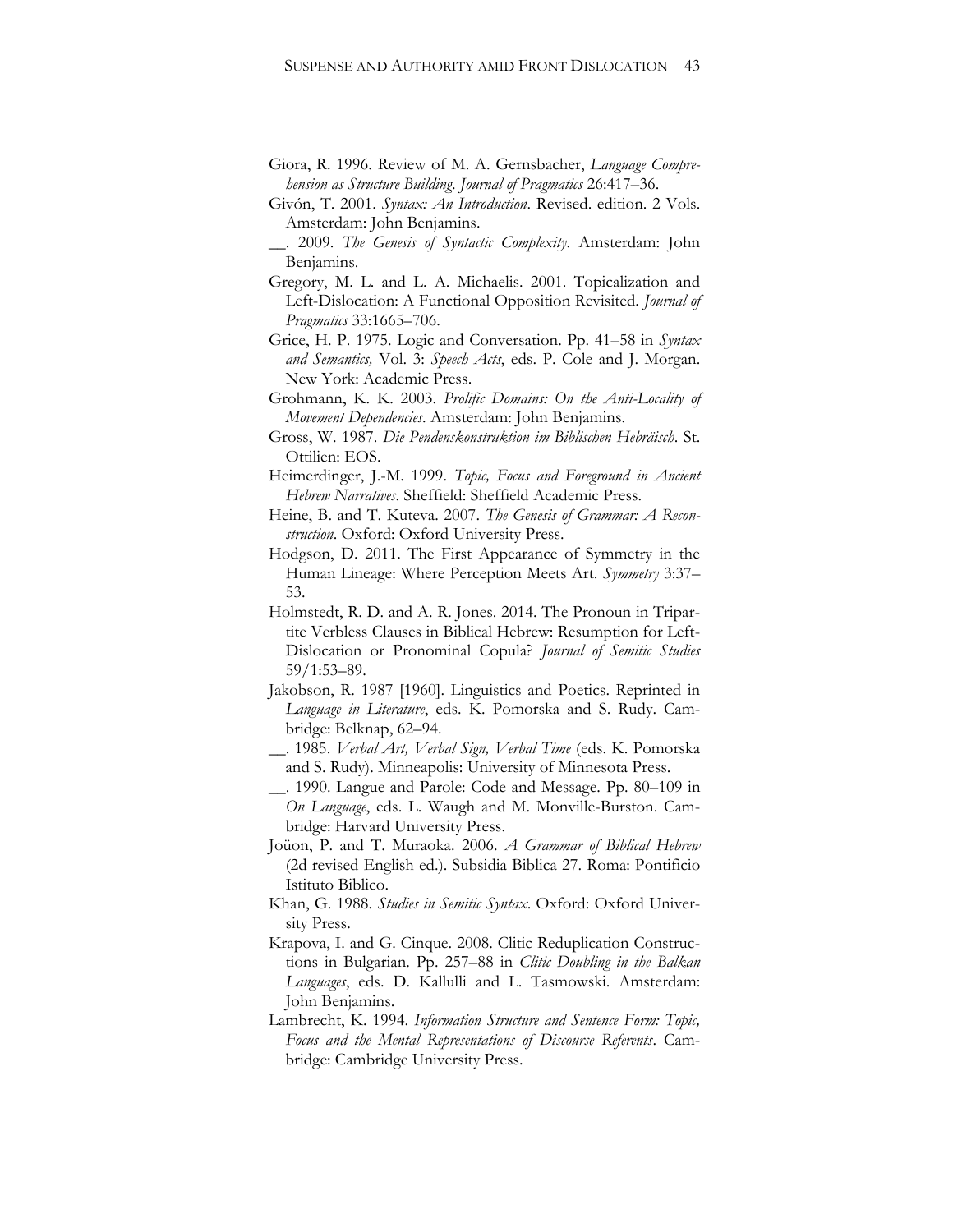- Giora, R. 1996. Review of M. A. Gernsbacher, *Language Comprehension as Structure Building*. *Journal of Pragmatics* 26:417–36.
- Givón, T. 2001. *Syntax: An Introduction*. Revised. edition. 2 Vols. Amsterdam: John Benjamins.
- \_\_. 2009. *The Genesis of Syntactic Complexity*. Amsterdam: John Benjamins.
- Gregory, M. L. and L. A. Michaelis. 2001. Topicalization and Left-Dislocation: A Functional Opposition Revisited. *Journal of Pragmatics* 33:1665–706.
- Grice, H. P. 1975. Logic and Conversation. Pp. 41–58 in *Syntax and Semantics,* Vol. 3: *Speech Acts*, eds. P. Cole and J. Morgan. New York: Academic Press.
- Grohmann, K. K. 2003. *Prolific Domains: On the Anti-Locality of Movement Dependencies*. Amsterdam: John Benjamins.
- Gross, W. 1987. *Die Pendenskonstruktion im Biblischen Hebräisch*. St. Ottilien: EOS.
- Heimerdinger, J.-M. 1999. *Topic, Focus and Foreground in Ancient Hebrew Narratives*. Sheffield: Sheffield Academic Press.
- Heine, B. and T. Kuteva. 2007. *The Genesis of Grammar: A Reconstruction*. Oxford: Oxford University Press.
- Hodgson, D. 2011. The First Appearance of Symmetry in the Human Lineage: Where Perception Meets Art. *Symmetry* 3:37– 53.
- Holmstedt, R. D. and A. R. Jones. 2014. The Pronoun in Tripartite Verbless Clauses in Biblical Hebrew: Resumption for Left-Dislocation or Pronominal Copula? *Journal of Semitic Studies* 59/1:53–89.
- Jakobson, R. 1987 [1960]. Linguistics and Poetics. Reprinted in *Language in Literature*, eds. K. Pomorska and S. Rudy. Cambridge: Belknap, 62–94.
- \_\_. 1985. *Verbal Art, Verbal Sign, Verbal Time* (eds. K. Pomorska and S. Rudy). Minneapolis: University of Minnesota Press.
- \_\_. 1990. Langue and Parole: Code and Message. Pp. 80–109 in *On Language*, eds. L. Waugh and M. Monville-Burston. Cambridge: Harvard University Press.
- Joüon, P. and T. Muraoka. 2006. *A Grammar of Biblical Hebrew* (2d revised English ed.). Subsidia Biblica 27. Roma: Pontificio Istituto Biblico.
- Khan, G. 1988. *Studies in Semitic Syntax*. Oxford: Oxford University Press.
- Krapova, I. and G. Cinque. 2008. Clitic Reduplication Constructions in Bulgarian. Pp. 257–88 in *Clitic Doubling in the Balkan Languages*, eds. D. Kallulli and L. Tasmowski. Amsterdam: John Benjamins.
- Lambrecht, K. 1994. *Information Structure and Sentence Form: Topic, Focus and the Mental Representations of Discourse Referents*. Cambridge: Cambridge University Press.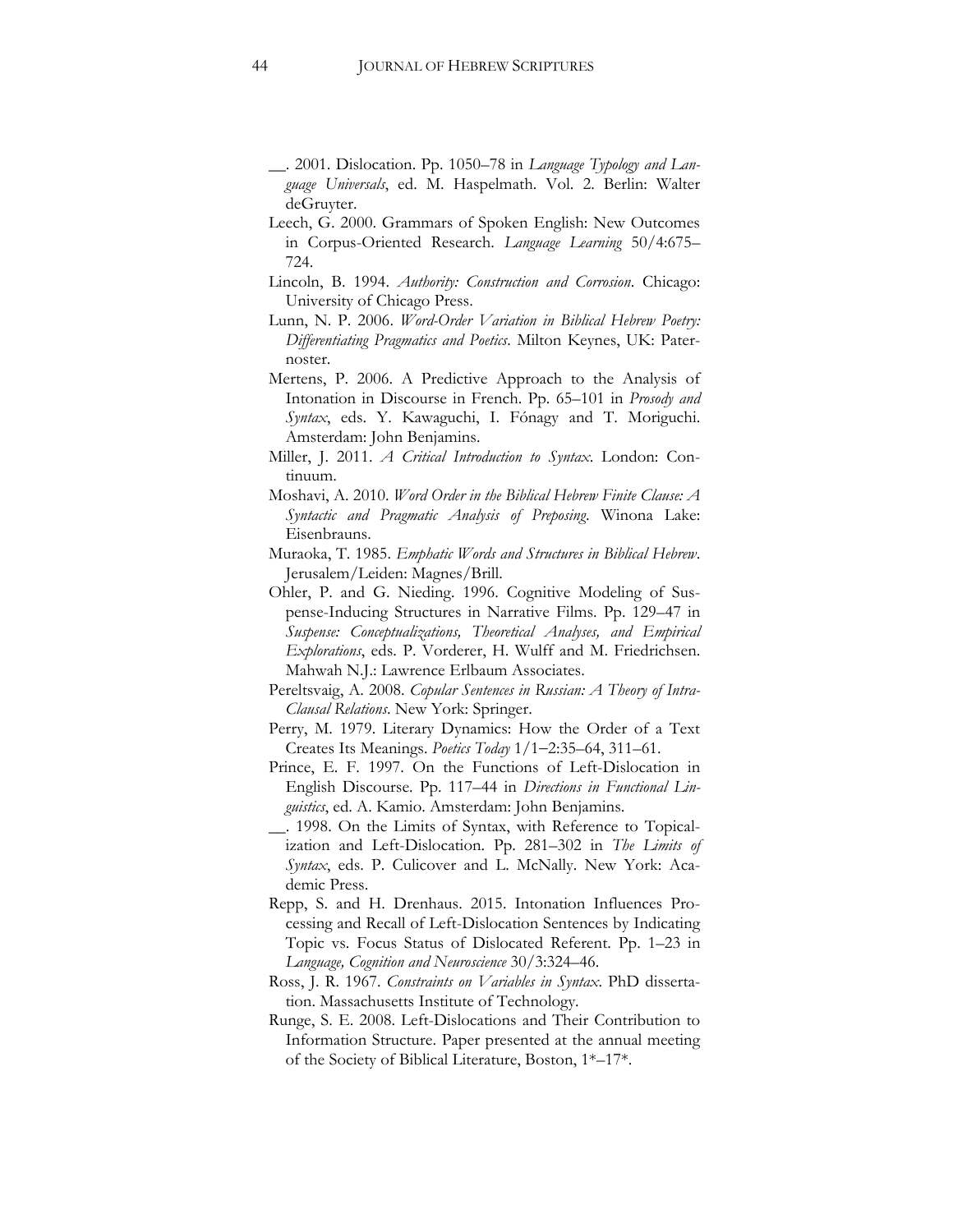- \_\_. 2001. Dislocation. Pp. 1050–78 in *Language Typology and Language Universals*, ed. M. Haspelmath. Vol. 2. Berlin: Walter deGruyter.
- Leech, G. 2000. Grammars of Spoken English: New Outcomes in Corpus-Oriented Research. *Language Learning* 50/4:675– 724.
- Lincoln, B. 1994. *Authority: Construction and Corrosion*. Chicago: University of Chicago Press.
- Lunn, N. P. 2006. *Word-Order Variation in Biblical Hebrew Poetry: Differentiating Pragmatics and Poetics*. Milton Keynes, UK: Paternoster.
- Mertens, P. 2006. A Predictive Approach to the Analysis of Intonation in Discourse in French. Pp. 65–101 in *Prosody and Syntax*, eds. Y. Kawaguchi, I. Fónagy and T. Moriguchi. Amsterdam: John Benjamins.
- Miller, J. 2011. *A Critical Introduction to Syntax*. London: Continuum.
- Moshavi, A. 2010. *Word Order in the Biblical Hebrew Finite Clause: A Syntactic and Pragmatic Analysis of Preposing*. Winona Lake: Eisenbrauns.
- Muraoka, T. 1985. *Emphatic Words and Structures in Biblical Hebrew*. Jerusalem/Leiden: Magnes/Brill.
- Ohler, P. and G. Nieding. 1996. Cognitive Modeling of Suspense-Inducing Structures in Narrative Films. Pp. 129–47 in *Suspense: Conceptualizations, Theoretical Analyses, and Empirical Explorations*, eds. P. Vorderer, H. Wulff and M. Friedrichsen. Mahwah N.J.: Lawrence Erlbaum Associates.
- Pereltsvaig, A. 2008. *Copular Sentences in Russian: A Theory of Intra-Clausal Relations*. New York: Springer.
- Perry, M. 1979. Literary Dynamics: How the Order of a Text Creates Its Meanings. *Poetics Today* 1/12:35–64, 311–61.
- Prince, E. F. 1997. On the Functions of Left-Dislocation in English Discourse. Pp. 117–44 in *Directions in Functional Linguistics*, ed. A. Kamio. Amsterdam: John Benjamins.
- \_\_. 1998. On the Limits of Syntax, with Reference to Topicalization and Left-Dislocation. Pp. 281–302 in *The Limits of Syntax*, eds. P. Culicover and L. McNally. New York: Academic Press.
- Repp, S. and H. Drenhaus. 2015. Intonation Influences Processing and Recall of Left-Dislocation Sentences by Indicating Topic vs. Focus Status of Dislocated Referent. Pp. 1–23 in *Language, Cognition and Neuroscience* 30/3:324–46.
- Ross, J. R. 1967. *Constraints on Variables in Syntax*. PhD dissertation. Massachusetts Institute of Technology.
- Runge, S. E. 2008. Left-Dislocations and Their Contribution to Information Structure. Paper presented at the annual meeting of the Society of Biblical Literature, Boston, 1\*–17\*.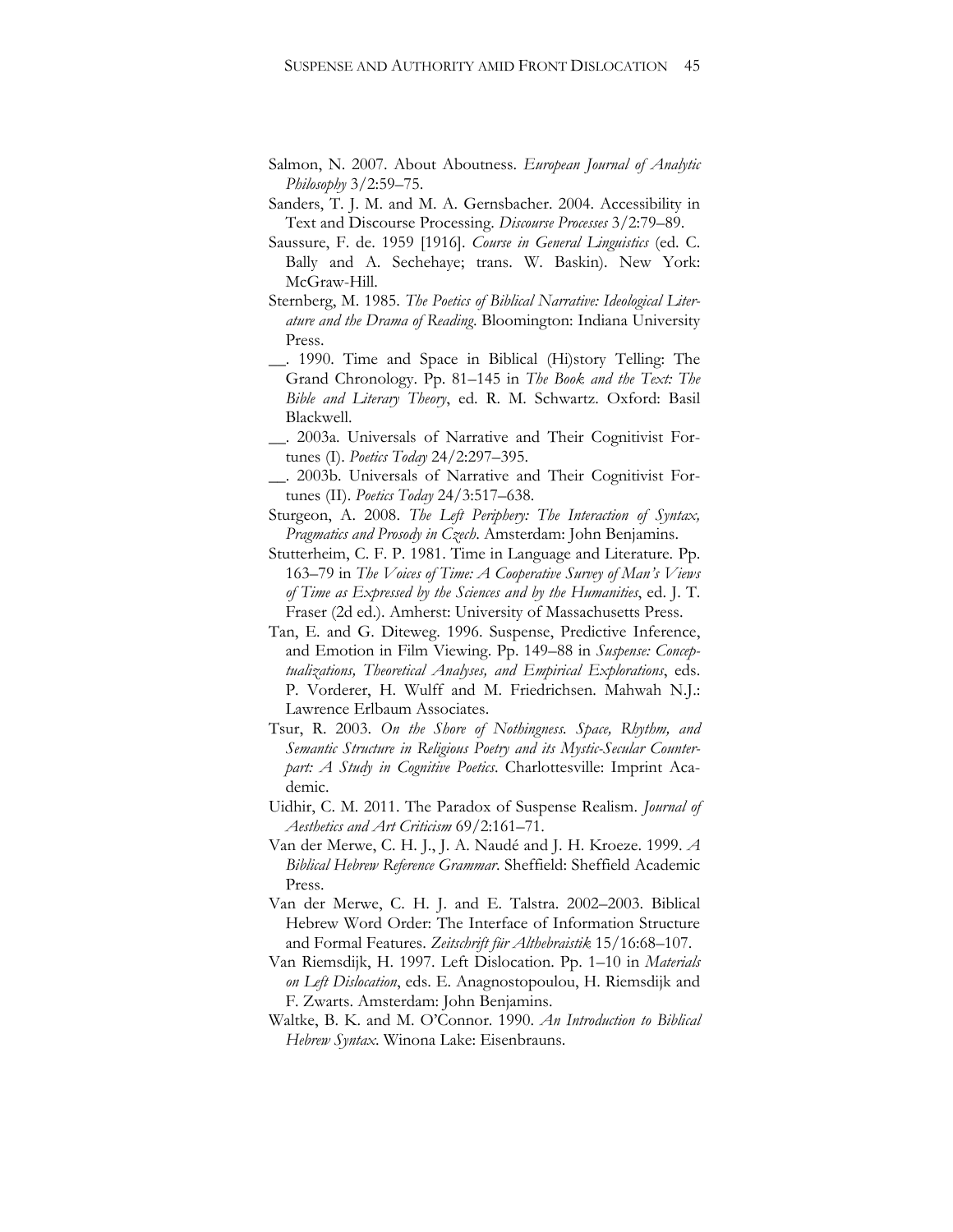- Salmon, N. 2007. About Aboutness. *European Journal of Analytic Philosophy* 3/2:59–75.
- Sanders, T. J. M. and M. A. Gernsbacher. 2004. Accessibility in Text and Discourse Processing. *Discourse Processes* 3/2:79–89.
- Saussure, F. de. 1959 [1916]. *Course in General Linguistics* (ed. C. Bally and A. Sechehaye; trans. W. Baskin). New York: McGraw-Hill.
- Sternberg, M. 1985. *The Poetics of Biblical Narrative: Ideological Literature and the Drama of Reading*. Bloomington: Indiana University Press.
- \_\_. 1990. Time and Space in Biblical (Hi)story Telling: The Grand Chronology. Pp. 81–145 in *The Book and the Text: The Bible and Literary Theory*, ed. R. M. Schwartz. Oxford: Basil Blackwell.
- \_\_. 2003a. Universals of Narrative and Their Cognitivist Fortunes (I). *Poetics Today* 24/2:297–395.
- \_\_. 2003b. Universals of Narrative and Their Cognitivist Fortunes (II). *Poetics Today* 24/3:517–638.
- Sturgeon, A. 2008. *The Left Periphery: The Interaction of Syntax, Pragmatics and Prosody in Czech*. Amsterdam: John Benjamins.
- Stutterheim, C. F. P. 1981. Time in Language and Literature. Pp. 163–79 in *The Voices of Time: A Cooperative Survey of Man's Views of Time as Expressed by the Sciences and by the Humanities*, ed. J. T. Fraser (2d ed.). Amherst: University of Massachusetts Press.
- Tan, E. and G. Diteweg. 1996. Suspense, Predictive Inference, and Emotion in Film Viewing. Pp. 149–88 in *Suspense: Conceptualizations, Theoretical Analyses, and Empirical Explorations*, eds. P. Vorderer, H. Wulff and M. Friedrichsen. Mahwah N.J.: Lawrence Erlbaum Associates.
- Tsur, R. 2003. *On the Shore of Nothingness. Space, Rhythm, and Semantic Structure in Religious Poetry and its Mystic-Secular Counterpart: A Study in Cognitive Poetics*. Charlottesville: Imprint Academic.
- Uidhir, C. M. 2011. The Paradox of Suspense Realism. *Journal of Aesthetics and Art Criticism* 69/2:161–71.
- Van der Merwe, C. H. J., J. A. Naudé and J. H. Kroeze. 1999. *A Biblical Hebrew Reference Grammar*. Sheffield: Sheffield Academic Press.
- Van der Merwe, C. H. J. and E. Talstra. 2002–2003. Biblical Hebrew Word Order: The Interface of Information Structure and Formal Features. *Zeitschrift für Althebraistik* 15/16:68–107.
- Van Riemsdijk, H. 1997. Left Dislocation. Pp. 1–10 in *Materials on Left Dislocation*, eds. E. Anagnostopoulou, H. Riemsdijk and F. Zwarts. Amsterdam: John Benjamins.
- Waltke, B. K. and M. O'Connor. 1990. *An Introduction to Biblical Hebrew Syntax*. Winona Lake: Eisenbrauns.